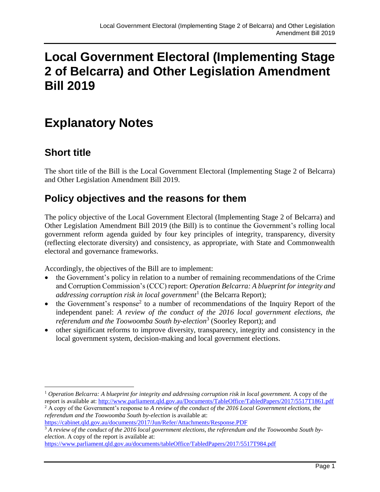# **Local Government Electoral (Implementing Stage 2 of Belcarra) and Other Legislation Amendment Bill 2019**

# **Explanatory Notes**

# **Short title**

The short title of the Bill is the Local Government Electoral (Implementing Stage 2 of Belcarra) and Other Legislation Amendment Bill 2019.

## **Policy objectives and the reasons for them**

The policy objective of the Local Government Electoral (Implementing Stage 2 of Belcarra) and Other Legislation Amendment Bill 2019 (the Bill) is to continue the Government's rolling local government reform agenda guided by four key principles of integrity, transparency, diversity (reflecting electorate diversity) and consistency, as appropriate, with State and Commonwealth electoral and governance frameworks.

Accordingly, the objectives of the Bill are to implement:

- the Government's policy in relation to a number of remaining recommendations of the Crime and Corruption Commission's (CCC) report: *Operation Belcarra: A blueprint for integrity and addressing corruption risk in local government*<sup>1</sup> (the Belcarra Report);
- $\bullet$  the Government's response<sup>2</sup> to a number of recommendations of the Inquiry Report of the independent panel: *A review of the conduct of the 2016 local government elections, the referendum and the Toowoomba South by-election*<sup>3</sup> (Soorley Report); and
- other significant reforms to improve diversity, transparency, integrity and consistency in the local government system, decision-making and local government elections.

 <sup>1</sup> *Operation Belcarra: A blueprint for integrity and addressing corruption risk in local government.* A copy of the report is available at[: http://www.parliament.qld.gov.au/Documents/TableOffice/TabledPapers/2017/5517T1861.pdf](http://www.parliament.qld.gov.au/Documents/TableOffice/TabledPapers/2017/5517T1861.pdf)

<sup>2</sup> A copy of the Government's response to *A review of the conduct of the 2016 Local Government elections, the referendum and the Toowoomba South by-election* is available at:

<https://cabinet.qld.gov.au/documents/2017/Jun/Refer/Attachments/Response.PDF>

<sup>3</sup> *A review of the conduct of the 2016 local government elections, the referendum and the Toowoomba South byelection*. A copy of the report is available at:

<https://www.parliament.qld.gov.au/documents/tableOffice/TabledPapers/2017/5517T984.pdf>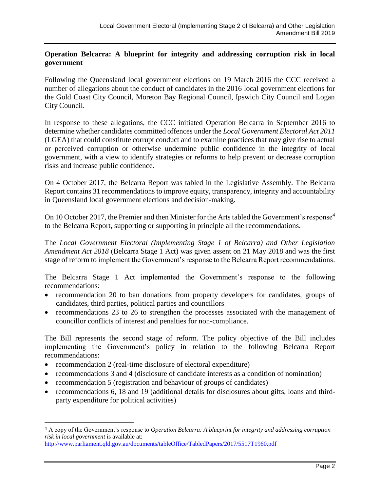#### **Operation Belcarra: A blueprint for integrity and addressing corruption risk in local government**

Following the Queensland local government elections on 19 March 2016 the CCC received a number of allegations about the conduct of candidates in the 2016 local government elections for the Gold Coast City Council, Moreton Bay Regional Council, Ipswich City Council and Logan City Council.

In response to these allegations, the CCC initiated Operation Belcarra in September 2016 to determine whether candidates committed offences under the *Local Government Electoral Act 2011* (LGEA) that could constitute corrupt conduct and to examine practices that may give rise to actual or perceived corruption or otherwise undermine public confidence in the integrity of local government, with a view to identify strategies or reforms to help prevent or decrease corruption risks and increase public confidence.

On 4 October 2017, the Belcarra Report was tabled in the Legislative Assembly. The Belcarra Report contains 31 recommendations to improve equity, transparency, integrity and accountability in Queensland local government elections and decision-making.

On 10 October 2017, the Premier and then Minister for the Arts tabled the Government's response<sup>4</sup> to the Belcarra Report, supporting or supporting in principle all the recommendations.

The *Local Government Electoral (Implementing Stage 1 of Belcarra) and Other Legislation Amendment Act 2018* (Belcarra Stage 1 Act) was given assent on 21 May 2018 and was the first stage of reform to implement the Government's response to the Belcarra Report recommendations.

The Belcarra Stage 1 Act implemented the Government's response to the following recommendations:

- recommendation 20 to ban donations from property developers for candidates, groups of candidates, third parties, political parties and councillors
- recommendations 23 to 26 to strengthen the processes associated with the management of councillor conflicts of interest and penalties for non-compliance.

The Bill represents the second stage of reform. The policy objective of the Bill includes implementing the Government's policy in relation to the following Belcarra Report recommendations:

• recommendation 2 (real-time disclosure of electoral expenditure)

l

- recommendations 3 and 4 (disclosure of candidate interests as a condition of nomination)
- recommendation 5 (registration and behaviour of groups of candidates)
- recommendations 6, 18 and 19 (additional details for disclosures about gifts, loans and thirdparty expenditure for political activities)

<http://www.parliament.qld.gov.au/documents/tableOffice/TabledPapers/2017/5517T1960.pdf>

<sup>4</sup> A copy of the Government's response to *Operation Belcarra: A blueprint for integrity and addressing corruption risk in local government* is available at: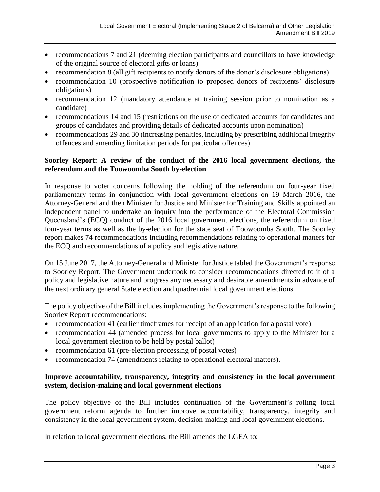- recommendations 7 and 21 (deeming election participants and councillors to have knowledge of the original source of electoral gifts or loans)
- recommendation 8 (all gift recipients to notify donors of the donor's disclosure obligations)
- recommendation 10 (prospective notification to proposed donors of recipients' disclosure obligations)
- recommendation 12 (mandatory attendance at training session prior to nomination as a candidate)
- recommendations 14 and 15 (restrictions on the use of dedicated accounts for candidates and groups of candidates and providing details of dedicated accounts upon nomination)
- recommendations 29 and 30 (increasing penalties, including by prescribing additional integrity offences and amending limitation periods for particular offences).

#### **Soorley Report: A review of the conduct of the 2016 local government elections, the referendum and the Toowoomba South by-election**

In response to voter concerns following the holding of the referendum on four-year fixed parliamentary terms in conjunction with local government elections on 19 March 2016, the Attorney-General and then Minister for Justice and Minister for Training and Skills appointed an independent panel to undertake an inquiry into the performance of the Electoral Commission Queensland's (ECQ) conduct of the 2016 local government elections, the referendum on fixed four-year terms as well as the by-election for the state seat of Toowoomba South. The Soorley report makes 74 recommendations including recommendations relating to operational matters for the ECQ and recommendations of a policy and legislative nature.

On 15 June 2017, the Attorney-General and Minister for Justice tabled the Government's response to Soorley Report. The Government undertook to consider recommendations directed to it of a policy and legislative nature and progress any necessary and desirable amendments in advance of the next ordinary general State election and quadrennial local government elections.

The policy objective of the Bill includes implementing the Government's response to the following Soorley Report recommendations:

- recommendation 41 (earlier timeframes for receipt of an application for a postal vote)
- recommendation 44 (amended process for local governments to apply to the Minister for a local government election to be held by postal ballot)
- recommendation 61 (pre-election processing of postal votes)
- recommendation 74 (amendments relating to operational electoral matters).

#### **Improve accountability, transparency, integrity and consistency in the local government system, decision-making and local government elections**

The policy objective of the Bill includes continuation of the Government's rolling local government reform agenda to further improve accountability, transparency, integrity and consistency in the local government system, decision-making and local government elections.

In relation to local government elections, the Bill amends the LGEA to: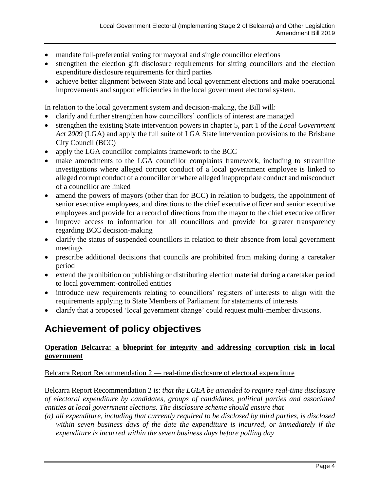- mandate full-preferential voting for mayoral and single councillor elections
- strengthen the election gift disclosure requirements for sitting councillors and the election expenditure disclosure requirements for third parties
- achieve better alignment between State and local government elections and make operational improvements and support efficiencies in the local government electoral system.

In relation to the local government system and decision-making, the Bill will:

- clarify and further strengthen how councillors' conflicts of interest are managed
- strengthen the existing State intervention powers in chapter 5, part 1 of the *Local Government Act 2009* (LGA) and apply the full suite of LGA State intervention provisions to the Brisbane City Council (BCC)
- apply the LGA councillor complaints framework to the BCC
- make amendments to the LGA councillor complaints framework, including to streamline investigations where alleged corrupt conduct of a local government employee is linked to alleged corrupt conduct of a councillor or where alleged inappropriate conduct and misconduct of a councillor are linked
- amend the powers of mayors (other than for BCC) in relation to budgets, the appointment of senior executive employees, and directions to the chief executive officer and senior executive employees and provide for a record of directions from the mayor to the chief executive officer
- improve access to information for all councillors and provide for greater transparency regarding BCC decision-making
- clarify the status of suspended councillors in relation to their absence from local government meetings
- prescribe additional decisions that councils are prohibited from making during a caretaker period
- extend the prohibition on publishing or distributing election material during a caretaker period to local government-controlled entities
- introduce new requirements relating to councillors' registers of interests to align with the requirements applying to State Members of Parliament for statements of interests
- clarify that a proposed 'local government change' could request multi-member divisions.

# **Achievement of policy objectives**

#### **Operation Belcarra: a blueprint for integrity and addressing corruption risk in local government**

Belcarra Report Recommendation 2 — real-time disclosure of electoral expenditure

Belcarra Report Recommendation 2 is: *that the LGEA be amended to require real-time disclosure of electoral expenditure by candidates, groups of candidates, political parties and associated entities at local government elections. The disclosure scheme should ensure that* 

*(a) all expenditure, including that currently required to be disclosed by third parties, is disclosed within seven business days of the date the expenditure is incurred, or immediately if the expenditure is incurred within the seven business days before polling day*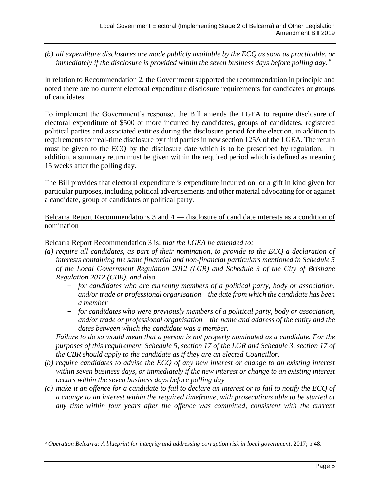*(b) all expenditure disclosures are made publicly available by the ECQ as soon as practicable, or immediately if the disclosure is provided within the seven business days before polling day.* <sup>5</sup>

In relation to Recommendation 2, the Government supported the recommendation in principle and noted there are no current electoral expenditure disclosure requirements for candidates or groups of candidates.

To implement the Government's response, the Bill amends the LGEA to require disclosure of electoral expenditure of \$500 or more incurred by candidates, groups of candidates, registered political parties and associated entities during the disclosure period for the election. in addition to requirements for real-time disclosure by third parties in new section 125A of the LGEA. The return must be given to the ECQ by the disclosure date which is to be prescribed by regulation. In addition, a summary return must be given within the required period which is defined as meaning 15 weeks after the polling day.

The Bill provides that electoral expenditure is expenditure incurred on, or a gift in kind given for particular purposes, including political advertisements and other material advocating for or against a candidate, group of candidates or political party.

Belcarra Report Recommendations 3 and 4 — disclosure of candidate interests as a condition of nomination

Belcarra Report Recommendation 3 is: *that the LGEA be amended to:*

- *(a) require all candidates, as part of their nomination, to provide to the ECQ a declaration of interests containing the same financial and non-financial particulars mentioned in Schedule 5 of the Local Government Regulation 2012 (LGR) and Schedule 3 of the City of Brisbane Regulation 2012 (CBR), and also* 
	- *for candidates who are currently members of a political party, body or association, and/or trade or professional organisation – the date from which the candidate has been a member*
	- *for candidates who were previously members of a political party, body or association, and/or trade or professional organisation – the name and address of the entity and the dates between which the candidate was a member.*

*Failure to do so would mean that a person is not properly nominated as a candidate. For the purposes of this requirement, Schedule 5, section 17 of the LGR and Schedule 3, section 17 of the CBR should apply to the candidate as if they are an elected Councillor.*

- *(b) require candidates to advise the ECQ of any new interest or change to an existing interest within seven business days, or immediately if the new interest or change to an existing interest occurs within the seven business days before polling day*
- *(c) make it an offence for a candidate to fail to declare an interest or to fail to notify the ECQ of a change to an interest within the required timeframe, with prosecutions able to be started at*  any time within four years after the offence was committed, consistent with the current

 $\overline{a}$ 

<sup>5</sup> *Operation Belcarra: A blueprint for integrity and addressing corruption risk in local government*. 2017; p.48.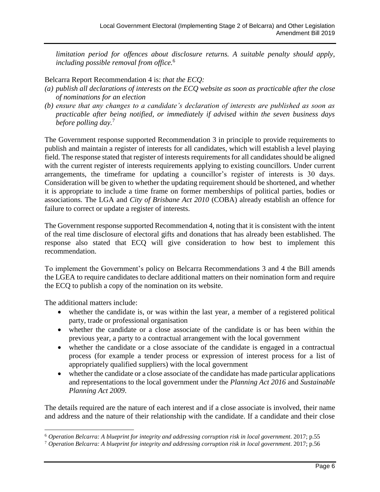*limitation period for offences about disclosure returns. A suitable penalty should apply, including possible removal from office.* 6

Belcarra Report Recommendation 4 is: *that the ECQ:* 

- *(a) publish all declarations of interests on the ECQ website as soon as practicable after the close of nominations for an election*
- *(b) ensure that any changes to a candidate's declaration of interests are published as soon as practicable after being notified, or immediately if advised within the seven business days before polling day.* 7

The Government response supported Recommendation 3 in principle to provide requirements to publish and maintain a register of interests for all candidates, which will establish a level playing field. The response stated that register of interests requirements for all candidates should be aligned with the current register of interests requirements applying to existing councillors. Under current arrangements, the timeframe for updating a councillor's register of interests is 30 days. Consideration will be given to whether the updating requirement should be shortened, and whether it is appropriate to include a time frame on former memberships of political parties, bodies or associations. The LGA and *City of Brisbane Act 2010* (COBA) already establish an offence for failure to correct or update a register of interests.

The Government response supported Recommendation 4, noting that it is consistent with the intent of the real time disclosure of electoral gifts and donations that has already been established. The response also stated that ECQ will give consideration to how best to implement this recommendation.

To implement the Government's policy on Belcarra Recommendations 3 and 4 the Bill amends the LGEA to require candidates to declare additional matters on their nomination form and require the ECQ to publish a copy of the nomination on its website.

The additional matters include:

- whether the candidate is, or was within the last year, a member of a registered political party, trade or professional organisation
- whether the candidate or a close associate of the candidate is or has been within the previous year, a party to a contractual arrangement with the local government
- whether the candidate or a close associate of the candidate is engaged in a contractual process (for example a tender process or expression of interest process for a list of appropriately qualified suppliers) with the local government
- whether the candidate or a close associate of the candidate has made particular applications and representations to the local government under the *Planning Act 2016* and *Sustainable Planning Act 2009*.

The details required are the nature of each interest and if a close associate is involved, their name and address and the nature of their relationship with the candidate. If a candidate and their close

<sup>6</sup> *Operation Belcarra: A blueprint for integrity and addressing corruption risk in local government*. 2017; p.55

<sup>7</sup> *Operation Belcarra: A blueprint for integrity and addressing corruption risk in local government*. 2017; p.56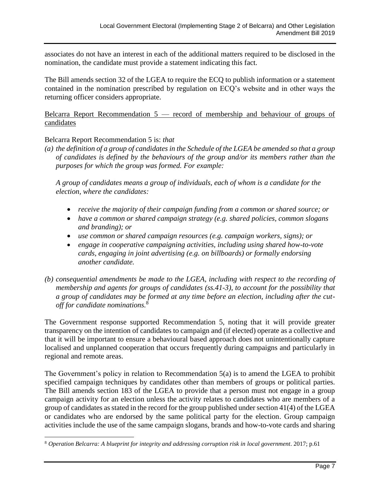associates do not have an interest in each of the additional matters required to be disclosed in the nomination, the candidate must provide a statement indicating this fact.

The Bill amends section 32 of the LGEA to require the ECQ to publish information or a statement contained in the nomination prescribed by regulation on ECQ's website and in other ways the returning officer considers appropriate.

Belcarra Report Recommendation 5 — record of membership and behaviour of groups of candidates

#### Belcarra Report Recommendation 5 is: *that*

 $\overline{a}$ 

*(a) the definition of a group of candidates in the Schedule of the LGEA be amended so that a group of candidates is defined by the behaviours of the group and/or its members rather than the purposes for which the group was formed. For example:*

*A group of candidates means a group of individuals, each of whom is a candidate for the election, where the candidates:*

- *receive the majority of their campaign funding from a common or shared source; or*
- *have a common or shared campaign strategy (e.g. shared policies, common slogans and branding); or*
- *use common or shared campaign resources (e.g. campaign workers, signs); or*
- *engage in cooperative campaigning activities, including using shared how-to-vote cards, engaging in joint advertising (e.g. on billboards) or formally endorsing another candidate.*
- *(b) consequential amendments be made to the LGEA, including with respect to the recording of membership and agents for groups of candidates (ss.41-3), to account for the possibility that a group of candidates may be formed at any time before an election, including after the cutoff for candidate nominations.* 8

The Government response supported Recommendation 5, noting that it will provide greater transparency on the intention of candidates to campaign and (if elected) operate as a collective and that it will be important to ensure a behavioural based approach does not unintentionally capture localised and unplanned cooperation that occurs frequently during campaigns and particularly in regional and remote areas.

The Government's policy in relation to Recommendation 5(a) is to amend the LGEA to prohibit specified campaign techniques by candidates other than members of groups or political parties. The Bill amends section 183 of the LGEA to provide that a person must not engage in a group campaign activity for an election unless the activity relates to candidates who are members of a group of candidates as stated in the record for the group published under section 41(4) of the LGEA or candidates who are endorsed by the same political party for the election. Group campaign activities include the use of the same campaign slogans, brands and how-to-vote cards and sharing

<sup>8</sup> *Operation Belcarra: A blueprint for integrity and addressing corruption risk in local government*. 2017; p.61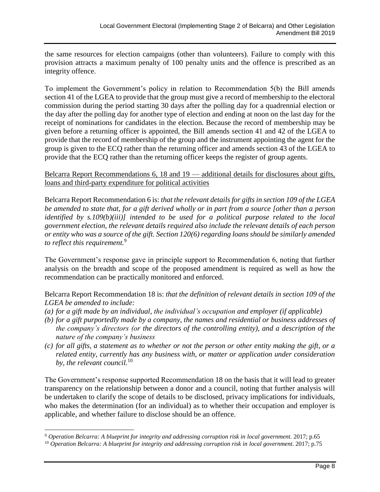the same resources for election campaigns (other than volunteers). Failure to comply with this provision attracts a maximum penalty of 100 penalty units and the offence is prescribed as an integrity offence.

To implement the Government's policy in relation to Recommendation 5(b) the Bill amends section 41 of the LGEA to provide that the group must give a record of membership to the electoral commission during the period starting 30 days after the polling day for a quadrennial election or the day after the polling day for another type of election and ending at noon on the last day for the receipt of nominations for candidates in the election. Because the record of membership may be given before a returning officer is appointed, the Bill amends section 41 and 42 of the LGEA to provide that the record of membership of the group and the instrument appointing the agent for the group is given to the ECQ rather than the returning officer and amends section 43 of the LGEA to provide that the ECQ rather than the returning officer keeps the register of group agents.

#### Belcarra Report Recommendations 6, 18 and 19 — additional details for disclosures about gifts, loans and third-party expenditure for political activities

Belcarra Report Recommendation 6 is: *that the relevant details for gifts in section 109 of the LGEA be amended to state that, for a gift derived wholly or in part from a source [other than a person identified by s.109(b)(iii)] intended to be used for a political purpose related to the local government election, the relevant details required also include the relevant details of each person or entity who was a source of the gift. Section 120(6) regarding loans should be similarly amended to reflect this requirement.* 9

The Government's response gave in principle support to Recommendation 6, noting that further analysis on the breadth and scope of the proposed amendment is required as well as how the recommendation can be practically monitored and enforced.

Belcarra Report Recommendation 18 is: *that the definition of relevant details in section 109 of the LGEA be amended to include:*

- *(a) for a gift made by an individual, the individual's occupation and employer (if applicable)*
- *(b) for a gift purportedly made by a company, the names and residential or business addresses of the company's directors (or the directors of the controlling entity), and a description of the nature of the company's business*
- *(c) for all gifts, a statement as to whether or not the person or other entity making the gift, or a related entity, currently has any business with, or matter or application under consideration by, the relevant council.* 10

The Government's response supported Recommendation 18 on the basis that it will lead to greater transparency on the relationship between a donor and a council, noting that further analysis will be undertaken to clarify the scope of details to be disclosed, privacy implications for individuals, who makes the determination (for an individual) as to whether their occupation and employer is applicable, and whether failure to disclose should be an offence.

<sup>9</sup> *Operation Belcarra: A blueprint for integrity and addressing corruption risk in local government*. 2017; p.65

<sup>10</sup> *Operation Belcarra: A blueprint for integrity and addressing corruption risk in local government*. 2017; p.75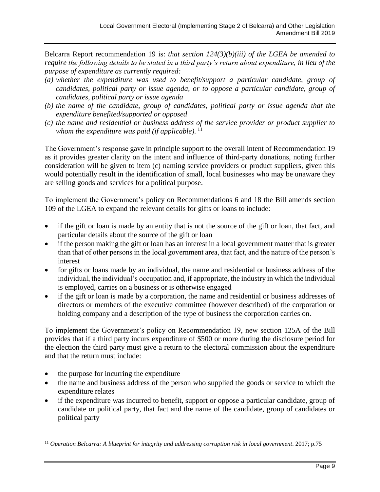Belcarra Report recommendation 19 is: *that section 124(3)(b)(iii) of the LGEA be amended to require the following details to be stated in a third party's return about expenditure, in lieu of the purpose of expenditure as currently required:*

- *(a) whether the expenditure was used to benefit/support a particular candidate, group of candidates, political party or issue agenda, or to oppose a particular candidate, group of candidates, political party or issue agenda*
- *(b) the name of the candidate, group of candidates, political party or issue agenda that the expenditure benefited/supported or opposed*
- *(c) the name and residential or business address of the service provider or product supplier to whom the expenditure was paid (if applicable).* 11

The Government's response gave in principle support to the overall intent of Recommendation 19 as it provides greater clarity on the intent and influence of third-party donations, noting further consideration will be given to item (c) naming service providers or product suppliers, given this would potentially result in the identification of small, local businesses who may be unaware they are selling goods and services for a political purpose.

To implement the Government's policy on Recommendations 6 and 18 the Bill amends section 109 of the LGEA to expand the relevant details for gifts or loans to include:

- if the gift or loan is made by an entity that is not the source of the gift or loan, that fact, and particular details about the source of the gift or loan
- if the person making the gift or loan has an interest in a local government matter that is greater than that of other persons in the local government area, that fact, and the nature of the person's interest
- for gifts or loans made by an individual, the name and residential or business address of the individual, the individual's occupation and, if appropriate, the industry in which the individual is employed, carries on a business or is otherwise engaged
- if the gift or loan is made by a corporation, the name and residential or business addresses of directors or members of the executive committee (however described) of the corporation or holding company and a description of the type of business the corporation carries on.

To implement the Government's policy on Recommendation 19, new section 125A of the Bill provides that if a third party incurs expenditure of \$500 or more during the disclosure period for the election the third party must give a return to the electoral commission about the expenditure and that the return must include:

• the purpose for incurring the expenditure

 $\overline{a}$ 

- the name and business address of the person who supplied the goods or service to which the expenditure relates
- if the expenditure was incurred to benefit, support or oppose a particular candidate, group of candidate or political party, that fact and the name of the candidate, group of candidates or political party

<sup>11</sup> *Operation Belcarra: A blueprint for integrity and addressing corruption risk in local government*. 2017; p.75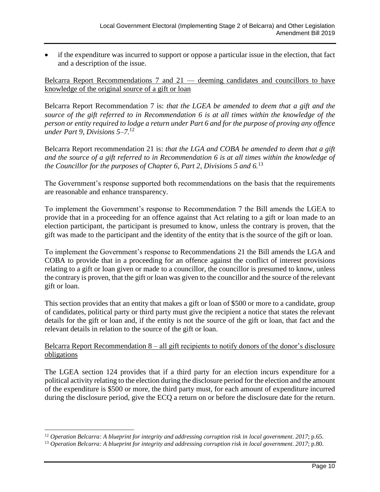• if the expenditure was incurred to support or oppose a particular issue in the election, that fact and a description of the issue.

Belcarra Report Recommendations 7 and 21 — deeming candidates and councillors to have knowledge of the original source of a gift or loan

Belcarra Report Recommendation 7 is: *that the LGEA be amended to deem that a gift and the source of the gift referred to in Recommendation 6 is at all times within the knowledge of the person or entity required to lodge a return under Part 6 and for the purpose of proving any offence under Part 9, Divisions 5–7.* 12

Belcarra Report recommendation 21 is: *that the LGA and COBA be amended to deem that a gift and the source of a gift referred to in Recommendation 6 is at all times within the knowledge of the Councillor for the purposes of Chapter 6, Part 2, Divisions 5 and 6.* 13

The Government's response supported both recommendations on the basis that the requirements are reasonable and enhance transparency.

To implement the Government's response to Recommendation 7 the Bill amends the LGEA to provide that in a proceeding for an offence against that Act relating to a gift or loan made to an election participant, the participant is presumed to know, unless the contrary is proven, that the gift was made to the participant and the identity of the entity that is the source of the gift or loan.

To implement the Government's response to Recommendations 21 the Bill amends the LGA and COBA to provide that in a proceeding for an offence against the conflict of interest provisions relating to a gift or loan given or made to a councillor, the councillor is presumed to know, unless the contrary is proven, that the gift or loan was given to the councillor and the source of the relevant gift or loan.

This section provides that an entity that makes a gift or loan of \$500 or more to a candidate, group of candidates, political party or third party must give the recipient a notice that states the relevant details for the gift or loan and, if the entity is not the source of the gift or loan, that fact and the relevant details in relation to the source of the gift or loan.

#### Belcarra Report Recommendation 8 – all gift recipients to notify donors of the donor's disclosure obligations

The LGEA section 124 provides that if a third party for an election incurs expenditure for a political activity relating to the election during the disclosure period for the election and the amount of the expenditure is \$500 or more, the third party must, for each amount of expenditure incurred during the disclosure period, give the ECQ a return on or before the disclosure date for the return.

<sup>12</sup> *Operation Belcarra: A blueprint for integrity and addressing corruption risk in local government*. *2017*; p.65.

<sup>13</sup> *Operation Belcarra: A blueprint for integrity and addressing corruption risk in local government*. *2017*; p.80.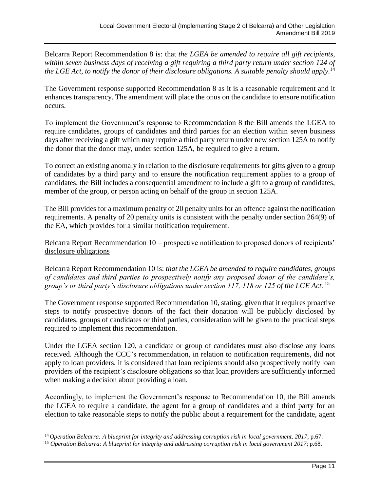Belcarra Report Recommendation 8 is: that *the LGEA be amended to require all gift recipients, within seven business days of receiving a gift requiring a third party return under section 124 of the LGE Act, to notify the donor of their disclosure obligations. A suitable penalty should apply.* 14

The Government response supported Recommendation 8 as it is a reasonable requirement and it enhances transparency. The amendment will place the onus on the candidate to ensure notification occurs.

To implement the Government's response to Recommendation 8 the Bill amends the LGEA to require candidates, groups of candidates and third parties for an election within seven business days after receiving a gift which may require a third party return under new section 125A to notify the donor that the donor may, under section 125A, be required to give a return.

To correct an existing anomaly in relation to the disclosure requirements for gifts given to a group of candidates by a third party and to ensure the notification requirement applies to a group of candidates, the Bill includes a consequential amendment to include a gift to a group of candidates, member of the group, or person acting on behalf of the group in section 125A.

The Bill provides for a maximum penalty of 20 penalty units for an offence against the notification requirements. A penalty of 20 penalty units is consistent with the penalty under section 264(9) of the EA, which provides for a similar notification requirement.

Belcarra Report Recommendation 10 – prospective notification to proposed donors of recipients' disclosure obligations

Belcarra Report Recommendation 10 is: *that the LGEA be amended to require candidates, groups of candidates and third parties to prospectively notify any proposed donor of the candidate's, group's or third party's disclosure obligations under section 117, 118 or 125 of the LGE Act.* <sup>15</sup>

The Government response supported Recommendation 10, stating, given that it requires proactive steps to notify prospective donors of the fact their donation will be publicly disclosed by candidates, groups of candidates or third parties, consideration will be given to the practical steps required to implement this recommendation.

Under the LGEA section 120, a candidate or group of candidates must also disclose any loans received. Although the CCC's recommendation, in relation to notification requirements, did not apply to loan providers, it is considered that loan recipients should also prospectively notify loan providers of the recipient's disclosure obligations so that loan providers are sufficiently informed when making a decision about providing a loan.

Accordingly, to implement the Government's response to Recommendation 10, the Bill amends the LGEA to require a candidate, the agent for a group of candidates and a third party for an election to take reasonable steps to notify the public about a requirement for the candidate, agent

<sup>14</sup> *Operation Belcarra: A blueprint for integrity and addressing corruption risk in local government*. *2017*; p.67.

<sup>15</sup> *Operation Belcarra: A blueprint for integrity and addressing corruption risk in local government 2017*; p.68.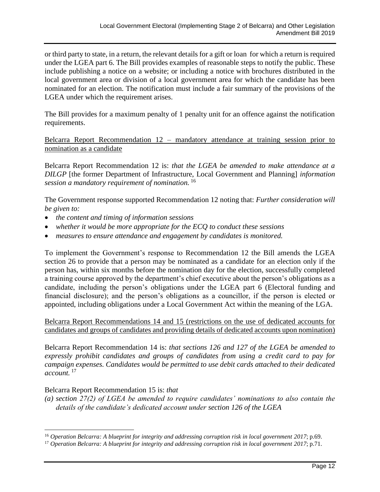or third party to state, in a return, the relevant details for a gift or loan for which a return is required under the LGEA part 6. The Bill provides examples of reasonable steps to notify the public. These include publishing a notice on a website; or including a notice with brochures distributed in the local government area or division of a local government area for which the candidate has been nominated for an election. The notification must include a fair summary of the provisions of the LGEA under which the requirement arises.

The Bill provides for a maximum penalty of 1 penalty unit for an offence against the notification requirements.

Belcarra Report Recommendation 12 – mandatory attendance at training session prior to nomination as a candidate

Belcarra Report Recommendation 12 is: *that the LGEA be amended to make attendance at a DILGP* [the former Department of Infrastructure, Local Government and Planning] *information session a mandatory requirement of nomination.* <sup>16</sup>

The Government response supported Recommendation 12 noting that: *Further consideration will be given to:*

- *the content and timing of information sessions*
- *whether it would be more appropriate for the ECQ to conduct these sessions*
- *measures to ensure attendance and engagement by candidates is monitored.*

To implement the Government's response to Recommendation 12 the Bill amends the LGEA section 26 to provide that a person may be nominated as a candidate for an election only if the person has, within six months before the nomination day for the election, successfully completed a training course approved by the department's chief executive about the person's obligations as a candidate, including the person's obligations under the LGEA part 6 (Electoral funding and financial disclosure); and the person's obligations as a councillor, if the person is elected or appointed, including obligations under a Local Government Act within the meaning of the LGA.

Belcarra Report Recommendations 14 and 15 (restrictions on the use of dedicated accounts for candidates and groups of candidates and providing details of dedicated accounts upon nomination)

Belcarra Report Recommendation 14 is: *that sections 126 and 127 of the LGEA be amended to expressly prohibit candidates and groups of candidates from using a credit card to pay for campaign expenses. Candidates would be permitted to use debit cards attached to their dedicated account.* <sup>17</sup>

#### Belcarra Report Recommendation 15 is: *that*

*(a) section 27(2) of LGEA be amended to require candidates' nominations to also contain the details of the candidate's dedicated account under section 126 of the LGEA*

<sup>16</sup> *Operation Belcarra: A blueprint for integrity and addressing corruption risk in local government 2017*; p.69.

<sup>17</sup> *Operation Belcarra: A blueprint for integrity and addressing corruption risk in local government 2017*; p.71.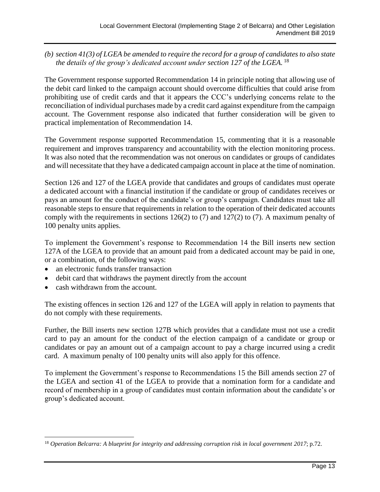#### *(b) section 41(3) of LGEA be amended to require the record for a group of candidates to also state the details of the group's dedicated account under section 127 of the LGEA.* <sup>18</sup>

The Government response supported Recommendation 14 in principle noting that allowing use of the debit card linked to the campaign account should overcome difficulties that could arise from prohibiting use of credit cards and that it appears the CCC's underlying concerns relate to the reconciliation of individual purchases made by a credit card against expenditure from the campaign account. The Government response also indicated that further consideration will be given to practical implementation of Recommendation 14.

The Government response supported Recommendation 15, commenting that it is a reasonable requirement and improves transparency and accountability with the election monitoring process. It was also noted that the recommendation was not onerous on candidates or groups of candidates and will necessitate that they have a dedicated campaign account in place at the time of nomination.

Section 126 and 127 of the LGEA provide that candidates and groups of candidates must operate a dedicated account with a financial institution if the candidate or group of candidates receives or pays an amount for the conduct of the candidate's or group's campaign. Candidates must take all reasonable steps to ensure that requirements in relation to the operation of their dedicated accounts comply with the requirements in sections 126(2) to (7) and 127(2) to (7). A maximum penalty of 100 penalty units applies.

To implement the Government's response to Recommendation 14 the Bill inserts new section 127A of the LGEA to provide that an amount paid from a dedicated account may be paid in one, or a combination, of the following ways:

- an electronic funds transfer transaction
- debit card that withdraws the payment directly from the account
- cash withdrawn from the account.

 $\overline{a}$ 

The existing offences in section 126 and 127 of the LGEA will apply in relation to payments that do not comply with these requirements.

Further, the Bill inserts new section 127B which provides that a candidate must not use a credit card to pay an amount for the conduct of the election campaign of a candidate or group or candidates or pay an amount out of a campaign account to pay a charge incurred using a credit card. A maximum penalty of 100 penalty units will also apply for this offence.

To implement the Government's response to Recommendations 15 the Bill amends section 27 of the LGEA and section 41 of the LGEA to provide that a nomination form for a candidate and record of membership in a group of candidates must contain information about the candidate's or group's dedicated account.

<sup>18</sup> *Operation Belcarra: A blueprint for integrity and addressing corruption risk in local government 2017*; p.72.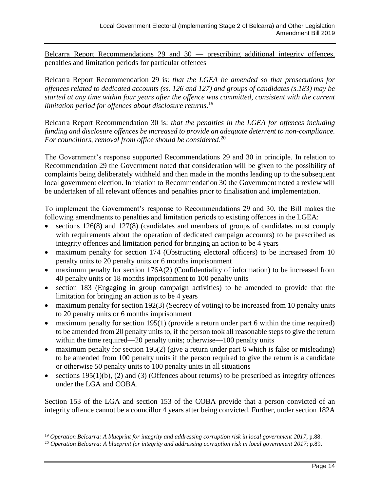Belcarra Report Recommendations 29 and 30 — prescribing additional integrity offences, penalties and limitation periods for particular offences

Belcarra Report Recommendation 29 is: *that the LGEA be amended so that prosecutions for offences related to dedicated accounts (ss. 126 and 127) and groups of candidates (s.183) may be started at any time within four years after the offence was committed, consistent with the current limitation period for offences about disclosure returns*. 19

Belcarra Report Recommendation 30 is: *that the penalties in the LGEA for offences including funding and disclosure offences be increased to provide an adequate deterrent to non-compliance. For councillors, removal from office should be considered*. 20

The Government's response supported Recommendations 29 and 30 in principle. In relation to Recommendation 29 the Government noted that consideration will be given to the possibility of complaints being deliberately withheld and then made in the months leading up to the subsequent local government election. In relation to Recommendation 30 the Government noted a review will be undertaken of all relevant offences and penalties prior to finalisation and implementation.

To implement the Government's response to Recommendations 29 and 30, the Bill makes the following amendments to penalties and limitation periods to existing offences in the LGEA:

- sections 126(8) and 127(8) (candidates and members of groups of candidates must comply with requirements about the operation of dedicated campaign accounts) to be prescribed as integrity offences and limitation period for bringing an action to be 4 years
- maximum penalty for section 174 (Obstructing electoral officers) to be increased from 10 penalty units to 20 penalty units or 6 months imprisonment
- maximum penalty for section 176A(2) (Confidentiality of information) to be increased from 40 penalty units or 18 months imprisonment to 100 penalty units
- section 183 (Engaging in group campaign activities) to be amended to provide that the limitation for bringing an action is to be 4 years
- maximum penalty for section 192(3) (Secrecy of voting) to be increased from 10 penalty units to 20 penalty units or 6 months imprisonment
- maximum penalty for section  $195(1)$  (provide a return under part 6 within the time required) to be amended from 20 penalty units to, if the person took all reasonable steps to give the return within the time required—20 penalty units; otherwise—100 penalty units
- maximum penalty for section 195(2) (give a return under part 6 which is false or misleading) to be amended from 100 penalty units if the person required to give the return is a candidate or otherwise 50 penalty units to 100 penalty units in all situations
- sections  $195(1)(b)$ , (2) and (3) (Offences about returns) to be prescribed as integrity offences under the LGA and COBA.

Section 153 of the LGA and section 153 of the COBA provide that a person convicted of an integrity offence cannot be a councillor 4 years after being convicted. Further, under section 182A

<sup>19</sup> *Operation Belcarra: A blueprint for integrity and addressing corruption risk in local government 2017*; p.88.

<sup>20</sup> *Operation Belcarra: A blueprint for integrity and addressing corruption risk in local government 2017*; p.89.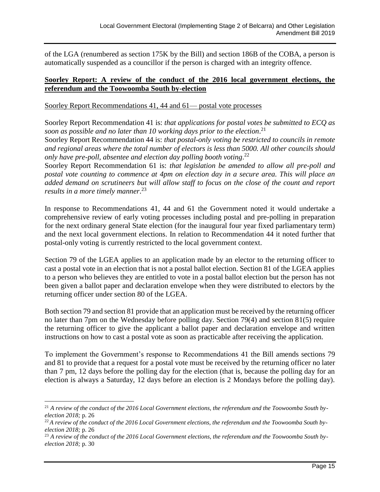of the LGA (renumbered as section 175K by the Bill) and section 186B of the COBA, a person is automatically suspended as a councillor if the person is charged with an integrity offence.

#### **Soorley Report: A review of the conduct of the 2016 local government elections, the referendum and the Toowoomba South by-election**

Soorley Report Recommendations 41, 44 and 61— postal vote processes

Soorley Report Recommendation 41 is: *that applications for postal votes be submitted to ECQ as soon as possible and no later than 10 working days prior to the election*. 21

Soorley Report Recommendation 44 is: *that postal-only voting be restricted to councils in remote and regional areas where the total number of electors is less than 5000. All other councils should only have pre-poll, absentee and election day polling booth voting*. 22

Soorley Report Recommendation 61 is: *that legislation be amended to allow all pre-poll and postal vote counting to commence at 4pm on election day in a secure area. This will place an added demand on scrutineers but will allow staff to focus on the close of the count and report results in a more timely manner*. 23

In response to Recommendations 41, 44 and 61 the Government noted it would undertake a comprehensive review of early voting processes including postal and pre-polling in preparation for the next ordinary general State election (for the inaugural four year fixed parliamentary term) and the next local government elections. In relation to Recommendation 44 it noted further that postal-only voting is currently restricted to the local government context.

Section 79 of the LGEA applies to an application made by an elector to the returning officer to cast a postal vote in an election that is not a postal ballot election. Section 81 of the LGEA applies to a person who believes they are entitled to vote in a postal ballot election but the person has not been given a ballot paper and declaration envelope when they were distributed to electors by the returning officer under section 80 of the LGEA.

Both section 79 and section 81 provide that an application must be received by the returning officer no later than 7pm on the Wednesday before polling day. Section 79(4) and section 81(5) require the returning officer to give the applicant a ballot paper and declaration envelope and written instructions on how to cast a postal vote as soon as practicable after receiving the application.

To implement the Government's response to Recommendations 41 the Bill amends sections 79 and 81 to provide that a request for a postal vote must be received by the returning officer no later than 7 pm, 12 days before the polling day for the election (that is, because the polling day for an election is always a Saturday, 12 days before an election is 2 Mondays before the polling day).

l

<sup>&</sup>lt;sup>21</sup> A review of the conduct of the 2016 Local Government elections, the referendum and the Toowoomba South by*election 2018;* p. 26

<sup>&</sup>lt;sup>22</sup> A review of the conduct of the 2016 Local Government elections, the referendum and the Toowoomba South by*election 2018;* p. 26

<sup>&</sup>lt;sup>23</sup> A review of the conduct of the 2016 Local Government elections, the referendum and the Toowoomba South by*election 2018;* p. 30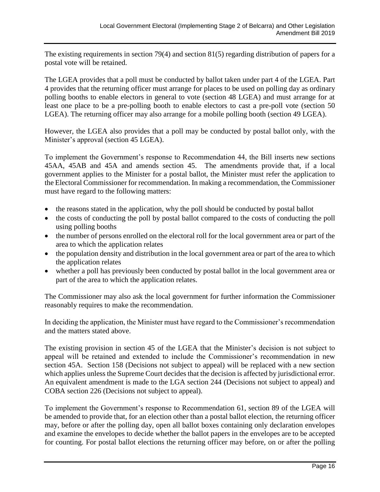The existing requirements in section 79(4) and section 81(5) regarding distribution of papers for a postal vote will be retained.

The LGEA provides that a poll must be conducted by ballot taken under part 4 of the LGEA. Part 4 provides that the returning officer must arrange for places to be used on polling day as ordinary polling booths to enable electors in general to vote (section 48 LGEA) and must arrange for at least one place to be a pre-polling booth to enable electors to cast a pre-poll vote (section 50 LGEA). The returning officer may also arrange for a mobile polling booth (section 49 LGEA).

However, the LGEA also provides that a poll may be conducted by postal ballot only, with the Minister's approval (section 45 LGEA).

To implement the Government's response to Recommendation 44, the Bill inserts new sections 45AA, 45AB and 45A and amends section 45. The amendments provide that, if a local government applies to the Minister for a postal ballot, the Minister must refer the application to the Electoral Commissioner for recommendation. In making a recommendation, the Commissioner must have regard to the following matters:

- the reasons stated in the application, why the poll should be conducted by postal ballot
- the costs of conducting the poll by postal ballot compared to the costs of conducting the poll using polling booths
- the number of persons enrolled on the electoral roll for the local government area or part of the area to which the application relates
- the population density and distribution in the local government area or part of the area to which the application relates
- whether a poll has previously been conducted by postal ballot in the local government area or part of the area to which the application relates.

The Commissioner may also ask the local government for further information the Commissioner reasonably requires to make the recommendation.

In deciding the application, the Minister must have regard to the Commissioner's recommendation and the matters stated above.

The existing provision in section 45 of the LGEA that the Minister's decision is not subject to appeal will be retained and extended to include the Commissioner's recommendation in new section 45A. Section 158 (Decisions not subject to appeal) will be replaced with a new section which applies unless the Supreme Court decides that the decision is affected by jurisdictional error. An equivalent amendment is made to the LGA section 244 (Decisions not subject to appeal) and COBA section 226 (Decisions not subject to appeal).

To implement the Government's response to Recommendation 61, section 89 of the LGEA will be amended to provide that, for an election other than a postal ballot election, the returning officer may, before or after the polling day, open all ballot boxes containing only declaration envelopes and examine the envelopes to decide whether the ballot papers in the envelopes are to be accepted for counting. For postal ballot elections the returning officer may before, on or after the polling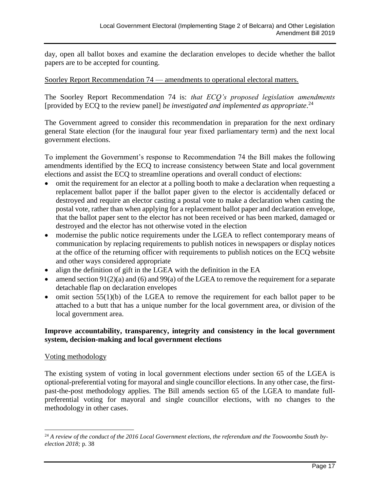day, open all ballot boxes and examine the declaration envelopes to decide whether the ballot papers are to be accepted for counting.

#### Soorley Report Recommendation 74 — amendments to operational electoral matters.

The Soorley Report Recommendation 74 is: *that ECQ's proposed legislation amendments*  [provided by ECQ to the review panel] *be investigated and implemented as appropriate*. 24

The Government agreed to consider this recommendation in preparation for the next ordinary general State election (for the inaugural four year fixed parliamentary term) and the next local government elections.

To implement the Government's response to Recommendation 74 the Bill makes the following amendments identified by the ECQ to increase consistency between State and local government elections and assist the ECQ to streamline operations and overall conduct of elections:

- omit the requirement for an elector at a polling booth to make a declaration when requesting a replacement ballot paper if the ballot paper given to the elector is accidentally defaced or destroyed and require an elector casting a postal vote to make a declaration when casting the postal vote, rather than when applying for a replacement ballot paper and declaration envelope, that the ballot paper sent to the elector has not been received or has been marked, damaged or destroyed and the elector has not otherwise voted in the election
- modernise the public notice requirements under the LGEA to reflect contemporary means of communication by replacing requirements to publish notices in newspapers or display notices at the office of the returning officer with requirements to publish notices on the ECQ website and other ways considered appropriate
- align the definition of gift in the LGEA with the definition in the EA
- amend section  $91(2)(a)$  and  $(6)$  and  $99(a)$  of the LGEA to remove the requirement for a separate detachable flap on declaration envelopes
- omit section 55(1)(b) of the LGEA to remove the requirement for each ballot paper to be attached to a butt that has a unique number for the local government area, or division of the local government area.

#### **Improve accountability, transparency, integrity and consistency in the local government system, decision-making and local government elections**

#### Voting methodology

The existing system of voting in local government elections under section 65 of the LGEA is optional-preferential voting for mayoral and single councillor elections. In any other case, the firstpast-the-post methodology applies. The Bill amends section 65 of the LGEA to mandate fullpreferential voting for mayoral and single councillor elections, with no changes to the methodology in other cases.

<sup>&</sup>lt;sup>24</sup> A review of the conduct of the 2016 Local Government elections, the referendum and the Toowoomba South by*election 2018;* p. 38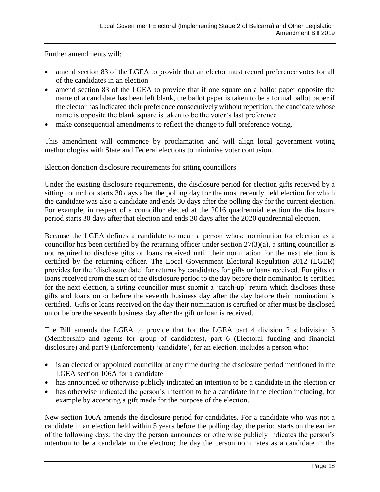Further amendments will:

- amend section 83 of the LGEA to provide that an elector must record preference votes for all of the candidates in an election
- amend section 83 of the LGEA to provide that if one square on a ballot paper opposite the name of a candidate has been left blank, the ballot paper is taken to be a formal ballot paper if the elector has indicated their preference consecutively without repetition, the candidate whose name is opposite the blank square is taken to be the voter's last preference
- make consequential amendments to reflect the change to full preference voting.

This amendment will commence by proclamation and will align local government voting methodologies with State and Federal elections to minimise voter confusion.

#### Election donation disclosure requirements for sitting councillors

Under the existing disclosure requirements, the disclosure period for election gifts received by a sitting councillor starts 30 days after the polling day for the most recently held election for which the candidate was also a candidate and ends 30 days after the polling day for the current election. For example, in respect of a councillor elected at the 2016 quadrennial election the disclosure period starts 30 days after that election and ends 30 days after the 2020 quadrennial election.

Because the LGEA defines a candidate to mean a person whose nomination for election as a councillor has been certified by the returning officer under section 27(3)(a), a sitting councillor is not required to disclose gifts or loans received until their nomination for the next election is certified by the returning officer. The Local Government Electoral Regulation 2012 (LGER) provides for the 'disclosure date' for returns by candidates for gifts or loans received. For gifts or loans received from the start of the disclosure period to the day before their nomination is certified for the next election, a sitting councillor must submit a 'catch-up' return which discloses these gifts and loans on or before the seventh business day after the day before their nomination is certified. Gifts or loans received on the day their nomination is certified or after must be disclosed on or before the seventh business day after the gift or loan is received.

The Bill amends the LGEA to provide that for the LGEA part 4 division 2 subdivision 3 (Membership and agents for group of candidates), part 6 (Electoral funding and financial disclosure) and part 9 (Enforcement) 'candidate', for an election, includes a person who:

- is an elected or appointed councillor at any time during the disclosure period mentioned in the LGEA section 106A for a candidate
- has announced or otherwise publicly indicated an intention to be a candidate in the election or
- has otherwise indicated the person's intention to be a candidate in the election including, for example by accepting a gift made for the purpose of the election.

New section 106A amends the disclosure period for candidates. For a candidate who was not a candidate in an election held within 5 years before the polling day, the period starts on the earlier of the following days: the day the person announces or otherwise publicly indicates the person's intention to be a candidate in the election; the day the person nominates as a candidate in the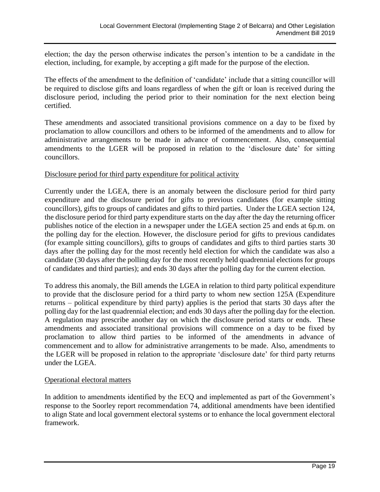election; the day the person otherwise indicates the person's intention to be a candidate in the election, including, for example, by accepting a gift made for the purpose of the election.

The effects of the amendment to the definition of 'candidate' include that a sitting councillor will be required to disclose gifts and loans regardless of when the gift or loan is received during the disclosure period, including the period prior to their nomination for the next election being certified.

These amendments and associated transitional provisions commence on a day to be fixed by proclamation to allow councillors and others to be informed of the amendments and to allow for administrative arrangements to be made in advance of commencement. Also, consequential amendments to the LGER will be proposed in relation to the 'disclosure date' for sitting councillors.

#### Disclosure period for third party expenditure for political activity

Currently under the LGEA, there is an anomaly between the disclosure period for third party expenditure and the disclosure period for gifts to previous candidates (for example sitting councillors), gifts to groups of candidates and gifts to third parties. Under the LGEA section 124, the disclosure period for third party expenditure starts on the day after the day the returning officer publishes notice of the election in a newspaper under the LGEA section 25 and ends at 6p.m. on the polling day for the election. However, the disclosure period for gifts to previous candidates (for example sitting councillors), gifts to groups of candidates and gifts to third parties starts 30 days after the polling day for the most recently held election for which the candidate was also a candidate (30 days after the polling day for the most recently held quadrennial elections for groups of candidates and third parties); and ends 30 days after the polling day for the current election.

To address this anomaly, the Bill amends the LGEA in relation to third party political expenditure to provide that the disclosure period for a third party to whom new section 125A (Expenditure returns – political expenditure by third party) applies is the period that starts 30 days after the polling day for the last quadrennial election; and ends 30 days after the polling day for the election. A regulation may prescribe another day on which the disclosure period starts or ends. These amendments and associated transitional provisions will commence on a day to be fixed by proclamation to allow third parties to be informed of the amendments in advance of commencement and to allow for administrative arrangements to be made. Also, amendments to the LGER will be proposed in relation to the appropriate 'disclosure date' for third party returns under the LGEA.

#### Operational electoral matters

In addition to amendments identified by the ECQ and implemented as part of the Government's response to the Soorley report recommendation 74, additional amendments have been identified to align State and local government electoral systems or to enhance the local government electoral framework.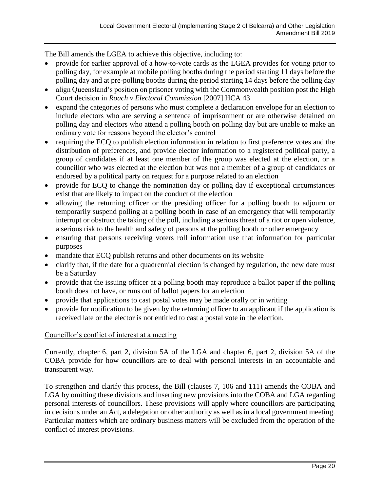The Bill amends the LGEA to achieve this objective, including to:

- provide for earlier approval of a how-to-vote cards as the LGEA provides for voting prior to polling day, for example at mobile polling booths during the period starting 11 days before the polling day and at pre-polling booths during the period starting 14 days before the polling day
- align Queensland's position on prisoner voting with the Commonwealth position post the High Court decision in *Roach v Electoral Commission* [2007] HCA 43
- expand the categories of persons who must complete a declaration envelope for an election to include electors who are serving a sentence of imprisonment or are otherwise detained on polling day and electors who attend a polling booth on polling day but are unable to make an ordinary vote for reasons beyond the elector's control
- requiring the ECQ to publish election information in relation to first preference votes and the distribution of preferences, and provide elector information to a registered political party, a group of candidates if at least one member of the group was elected at the election, or a councillor who was elected at the election but was not a member of a group of candidates or endorsed by a political party on request for a purpose related to an election
- provide for ECQ to change the nomination day or polling day if exceptional circumstances exist that are likely to impact on the conduct of the election
- allowing the returning officer or the presiding officer for a polling booth to adjourn or temporarily suspend polling at a polling booth in case of an emergency that will temporarily interrupt or obstruct the taking of the poll, including a serious threat of a riot or open violence, a serious risk to the health and safety of persons at the polling booth or other emergency
- ensuring that persons receiving voters roll information use that information for particular purposes
- mandate that ECQ publish returns and other documents on its website
- clarify that, if the date for a quadrennial election is changed by regulation, the new date must be a Saturday
- provide that the issuing officer at a polling booth may reproduce a ballot paper if the polling booth does not have, or runs out of ballot papers for an election
- provide that applications to cast postal votes may be made orally or in writing
- provide for notification to be given by the returning officer to an applicant if the application is received late or the elector is not entitled to cast a postal vote in the election.

#### Councillor's conflict of interest at a meeting

Currently, chapter 6, part 2, division 5A of the LGA and chapter 6, part 2, division 5A of the COBA provide for how councillors are to deal with personal interests in an accountable and transparent way.

To strengthen and clarify this process, the Bill (clauses 7, 106 and 111) amends the COBA and LGA by omitting these divisions and inserting new provisions into the COBA and LGA regarding personal interests of councillors. These provisions will apply where councillors are participating in decisions under an Act, a delegation or other authority as well as in a local government meeting. Particular matters which are ordinary business matters will be excluded from the operation of the conflict of interest provisions.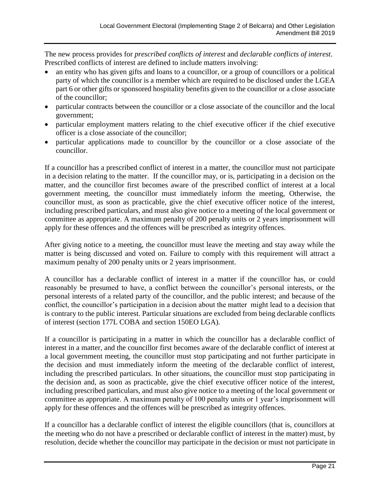The new process provides for *prescribed conflicts of interest* and *declarable conflicts of interest*. Prescribed conflicts of interest are defined to include matters involving:

- an entity who has given gifts and loans to a councillor, or a group of councillors or a political party of which the councillor is a member which are required to be disclosed under the LGEA part 6 or other gifts or sponsored hospitality benefits given to the councillor or a close associate of the councillor;
- particular contracts between the councillor or a close associate of the councillor and the local government;
- particular employment matters relating to the chief executive officer if the chief executive officer is a close associate of the councillor;
- particular applications made to councillor by the councillor or a close associate of the councillor.

If a councillor has a prescribed conflict of interest in a matter, the councillor must not participate in a decision relating to the matter. If the councillor may, or is, participating in a decision on the matter, and the councillor first becomes aware of the prescribed conflict of interest at a local government meeting, the councillor must immediately inform the meeting, Otherwise, the councillor must, as soon as practicable, give the chief executive officer notice of the interest, including prescribed particulars, and must also give notice to a meeting of the local government or committee as appropriate. A maximum penalty of 200 penalty units or 2 years imprisonment will apply for these offences and the offences will be prescribed as integrity offences.

After giving notice to a meeting, the councillor must leave the meeting and stay away while the matter is being discussed and voted on. Failure to comply with this requirement will attract a maximum penalty of 200 penalty units or 2 years imprisonment.

A councillor has a declarable conflict of interest in a matter if the councillor has, or could reasonably be presumed to have, a conflict between the councillor's personal interests, or the personal interests of a related party of the councillor, and the public interest; and because of the conflict, the councillor's participation in a decision about the matter might lead to a decision that is contrary to the public interest. Particular situations are excluded from being declarable conflicts of interest (section 177L COBA and section 150EO LGA).

If a councillor is participating in a matter in which the councillor has a declarable conflict of interest in a matter, and the councillor first becomes aware of the declarable conflict of interest at a local government meeting, the councillor must stop participating and not further participate in the decision and must immediately inform the meeting of the declarable conflict of interest, including the prescribed particulars. In other situations, the councillor must stop participating in the decision and, as soon as practicable, give the chief executive officer notice of the interest, including prescribed particulars, and must also give notice to a meeting of the local government or committee as appropriate. A maximum penalty of 100 penalty units or 1 year's imprisonment will apply for these offences and the offences will be prescribed as integrity offences.

If a councillor has a declarable conflict of interest the eligible councillors (that is, councillors at the meeting who do not have a prescribed or declarable conflict of interest in the matter) must, by resolution, decide whether the councillor may participate in the decision or must not participate in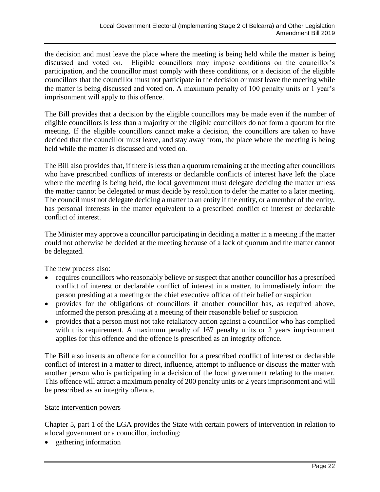the decision and must leave the place where the meeting is being held while the matter is being discussed and voted on. Eligible councillors may impose conditions on the councillor's participation, and the councillor must comply with these conditions, or a decision of the eligible councillors that the councillor must not participate in the decision or must leave the meeting while the matter is being discussed and voted on. A maximum penalty of 100 penalty units or 1 year's imprisonment will apply to this offence.

The Bill provides that a decision by the eligible councillors may be made even if the number of eligible councillors is less than a majority or the eligible councillors do not form a quorum for the meeting. If the eligible councillors cannot make a decision, the councillors are taken to have decided that the councillor must leave, and stay away from, the place where the meeting is being held while the matter is discussed and voted on.

The Bill also provides that, if there is less than a quorum remaining at the meeting after councillors who have prescribed conflicts of interests or declarable conflicts of interest have left the place where the meeting is being held, the local government must delegate deciding the matter unless the matter cannot be delegated or must decide by resolution to defer the matter to a later meeting. The council must not delegate deciding a matter to an entity if the entity, or a member of the entity, has personal interests in the matter equivalent to a prescribed conflict of interest or declarable conflict of interest.

The Minister may approve a councillor participating in deciding a matter in a meeting if the matter could not otherwise be decided at the meeting because of a lack of quorum and the matter cannot be delegated.

The new process also:

- requires councillors who reasonably believe or suspect that another councillor has a prescribed conflict of interest or declarable conflict of interest in a matter, to immediately inform the person presiding at a meeting or the chief executive officer of their belief or suspicion
- provides for the obligations of councillors if another councillor has, as required above, informed the person presiding at a meeting of their reasonable belief or suspicion
- provides that a person must not take retaliatory action against a councillor who has complied with this requirement. A maximum penalty of 167 penalty units or 2 years imprisonment applies for this offence and the offence is prescribed as an integrity offence.

The Bill also inserts an offence for a councillor for a prescribed conflict of interest or declarable conflict of interest in a matter to direct, influence, attempt to influence or discuss the matter with another person who is participating in a decision of the local government relating to the matter. This offence will attract a maximum penalty of 200 penalty units or 2 years imprisonment and will be prescribed as an integrity offence.

#### State intervention powers

Chapter 5, part 1 of the LGA provides the State with certain powers of intervention in relation to a local government or a councillor, including:

• gathering information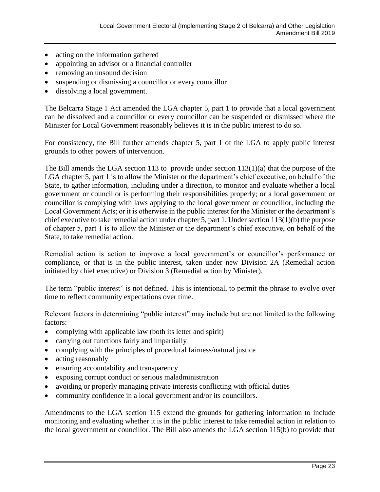- acting on the information gathered
- appointing an advisor or a financial controller
- removing an unsound decision
- suspending or dismissing a councillor or every councillor
- dissolving a local government.

The Belcarra Stage 1 Act amended the LGA chapter 5, part 1 to provide that a local government can be dissolved and a councillor or every councillor can be suspended or dismissed where the Minister for Local Government reasonably believes it is in the public interest to do so.

For consistency, the Bill further amends chapter 5, part 1 of the LGA to apply public interest grounds to other powers of intervention.

The Bill amends the LGA section 113 to provide under section 113(1)(a) that the purpose of the LGA chapter 5, part 1 is to allow the Minister or the department's chief executive, on behalf of the State, to gather information, including under a direction, to monitor and evaluate whether a local government or councillor is performing their responsibilities properly; or a local government or councillor is complying with laws applying to the local government or councillor, including the Local Government Acts; or it is otherwise in the public interest for the Minister or the department's chief executive to take remedial action under chapter 5, part 1. Under section 113(1)(b) the purpose of chapter 5, part 1 is to allow the Minister or the department's chief executive, on behalf of the State, to take remedial action.

Remedial action is action to improve a local government's or councillor's performance or compliance, or that is in the public interest, taken under new Division 2A (Remedial action initiated by chief executive) or Division 3 (Remedial action by Minister).

The term "public interest" is not defined. This is intentional, to permit the phrase to evolve over time to reflect community expectations over time.

Relevant factors in determining "public interest" may include but are not limited to the following factors:

- complying with applicable law (both its letter and spirit)
- carrying out functions fairly and impartially
- complying with the principles of procedural fairness/natural justice
- acting reasonably
- ensuring accountability and transparency
- exposing corrupt conduct or serious maladministration
- avoiding or properly managing private interests conflicting with official duties
- community confidence in a local government and/or its councillors.

Amendments to the LGA section 115 extend the grounds for gathering information to include monitoring and evaluating whether it is in the public interest to take remedial action in relation to the local government or councillor. The Bill also amends the LGA section 115(b) to provide that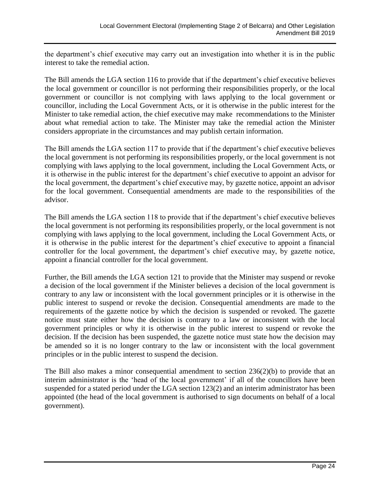the department's chief executive may carry out an investigation into whether it is in the public interest to take the remedial action.

The Bill amends the LGA section 116 to provide that if the department's chief executive believes the local government or councillor is not performing their responsibilities properly, or the local government or councillor is not complying with laws applying to the local government or councillor, including the Local Government Acts, or it is otherwise in the public interest for the Minister to take remedial action, the chief executive may make recommendations to the Minister about what remedial action to take. The Minister may take the remedial action the Minister considers appropriate in the circumstances and may publish certain information.

The Bill amends the LGA section 117 to provide that if the department's chief executive believes the local government is not performing its responsibilities properly, or the local government is not complying with laws applying to the local government, including the Local Government Acts, or it is otherwise in the public interest for the department's chief executive to appoint an advisor for the local government, the department's chief executive may, by gazette notice, appoint an advisor for the local government. Consequential amendments are made to the responsibilities of the advisor.

The Bill amends the LGA section 118 to provide that if the department's chief executive believes the local government is not performing its responsibilities properly, or the local government is not complying with laws applying to the local government, including the Local Government Acts, or it is otherwise in the public interest for the department's chief executive to appoint a financial controller for the local government, the department's chief executive may, by gazette notice, appoint a financial controller for the local government.

Further, the Bill amends the LGA section 121 to provide that the Minister may suspend or revoke a decision of the local government if the Minister believes a decision of the local government is contrary to any law or inconsistent with the local government principles or it is otherwise in the public interest to suspend or revoke the decision. Consequential amendments are made to the requirements of the gazette notice by which the decision is suspended or revoked. The gazette notice must state either how the decision is contrary to a law or inconsistent with the local government principles or why it is otherwise in the public interest to suspend or revoke the decision. If the decision has been suspended, the gazette notice must state how the decision may be amended so it is no longer contrary to the law or inconsistent with the local government principles or in the public interest to suspend the decision.

The Bill also makes a minor consequential amendment to section 236(2)(b) to provide that an interim administrator is the 'head of the local government' if all of the councillors have been suspended for a stated period under the LGA section 123(2) and an interim administrator has been appointed (the head of the local government is authorised to sign documents on behalf of a local government).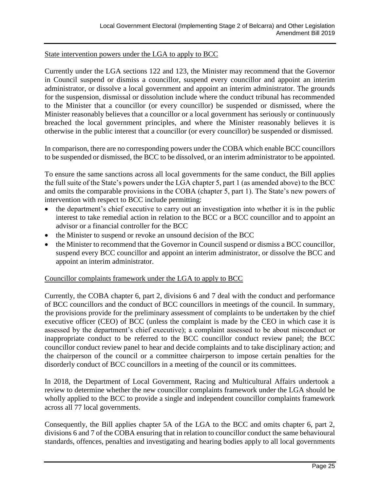#### State intervention powers under the LGA to apply to BCC

Currently under the LGA sections 122 and 123, the Minister may recommend that the Governor in Council suspend or dismiss a councillor, suspend every councillor and appoint an interim administrator, or dissolve a local government and appoint an interim administrator. The grounds for the suspension, dismissal or dissolution include where the conduct tribunal has recommended to the Minister that a councillor (or every councillor) be suspended or dismissed, where the Minister reasonably believes that a councillor or a local government has seriously or continuously breached the local government principles, and where the Minister reasonably believes it is otherwise in the public interest that a councillor (or every councillor) be suspended or dismissed.

In comparison, there are no corresponding powers under the COBA which enable BCC councillors to be suspended or dismissed, the BCC to be dissolved, or an interim administrator to be appointed.

To ensure the same sanctions across all local governments for the same conduct, the Bill applies the full suite of the State's powers under the LGA chapter 5, part 1 (as amended above) to the BCC and omits the comparable provisions in the COBA (chapter 5, part 1). The State's new powers of intervention with respect to BCC include permitting:

- the department's chief executive to carry out an investigation into whether it is in the public interest to take remedial action in relation to the BCC or a BCC councillor and to appoint an advisor or a financial controller for the BCC
- the Minister to suspend or revoke an unsound decision of the BCC
- the Minister to recommend that the Governor in Council suspend or dismiss a BCC councillor, suspend every BCC councillor and appoint an interim administrator, or dissolve the BCC and appoint an interim administrator.

#### Councillor complaints framework under the LGA to apply to BCC

Currently, the COBA chapter 6, part 2, divisions 6 and 7 deal with the conduct and performance of BCC councillors and the conduct of BCC councillors in meetings of the council. In summary, the provisions provide for the preliminary assessment of complaints to be undertaken by the chief executive officer (CEO) of BCC (unless the complaint is made by the CEO in which case it is assessed by the department's chief executive); a complaint assessed to be about misconduct or inappropriate conduct to be referred to the BCC councillor conduct review panel; the BCC councillor conduct review panel to hear and decide complaints and to take disciplinary action; and the chairperson of the council or a committee chairperson to impose certain penalties for the disorderly conduct of BCC councillors in a meeting of the council or its committees.

In 2018, the Department of Local Government, Racing and Multicultural Affairs undertook a review to determine whether the new councillor complaints framework under the LGA should be wholly applied to the BCC to provide a single and independent councillor complaints framework across all 77 local governments.

Consequently, the Bill applies chapter 5A of the LGA to the BCC and omits chapter 6, part 2, divisions 6 and 7 of the COBA ensuring that in relation to councillor conduct the same behavioural standards, offences, penalties and investigating and hearing bodies apply to all local governments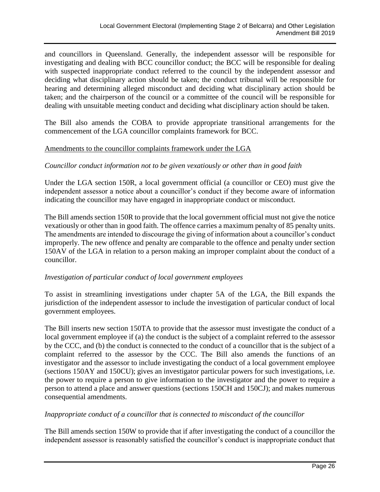and councillors in Queensland. Generally, the independent assessor will be responsible for investigating and dealing with BCC councillor conduct; the BCC will be responsible for dealing with suspected inappropriate conduct referred to the council by the independent assessor and deciding what disciplinary action should be taken; the conduct tribunal will be responsible for hearing and determining alleged misconduct and deciding what disciplinary action should be taken; and the chairperson of the council or a committee of the council will be responsible for dealing with unsuitable meeting conduct and deciding what disciplinary action should be taken.

The Bill also amends the COBA to provide appropriate transitional arrangements for the commencement of the LGA councillor complaints framework for BCC.

#### Amendments to the councillor complaints framework under the LGA

#### *Councillor conduct information not to be given vexatiously or other than in good faith*

Under the LGA section 150R, a local government official (a councillor or CEO) must give the independent assessor a notice about a councillor's conduct if they become aware of information indicating the councillor may have engaged in inappropriate conduct or misconduct.

The Bill amends section 150R to provide that the local government official must not give the notice vexatiously or other than in good faith. The offence carries a maximum penalty of 85 penalty units. The amendments are intended to discourage the giving of information about a councillor's conduct improperly. The new offence and penalty are comparable to the offence and penalty under section 150AV of the LGA in relation to a person making an improper complaint about the conduct of a councillor.

#### *Investigation of particular conduct of local government employees*

To assist in streamlining investigations under chapter 5A of the LGA, the Bill expands the jurisdiction of the independent assessor to include the investigation of particular conduct of local government employees.

The Bill inserts new section 150TA to provide that the assessor must investigate the conduct of a local government employee if (a) the conduct is the subject of a complaint referred to the assessor by the CCC, and (b) the conduct is connected to the conduct of a councillor that is the subject of a complaint referred to the assessor by the CCC. The Bill also amends the functions of an investigator and the assessor to include investigating the conduct of a local government employee (sections 150AY and 150CU); gives an investigator particular powers for such investigations, i.e. the power to require a person to give information to the investigator and the power to require a person to attend a place and answer questions (sections 150CH and 150CJ); and makes numerous consequential amendments.

#### *Inappropriate conduct of a councillor that is connected to misconduct of the councillor*

The Bill amends section 150W to provide that if after investigating the conduct of a councillor the independent assessor is reasonably satisfied the councillor's conduct is inappropriate conduct that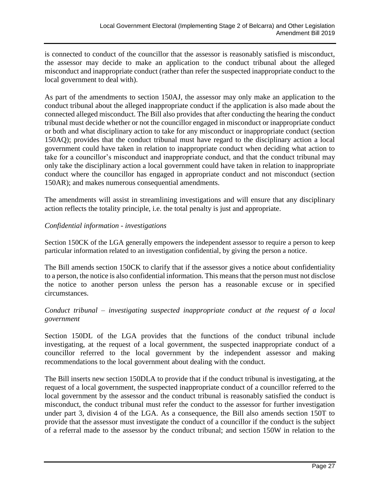is connected to conduct of the councillor that the assessor is reasonably satisfied is misconduct, the assessor may decide to make an application to the conduct tribunal about the alleged misconduct and inappropriate conduct (rather than refer the suspected inappropriate conduct to the local government to deal with).

As part of the amendments to section 150AJ, the assessor may only make an application to the conduct tribunal about the alleged inappropriate conduct if the application is also made about the connected alleged misconduct. The Bill also provides that after conducting the hearing the conduct tribunal must decide whether or not the councillor engaged in misconduct or inappropriate conduct or both and what disciplinary action to take for any misconduct or inappropriate conduct (section 150AQ); provides that the conduct tribunal must have regard to the disciplinary action a local government could have taken in relation to inappropriate conduct when deciding what action to take for a councillor's misconduct and inappropriate conduct, and that the conduct tribunal may only take the disciplinary action a local government could have taken in relation to inappropriate conduct where the councillor has engaged in appropriate conduct and not misconduct (section 150AR); and makes numerous consequential amendments.

The amendments will assist in streamlining investigations and will ensure that any disciplinary action reflects the totality principle, i.e. the total penalty is just and appropriate.

#### *Confidential information - investigations*

Section 150CK of the LGA generally empowers the independent assessor to require a person to keep particular information related to an investigation confidential, by giving the person a notice.

The Bill amends section 150CK to clarify that if the assessor gives a notice about confidentiality to a person, the notice is also confidential information. This means that the person must not disclose the notice to another person unless the person has a reasonable excuse or in specified circumstances.

*Conduct tribunal – investigating suspected inappropriate conduct at the request of a local government*

Section 150DL of the LGA provides that the functions of the conduct tribunal include investigating, at the request of a local government, the suspected inappropriate conduct of a councillor referred to the local government by the independent assessor and making recommendations to the local government about dealing with the conduct.

The Bill inserts new section 150DLA to provide that if the conduct tribunal is investigating, at the request of a local government, the suspected inappropriate conduct of a councillor referred to the local government by the assessor and the conduct tribunal is reasonably satisfied the conduct is misconduct, the conduct tribunal must refer the conduct to the assessor for further investigation under part 3, division 4 of the LGA. As a consequence, the Bill also amends section 150T to provide that the assessor must investigate the conduct of a councillor if the conduct is the subject of a referral made to the assessor by the conduct tribunal; and section 150W in relation to the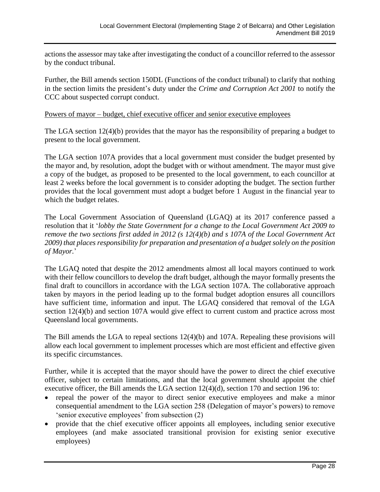actions the assessor may take after investigating the conduct of a councillor referred to the assessor by the conduct tribunal.

Further, the Bill amends section 150DL (Functions of the conduct tribunal) to clarify that nothing in the section limits the president's duty under the *Crime and Corruption Act 2001* to notify the CCC about suspected corrupt conduct.

#### Powers of mayor – budget, chief executive officer and senior executive employees

The LGA section  $12(4)(b)$  provides that the mayor has the responsibility of preparing a budget to present to the local government.

The LGA section 107A provides that a local government must consider the budget presented by the mayor and, by resolution, adopt the budget with or without amendment. The mayor must give a copy of the budget, as proposed to be presented to the local government, to each councillor at least 2 weeks before the local government is to consider adopting the budget. The section further provides that the local government must adopt a budget before 1 August in the financial year to which the budget relates.

The Local Government Association of Queensland (LGAQ) at its 2017 conference passed a resolution that it '*lobby the State Government for a change to the Local Government Act 2009 to remove the two sections first added in 2012 (s 12(4)(b) and s 107A of the Local Government Act 2009) that places responsibility for preparation and presentation of a budget solely on the position of Mayor.*'

The LGAQ noted that despite the 2012 amendments almost all local mayors continued to work with their fellow councillors to develop the draft budget, although the mayor formally presents the final draft to councillors in accordance with the LGA section 107A. The collaborative approach taken by mayors in the period leading up to the formal budget adoption ensures all councillors have sufficient time, information and input. The LGAQ considered that removal of the LGA section 12(4)(b) and section 107A would give effect to current custom and practice across most Queensland local governments.

The Bill amends the LGA to repeal sections 12(4)(b) and 107A. Repealing these provisions will allow each local government to implement processes which are most efficient and effective given its specific circumstances.

Further, while it is accepted that the mayor should have the power to direct the chief executive officer, subject to certain limitations, and that the local government should appoint the chief executive officer, the Bill amends the LGA section 12(4)(d), section 170 and section 196 to:

- repeal the power of the mayor to direct senior executive employees and make a minor consequential amendment to the LGA section 258 (Delegation of mayor's powers) to remove 'senior executive employees' from subsection (2)
- provide that the chief executive officer appoints all employees, including senior executive employees (and make associated transitional provision for existing senior executive employees)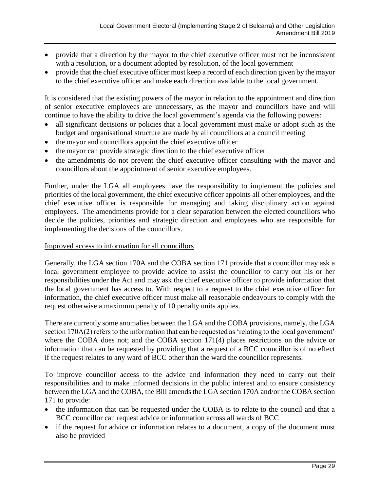- provide that a direction by the mayor to the chief executive officer must not be inconsistent with a resolution, or a document adopted by resolution, of the local government
- provide that the chief executive officer must keep a record of each direction given by the mayor to the chief executive officer and make each direction available to the local government.

It is considered that the existing powers of the mayor in relation to the appointment and direction of senior executive employees are unnecessary, as the mayor and councillors have and will continue to have the ability to drive the local government's agenda via the following powers:

- all significant decisions or policies that a local government must make or adopt such as the budget and organisational structure are made by all councillors at a council meeting
- the mayor and councillors appoint the chief executive officer
- the mayor can provide strategic direction to the chief executive officer
- the amendments do not prevent the chief executive officer consulting with the mayor and councillors about the appointment of senior executive employees.

Further, under the LGA all employees have the responsibility to implement the policies and priorities of the local government, the chief executive officer appoints all other employees, and the chief executive officer is responsible for managing and taking disciplinary action against employees. The amendments provide for a clear separation between the elected councillors who decide the policies, priorities and strategic direction and employees who are responsible for implementing the decisions of the councillors.

#### Improved access to information for all councillors

Generally, the LGA section 170A and the COBA section 171 provide that a councillor may ask a local government employee to provide advice to assist the councillor to carry out his or her responsibilities under the Act and may ask the chief executive officer to provide information that the local government has access to. With respect to a request to the chief executive officer for information, the chief executive officer must make all reasonable endeavours to comply with the request otherwise a maximum penalty of 10 penalty units applies.

There are currently some anomalies between the LGA and the COBA provisions, namely, the LGA section 170A(2) refers to the information that can be requested as 'relating to the local government' where the COBA does not; and the COBA section 171(4) places restrictions on the advice or information that can be requested by providing that a request of a BCC councillor is of no effect if the request relates to any ward of BCC other than the ward the councillor represents.

To improve councillor access to the advice and information they need to carry out their responsibilities and to make informed decisions in the public interest and to ensure consistency between the LGA and the COBA, the Bill amends the LGA section 170A and/or the COBA section 171 to provide:

- the information that can be requested under the COBA is to relate to the council and that a BCC councillor can request advice or information across all wards of BCC
- if the request for advice or information relates to a document, a copy of the document must also be provided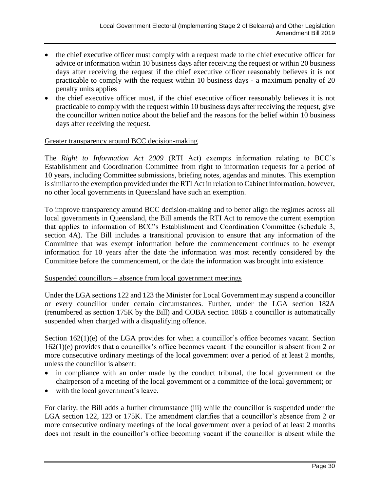- the chief executive officer must comply with a request made to the chief executive officer for advice or information within 10 business days after receiving the request or within 20 business days after receiving the request if the chief executive officer reasonably believes it is not practicable to comply with the request within 10 business days - a maximum penalty of 20 penalty units applies
- the chief executive officer must, if the chief executive officer reasonably believes it is not practicable to comply with the request within 10 business days after receiving the request, give the councillor written notice about the belief and the reasons for the belief within 10 business days after receiving the request.

#### Greater transparency around BCC decision-making

The *Right to Information Act 2009* (RTI Act) exempts information relating to BCC's Establishment and Coordination Committee from right to information requests for a period of 10 years, including Committee submissions, briefing notes, agendas and minutes. This exemption is similar to the exemption provided under the RTI Act in relation to Cabinet information, however, no other local governments in Queensland have such an exemption.

To improve transparency around BCC decision-making and to better align the regimes across all local governments in Queensland, the Bill amends the RTI Act to remove the current exemption that applies to information of BCC's Establishment and Coordination Committee (schedule 3, section 4A). The Bill includes a transitional provision to ensure that any information of the Committee that was exempt information before the commencement continues to be exempt information for 10 years after the date the information was most recently considered by the Committee before the commencement, or the date the information was brought into existence.

#### Suspended councillors – absence from local government meetings

Under the LGA sections 122 and 123 the Minister for Local Government may suspend a councillor or every councillor under certain circumstances. Further, under the LGA section 182A (renumbered as section 175K by the Bill) and COBA section 186B a councillor is automatically suspended when charged with a disqualifying offence.

Section 162(1)(e) of the LGA provides for when a councillor's office becomes vacant. Section 162(1)(e) provides that a councillor's office becomes vacant if the councillor is absent from 2 or more consecutive ordinary meetings of the local government over a period of at least 2 months, unless the councillor is absent:

- in compliance with an order made by the conduct tribunal, the local government or the chairperson of a meeting of the local government or a committee of the local government; or
- with the local government's leave.

For clarity, the Bill adds a further circumstance (iii) while the councillor is suspended under the LGA section 122, 123 or 175K. The amendment clarifies that a councillor's absence from 2 or more consecutive ordinary meetings of the local government over a period of at least 2 months does not result in the councillor's office becoming vacant if the councillor is absent while the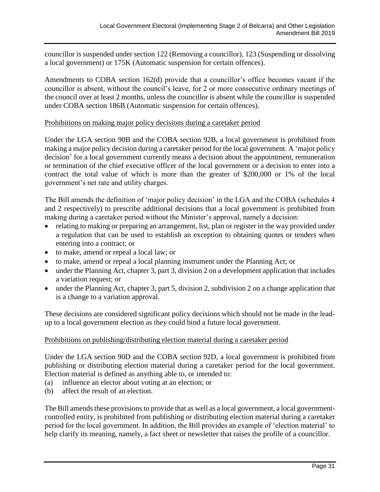councillor is suspended under section 122 (Removing a councillor), 123 (Suspending or dissolving a local government) or 175K (Automatic suspension for certain offences).

Amendments to COBA section 162(d) provide that a councillor's office becomes vacant if the councillor is absent, without the council's leave, for 2 or more consecutive ordinary meetings of the council over at least 2 months, unless the councillor is absent while the councillor is suspended under COBA section 186B (Automatic suspension for certain offences).

#### Prohibitions on making major policy decisions during a caretaker period

Under the LGA section 90B and the COBA section 92B, a local government is prohibited from making a major policy decision during a caretaker period for the local government. A 'major policy decision' for a local government currently means a decision about the appointment, remuneration or termination of the chief executive officer of the local government or a decision to enter into a contract the total value of which is more than the greater of \$200,000 or 1% of the local government's net rate and utility charges.

The Bill amends the definition of 'major policy decision' in the LGA and the COBA (schedules 4 and 2 respectively) to prescribe additional decisions that a local government is prohibited from making during a caretaker period without the Minister's approval, namely a decision:

- relating to making or preparing an arrangement, list, plan or register in the way provided under a regulation that can be used to establish an exception to obtaining quotes or tenders when entering into a contract; or
- to make, amend or repeal a local law; or
- to make, amend or repeal a local planning instrument under the Planning Act; or
- under the Planning Act, chapter 3, part 3, division 2 on a development application that includes a variation request; or
- under the Planning Act, chapter 3, part 5, division 2, subdivision 2 on a change application that is a change to a variation approval.

These decisions are considered significant policy decisions which should not be made in the leadup to a local government election as they could bind a future local government.

#### Prohibitions on publishing/distributing election material during a caretaker period

Under the LGA section 90D and the COBA section 92D, a local government is prohibited from publishing or distributing election material during a caretaker period for the local government. Election material is defined as anything able to, or intended to:

- (a) influence an elector about voting at an election; or
- (b) affect the result of an election.

The Bill amends these provisions to provide that as well as a local government, a local governmentcontrolled entity, is prohibited from publishing or distributing election material during a caretaker period for the local government. In addition, the Bill provides an example of 'election material' to help clarify its meaning, namely, a fact sheet or newsletter that raises the profile of a councillor.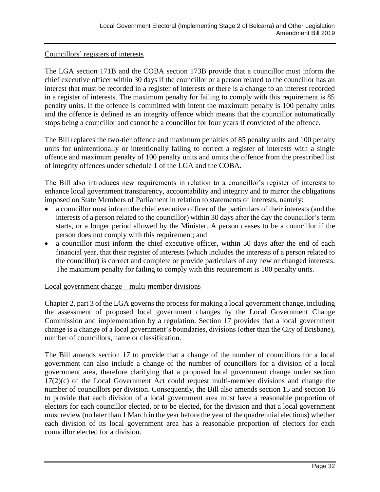#### Councillors' registers of interests

The LGA section 171B and the COBA section 173B provide that a councillor must inform the chief executive officer within 30 days if the councillor or a person related to the councillor has an interest that must be recorded in a register of interests or there is a change to an interest recorded in a register of interests. The maximum penalty for failing to comply with this requirement is 85 penalty units. If the offence is committed with intent the maximum penalty is 100 penalty units and the offence is defined as an integrity offence which means that the councillor automatically stops being a councillor and cannot be a councillor for four years if convicted of the offence.

The Bill replaces the two-tier offence and maximum penalties of 85 penalty units and 100 penalty units for unintentionally or intentionally failing to correct a register of interests with a single offence and maximum penalty of 100 penalty units and omits the offence from the prescribed list of integrity offences under schedule 1 of the LGA and the COBA.

The Bill also introduces new requirements in relation to a councillor's register of interests to enhance local government transparency, accountability and integrity and to mirror the obligations imposed on State Members of Parliament in relation to statements of interests, namely:

- a councillor must inform the chief executive officer of the particulars of their interests (and the interests of a person related to the councillor) within 30 days after the day the councillor's term starts, or a longer period allowed by the Minister. A person ceases to be a councillor if the person does not comply with this requirement; and
- a councillor must inform the chief executive officer, within 30 days after the end of each financial year, that their register of interests (which includes the interests of a person related to the councillor) is correct and complete or provide particulars of any new or changed interests. The maximum penalty for failing to comply with this requirement is 100 penalty units.

#### Local government change – multi-member divisions

Chapter 2, part 3 of the LGA governs the process for making a local government change, including the assessment of proposed local government changes by the Local Government Change Commission and implementation by a regulation. Section 17 provides that a local government change is a change of a local government's boundaries, divisions (other than the City of Brisbane), number of councillors, name or classification.

The Bill amends section 17 to provide that a change of the number of councillors for a local government can also include a change of the number of councillors for a division of a local government area, therefore clarifying that a proposed local government change under section 17(2)(c) of the Local Government Act could request multi-member divisions and change the number of councillors per division. Consequently, the Bill also amends section 15 and section 16 to provide that each division of a local government area must have a reasonable proportion of electors for each councillor elected, or to be elected, for the division and that a local government must review (no later than 1 March in the year before the year of the quadrennial elections) whether each division of its local government area has a reasonable proportion of electors for each councillor elected for a division.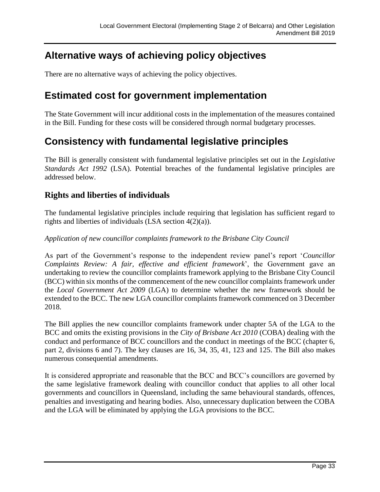### **Alternative ways of achieving policy objectives**

There are no alternative ways of achieving the policy objectives.

### **Estimated cost for government implementation**

The State Government will incur additional costs in the implementation of the measures contained in the Bill. Funding for these costs will be considered through normal budgetary processes.

## **Consistency with fundamental legislative principles**

The Bill is generally consistent with fundamental legislative principles set out in the *Legislative Standards Act 1992* (LSA). Potential breaches of the fundamental legislative principles are addressed below.

#### **Rights and liberties of individuals**

The fundamental legislative principles include requiring that legislation has sufficient regard to rights and liberties of individuals (LSA section 4(2)(a)).

*Application of new councillor complaints framework to the Brisbane City Council*

As part of the Government's response to the independent review panel's report '*Councillor Complaints Review: A fair, effective and efficient framework*', the Government gave an undertaking to review the councillor complaints framework applying to the Brisbane City Council (BCC) within six months of the commencement of the new councillor complaints framework under the *Local Government Act 2009* (LGA) to determine whether the new framework should be extended to the BCC. The new LGA councillor complaints framework commenced on 3 December 2018.

The Bill applies the new councillor complaints framework under chapter 5A of the LGA to the BCC and omits the existing provisions in the *City of Brisbane Act 2010* (COBA) dealing with the conduct and performance of BCC councillors and the conduct in meetings of the BCC (chapter 6, part 2, divisions 6 and 7). The key clauses are 16, 34, 35, 41, 123 and 125. The Bill also makes numerous consequential amendments.

It is considered appropriate and reasonable that the BCC and BCC's councillors are governed by the same legislative framework dealing with councillor conduct that applies to all other local governments and councillors in Queensland, including the same behavioural standards, offences, penalties and investigating and hearing bodies. Also, unnecessary duplication between the COBA and the LGA will be eliminated by applying the LGA provisions to the BCC.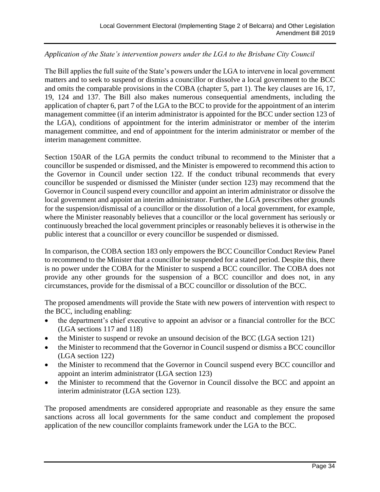#### *Application of the State's intervention powers under the LGA to the Brisbane City Council*

The Bill applies the full suite of the State's powers under the LGA to intervene in local government matters and to seek to suspend or dismiss a councillor or dissolve a local government to the BCC and omits the comparable provisions in the COBA (chapter 5, part 1). The key clauses are 16, 17, 19, 124 and 137. The Bill also makes numerous consequential amendments, including the application of chapter 6, part 7 of the LGA to the BCC to provide for the appointment of an interim management committee (if an interim administrator is appointed for the BCC under section 123 of the LGA), conditions of appointment for the interim administrator or member of the interim management committee, and end of appointment for the interim administrator or member of the interim management committee.

Section 150AR of the LGA permits the conduct tribunal to recommend to the Minister that a councillor be suspended or dismissed, and the Minister is empowered to recommend this action to the Governor in Council under section 122. If the conduct tribunal recommends that every councillor be suspended or dismissed the Minister (under section 123) may recommend that the Governor in Council suspend every councillor and appoint an interim administrator or dissolve the local government and appoint an interim administrator. Further, the LGA prescribes other grounds for the suspension/dismissal of a councillor or the dissolution of a local government, for example, where the Minister reasonably believes that a councillor or the local government has seriously or continuously breached the local government principles or reasonably believes it is otherwise in the public interest that a councillor or every councillor be suspended or dismissed.

In comparison, the COBA section 183 only empowers the BCC Councillor Conduct Review Panel to recommend to the Minister that a councillor be suspended for a stated period. Despite this, there is no power under the COBA for the Minister to suspend a BCC councillor. The COBA does not provide any other grounds for the suspension of a BCC councillor and does not, in any circumstances, provide for the dismissal of a BCC councillor or dissolution of the BCC.

The proposed amendments will provide the State with new powers of intervention with respect to the BCC, including enabling:

- the department's chief executive to appoint an advisor or a financial controller for the BCC (LGA sections 117 and 118)
- the Minister to suspend or revoke an unsound decision of the BCC (LGA section 121)
- the Minister to recommend that the Governor in Council suspend or dismiss a BCC councillor (LGA section 122)
- the Minister to recommend that the Governor in Council suspend every BCC councillor and appoint an interim administrator (LGA section 123)
- the Minister to recommend that the Governor in Council dissolve the BCC and appoint an interim administrator (LGA section 123).

The proposed amendments are considered appropriate and reasonable as they ensure the same sanctions across all local governments for the same conduct and complement the proposed application of the new councillor complaints framework under the LGA to the BCC.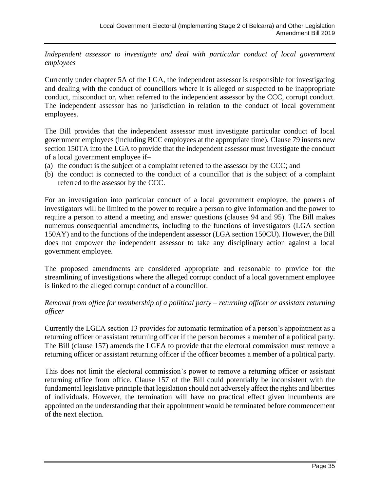*Independent assessor to investigate and deal with particular conduct of local government employees*

Currently under chapter 5A of the LGA, the independent assessor is responsible for investigating and dealing with the conduct of councillors where it is alleged or suspected to be inappropriate conduct, misconduct or, when referred to the independent assessor by the CCC, corrupt conduct. The independent assessor has no jurisdiction in relation to the conduct of local government employees.

The Bill provides that the independent assessor must investigate particular conduct of local government employees (including BCC employees at the appropriate time). Clause 79 inserts new section 150TA into the LGA to provide that the independent assessor must investigate the conduct of a local government employee if–

- (a) the conduct is the subject of a complaint referred to the assessor by the CCC; and
- (b) the conduct is connected to the conduct of a councillor that is the subject of a complaint referred to the assessor by the CCC.

For an investigation into particular conduct of a local government employee, the powers of investigators will be limited to the power to require a person to give information and the power to require a person to attend a meeting and answer questions (clauses 94 and 95). The Bill makes numerous consequential amendments, including to the functions of investigators (LGA section 150AY) and to the functions of the independent assessor (LGA section 150CU). However, the Bill does not empower the independent assessor to take any disciplinary action against a local government employee.

The proposed amendments are considered appropriate and reasonable to provide for the streamlining of investigations where the alleged corrupt conduct of a local government employee is linked to the alleged corrupt conduct of a councillor.

#### *Removal from office for membership of a political party – returning officer or assistant returning officer*

Currently the LGEA section 13 provides for automatic termination of a person's appointment as a returning officer or assistant returning officer if the person becomes a member of a political party. The Bill (clause 157) amends the LGEA to provide that the electoral commission must remove a returning officer or assistant returning officer if the officer becomes a member of a political party.

This does not limit the electoral commission's power to remove a returning officer or assistant returning office from office. Clause 157 of the Bill could potentially be inconsistent with the fundamental legislative principle that legislation should not adversely affect the rights and liberties of individuals. However, the termination will have no practical effect given incumbents are appointed on the understanding that their appointment would be terminated before commencement of the next election.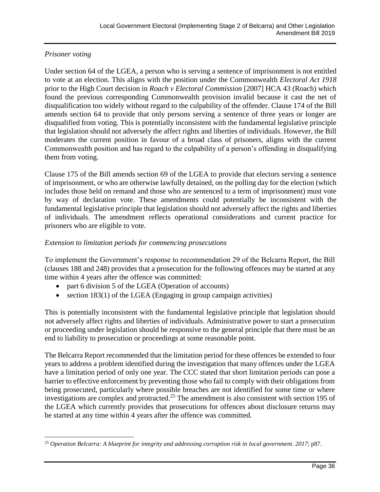#### *Prisoner voting*

Under section 64 of the LGEA, a person who is serving a sentence of imprisonment is not entitled to vote at an election. This aligns with the position under the Commonwealth *Electoral Act 1918* prior to the High Court decision in *Roach v Electoral Commission* [2007] HCA 43 (Roach) which found the previous corresponding Commonwealth provision invalid because it cast the net of disqualification too widely without regard to the culpability of the offender. Clause 174 of the Bill amends section 64 to provide that only persons serving a sentence of three years or longer are disqualified from voting. This is potentially inconsistent with the fundamental legislative principle that legislation should not adversely the affect rights and liberties of individuals. However, the Bill moderates the current position in favour of a broad class of prisoners, aligns with the current Commonwealth position and has regard to the culpability of a person's offending in disqualifying them from voting.

Clause 175 of the Bill amends section 69 of the LGEA to provide that electors serving a sentence of imprisonment, or who are otherwise lawfully detained, on the polling day for the election (which includes those held on remand and those who are sentenced to a term of imprisonment) must vote by way of declaration vote. These amendments could potentially be inconsistent with the fundamental legislative principle that legislation should not adversely affect the rights and liberties of individuals. The amendment reflects operational considerations and current practice for prisoners who are eligible to vote.

#### *Extension to limitation periods for commencing prosecutions*

To implement the Government's response to recommendation 29 of the Belcarra Report, the Bill (clauses 188 and 248) provides that a prosecution for the following offences may be started at any time within 4 years after the offence was committed:

- part 6 division 5 of the LGEA (Operation of accounts)
- section 183(1) of the LGEA (Engaging in group campaign activities)

This is potentially inconsistent with the fundamental legislative principle that legislation should not adversely affect rights and liberties of individuals. Administrative power to start a prosecution or proceeding under legislation should be responsive to the general principle that there must be an end to liability to prosecution or proceedings at some reasonable point.

The Belcarra Report recommended that the limitation period for these offences be extended to four years to address a problem identified during the investigation that many offences under the LGEA have a limitation period of only one year. The CCC stated that short limitation periods can pose a barrier to effective enforcement by preventing those who fail to comply with their obligations from being prosecuted, particularly where possible breaches are not identified for some time or where investigations are complex and protracted.<sup>25</sup> The amendment is also consistent with section 195 of the LGEA which currently provides that prosecutions for offences about disclosure returns may be started at any time within 4 years after the offence was committed.

 $\overline{a}$ <sup>25</sup> *Operation Belcarra: A blueprint for integrity and addressing corruption risk in local government*. *2017*; p87.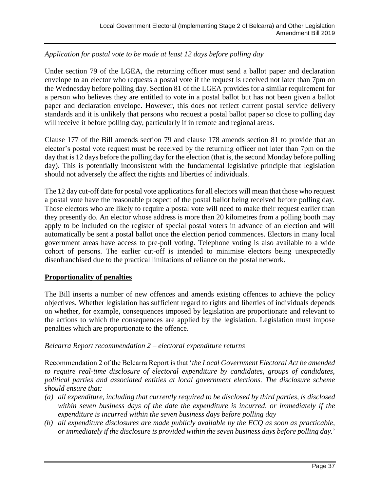#### *Application for postal vote to be made at least 12 days before polling day*

Under section 79 of the LGEA, the returning officer must send a ballot paper and declaration envelope to an elector who requests a postal vote if the request is received not later than 7pm on the Wednesday before polling day. Section 81 of the LGEA provides for a similar requirement for a person who believes they are entitled to vote in a postal ballot but has not been given a ballot paper and declaration envelope. However, this does not reflect current postal service delivery standards and it is unlikely that persons who request a postal ballot paper so close to polling day will receive it before polling day, particularly if in remote and regional areas.

Clause 177 of the Bill amends section 79 and clause 178 amends section 81 to provide that an elector's postal vote request must be received by the returning officer not later than 7pm on the day that is 12 days before the polling day for the election (that is, the second Monday before polling day). This is potentially inconsistent with the fundamental legislative principle that legislation should not adversely the affect the rights and liberties of individuals.

The 12 day cut-off date for postal vote applications for all electors will mean that those who request a postal vote have the reasonable prospect of the postal ballot being received before polling day. Those electors who are likely to require a postal vote will need to make their request earlier than they presently do. An elector whose address is more than 20 kilometres from a polling booth may apply to be included on the register of special postal voters in advance of an election and will automatically be sent a postal ballot once the election period commences. Electors in many local government areas have access to pre-poll voting. Telephone voting is also available to a wide cohort of persons. The earlier cut-off is intended to minimise electors being unexpectedly disenfranchised due to the practical limitations of reliance on the postal network.

#### **Proportionality of penalties**

The Bill inserts a number of new offences and amends existing offences to achieve the policy objectives. Whether legislation has sufficient regard to rights and liberties of individuals depends on whether, for example, consequences imposed by legislation are proportionate and relevant to the actions to which the consequences are applied by the legislation. Legislation must impose penalties which are proportionate to the offence.

#### *Belcarra Report recommendation 2 – electoral expenditure returns*

Recommendation 2 of the Belcarra Report is that '*the Local Government Electoral Act be amended to require real-time disclosure of electoral expenditure by candidates, groups of candidates, political parties and associated entities at local government elections. The disclosure scheme should ensure that:*

- *(a) all expenditure, including that currently required to be disclosed by third parties, is disclosed within seven business days of the date the expenditure is incurred, or immediately if the expenditure is incurred within the seven business days before polling day*
- *(b) all expenditure disclosures are made publicly available by the ECQ as soon as practicable, or immediately if the disclosure is provided within the seven business days before polling day.*'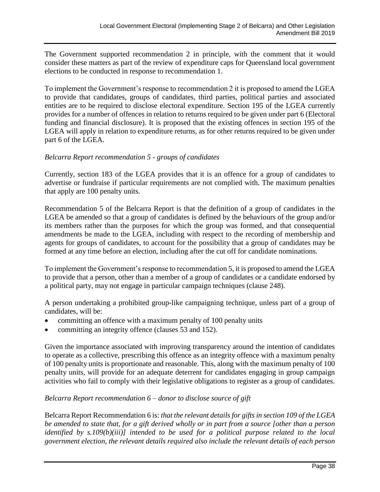The Government supported recommendation 2 in principle, with the comment that it would consider these matters as part of the review of expenditure caps for Queensland local government elections to be conducted in response to recommendation 1.

To implement the Government's response to recommendation 2 it is proposed to amend the LGEA to provide that candidates, groups of candidates, third parties, political parties and associated entities are to be required to disclose electoral expenditure. Section 195 of the LGEA currently provides for a number of offences in relation to returns required to be given under part 6 (Electoral funding and financial disclosure). It is proposed that the existing offences in section 195 of the LGEA will apply in relation to expenditure returns, as for other returns required to be given under part 6 of the LGEA.

#### *Belcarra Report recommendation 5 - groups of candidates*

Currently, section 183 of the LGEA provides that it is an offence for a group of candidates to advertise or fundraise if particular requirements are not complied with. The maximum penalties that apply are 100 penalty units.

Recommendation 5 of the Belcarra Report is that the definition of a group of candidates in the LGEA be amended so that a group of candidates is defined by the behaviours of the group and/or its members rather than the purposes for which the group was formed, and that consequential amendments be made to the LGEA, including with respect to the recording of membership and agents for groups of candidates, to account for the possibility that a group of candidates may be formed at any time before an election, including after the cut off for candidate nominations.

To implement the Government's response to recommendation 5, it is proposed to amend the LGEA to provide that a person, other than a member of a group of candidates or a candidate endorsed by a political party, may not engage in particular campaign techniques (clause 248).

A person undertaking a prohibited group-like campaigning technique, unless part of a group of candidates, will be:

- committing an offence with a maximum penalty of 100 penalty units
- committing an integrity offence (clauses 53 and 152).

Given the importance associated with improving transparency around the intention of candidates to operate as a collective, prescribing this offence as an integrity offence with a maximum penalty of 100 penalty units is proportionate and reasonable. This, along with the maximum penalty of 100 penalty units, will provide for an adequate deterrent for candidates engaging in group campaign activities who fail to comply with their legislative obligations to register as a group of candidates.

#### *Belcarra Report recommendation 6 – donor to disclose source of gift*

Belcarra Report Recommendation 6 is: *that the relevant details for gifts in section 109 of the LGEA be amended to state that, for a gift derived wholly or in part from a source [other than a person identified by s.109(b)(iii)] intended to be used for a political purpose related to the local government election, the relevant details required also include the relevant details of each person*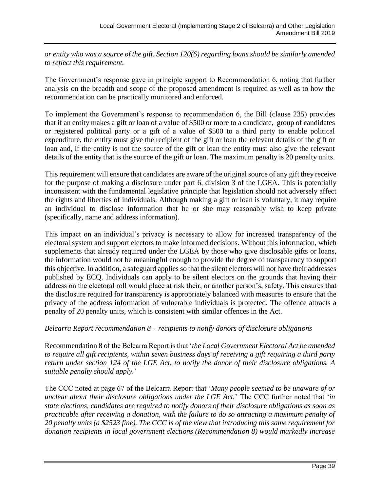*or entity who was a source of the gift. Section 120(6) regarding loans should be similarly amended to reflect this requirement.*

The Government's response gave in principle support to Recommendation 6, noting that further analysis on the breadth and scope of the proposed amendment is required as well as to how the recommendation can be practically monitored and enforced.

To implement the Government's response to recommendation 6, the Bill (clause 235) provides that if an entity makes a gift or loan of a value of \$500 or more to a candidate, group of candidates or registered political party or a gift of a value of \$500 to a third party to enable political expenditure, the entity must give the recipient of the gift or loan the relevant details of the gift or loan and, if the entity is not the source of the gift or loan the entity must also give the relevant details of the entity that is the source of the gift or loan. The maximum penalty is 20 penalty units.

This requirement will ensure that candidates are aware of the original source of any gift they receive for the purpose of making a disclosure under part 6, division 3 of the LGEA. This is potentially inconsistent with the fundamental legislative principle that legislation should not adversely affect the rights and liberties of individuals. Although making a gift or loan is voluntary, it may require an individual to disclose information that he or she may reasonably wish to keep private (specifically, name and address information).

This impact on an individual's privacy is necessary to allow for increased transparency of the electoral system and support electors to make informed decisions. Without this information, which supplements that already required under the LGEA by those who give disclosable gifts or loans, the information would not be meaningful enough to provide the degree of transparency to support this objective. In addition, a safeguard applies so that the silent electors will not have their addresses published by ECQ. Individuals can apply to be silent electors on the grounds that having their address on the electoral roll would place at risk their, or another person's, safety. This ensures that the disclosure required for transparency is appropriately balanced with measures to ensure that the privacy of the address information of vulnerable individuals is protected. The offence attracts a penalty of 20 penalty units, which is consistent with similar offences in the Act.

#### *Belcarra Report recommendation 8 – recipients to notify donors of disclosure obligations*

Recommendation 8 of the Belcarra Report is that '*the Local Government Electoral Act be amended to require all gift recipients, within seven business days of receiving a gift requiring a third party return under section 124 of the LGE Act, to notify the donor of their disclosure obligations. A suitable penalty should apply.*'

The CCC noted at page 67 of the Belcarra Report that '*Many people seemed to be unaware of or unclear about their disclosure obligations under the LGE Act.*' The CCC further noted that '*in state elections, candidates are required to notify donors of their disclosure obligations as soon as practicable after receiving a donation, with the failure to do so attracting a maximum penalty of 20 penalty units (a \$2523 fine). The CCC is of the view that introducing this same requirement for donation recipients in local government elections (Recommendation 8) would markedly increase*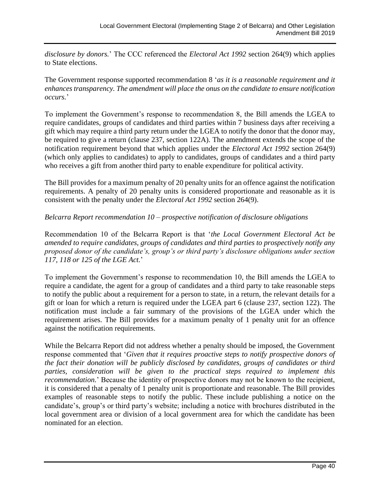*disclosure by donors.*' The CCC referenced the *Electoral Act 1992* section 264(9) which applies to State elections.

The Government response supported recommendation 8 '*as it is a reasonable requirement and it enhances transparency. The amendment will place the onus on the candidate to ensure notification occurs.*'

To implement the Government's response to recommendation 8, the Bill amends the LGEA to require candidates, groups of candidates and third parties within 7 business days after receiving a gift which may require a third party return under the LGEA to notify the donor that the donor may, be required to give a return (clause 237, section 122A). The amendment extends the scope of the notification requirement beyond that which applies under the *Electoral Act 1992* section 264(9) (which only applies to candidates) to apply to candidates, groups of candidates and a third party who receives a gift from another third party to enable expenditure for political activity.

The Bill provides for a maximum penalty of 20 penalty units for an offence against the notification requirements. A penalty of 20 penalty units is considered proportionate and reasonable as it is consistent with the penalty under the *Electoral Act 1992* section 264(9).

#### *Belcarra Report recommendation 10 – prospective notification of disclosure obligations*

Recommendation 10 of the Belcarra Report is that '*the Local Government Electoral Act be amended to require candidates, groups of candidates and third parties to prospectively notify any proposed donor of the candidate's, group's or third party's disclosure obligations under section 117, 118 or 125 of the LGE Act.*'

To implement the Government's response to recommendation 10, the Bill amends the LGEA to require a candidate, the agent for a group of candidates and a third party to take reasonable steps to notify the public about a requirement for a person to state, in a return, the relevant details for a gift or loan for which a return is required under the LGEA part 6 (clause 237, section 122). The notification must include a fair summary of the provisions of the LGEA under which the requirement arises. The Bill provides for a maximum penalty of 1 penalty unit for an offence against the notification requirements.

While the Belcarra Report did not address whether a penalty should be imposed, the Government response commented that '*Given that it requires proactive steps to notify prospective donors of the fact their donation will be publicly disclosed by candidates, groups of candidates or third parties, consideration will be given to the practical steps required to implement this recommendation.*' Because the identity of prospective donors may not be known to the recipient, it is considered that a penalty of 1 penalty unit is proportionate and reasonable. The Bill provides examples of reasonable steps to notify the public. These include publishing a notice on the candidate's, group's or third party's website; including a notice with brochures distributed in the local government area or division of a local government area for which the candidate has been nominated for an election.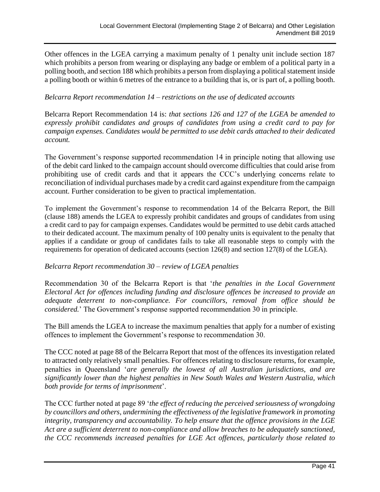Other offences in the LGEA carrying a maximum penalty of 1 penalty unit include section 187 which prohibits a person from wearing or displaying any badge or emblem of a political party in a polling booth, and section 188 which prohibits a person from displaying a political statement inside a polling booth or within 6 metres of the entrance to a building that is, or is part of, a polling booth.

#### *Belcarra Report recommendation 14 – restrictions on the use of dedicated accounts*

Belcarra Report Recommendation 14 is: *that sections 126 and 127 of the LGEA be amended to expressly prohibit candidates and groups of candidates from using a credit card to pay for campaign expenses. Candidates would be permitted to use debit cards attached to their dedicated account.*

The Government's response supported recommendation 14 in principle noting that allowing use of the debit card linked to the campaign account should overcome difficulties that could arise from prohibiting use of credit cards and that it appears the CCC's underlying concerns relate to reconciliation of individual purchases made by a credit card against expenditure from the campaign account. Further consideration to be given to practical implementation.

To implement the Government's response to recommendation 14 of the Belcarra Report, the Bill (clause 188) amends the LGEA to expressly prohibit candidates and groups of candidates from using a credit card to pay for campaign expenses. Candidates would be permitted to use debit cards attached to their dedicated account. The maximum penalty of 100 penalty units is equivalent to the penalty that applies if a candidate or group of candidates fails to take all reasonable steps to comply with the requirements for operation of dedicated accounts (section 126(8) and section 127(8) of the LGEA).

#### *Belcarra Report recommendation 30 – review of LGEA penalties*

Recommendation 30 of the Belcarra Report is that '*the penalties in the Local Government Electoral Act for offences including funding and disclosure offences be increased to provide an adequate deterrent to non-compliance. For councillors, removal from office should be considered.*' The Government's response supported recommendation 30 in principle.

The Bill amends the LGEA to increase the maximum penalties that apply for a number of existing offences to implement the Government's response to recommendation 30.

The CCC noted at page 88 of the Belcarra Report that most of the offences its investigation related to attracted only relatively small penalties. For offences relating to disclosure returns, for example, penalties in Queensland '*are generally the lowest of all Australian jurisdictions, and are significantly lower than the highest penalties in New South Wales and Western Australia, which both provide for terms of imprisonment*'.

The CCC further noted at page 89 '*the effect of reducing the perceived seriousness of wrongdoing by councillors and others, undermining the effectiveness of the legislative framework in promoting integrity, transparency and accountability. To help ensure that the offence provisions in the LGE Act are a sufficient deterrent to non-compliance and allow breaches to be adequately sanctioned, the CCC recommends increased penalties for LGE Act offences, particularly those related to*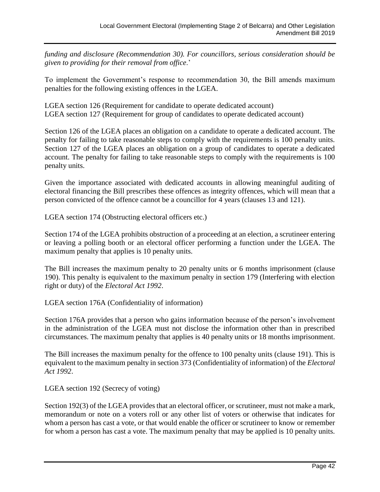*funding and disclosure (Recommendation 30). For councillors, serious consideration should be given to providing for their removal from office*.'

To implement the Government's response to recommendation 30, the Bill amends maximum penalties for the following existing offences in the LGEA.

LGEA section 126 (Requirement for candidate to operate dedicated account) LGEA section 127 (Requirement for group of candidates to operate dedicated account)

Section 126 of the LGEA places an obligation on a candidate to operate a dedicated account. The penalty for failing to take reasonable steps to comply with the requirements is 100 penalty units. Section 127 of the LGEA places an obligation on a group of candidates to operate a dedicated account. The penalty for failing to take reasonable steps to comply with the requirements is 100 penalty units.

Given the importance associated with dedicated accounts in allowing meaningful auditing of electoral financing the Bill prescribes these offences as integrity offences, which will mean that a person convicted of the offence cannot be a councillor for 4 years (clauses 13 and 121).

LGEA section 174 (Obstructing electoral officers etc.)

Section 174 of the LGEA prohibits obstruction of a proceeding at an election, a scrutineer entering or leaving a polling booth or an electoral officer performing a function under the LGEA. The maximum penalty that applies is 10 penalty units.

The Bill increases the maximum penalty to 20 penalty units or 6 months imprisonment (clause 190). This penalty is equivalent to the maximum penalty in section 179 (Interfering with election right or duty) of the *Electoral Act 1992*.

LGEA section 176A (Confidentiality of information)

Section 176A provides that a person who gains information because of the person's involvement in the administration of the LGEA must not disclose the information other than in prescribed circumstances. The maximum penalty that applies is 40 penalty units or 18 months imprisonment.

The Bill increases the maximum penalty for the offence to 100 penalty units (clause 191). This is equivalent to the maximum penalty in section 373 (Confidentiality of information) of the *Electoral Act 1992*.

LGEA section 192 (Secrecy of voting)

Section 192(3) of the LGEA provides that an electoral officer, or scrutineer, must not make a mark, memorandum or note on a voters roll or any other list of voters or otherwise that indicates for whom a person has cast a vote, or that would enable the officer or scrutineer to know or remember for whom a person has cast a vote. The maximum penalty that may be applied is 10 penalty units.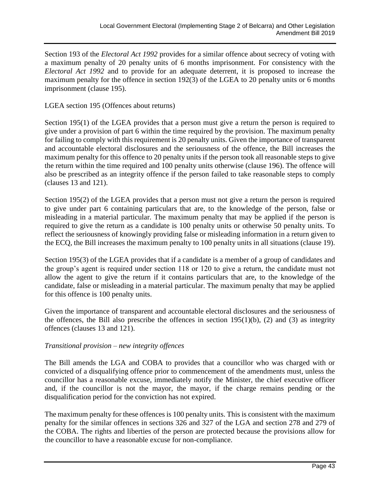Section 193 of the *Electoral Act 1992* provides for a similar offence about secrecy of voting with a maximum penalty of 20 penalty units of 6 months imprisonment. For consistency with the *Electoral Act 1992* and to provide for an adequate deterrent, it is proposed to increase the maximum penalty for the offence in section 192(3) of the LGEA to 20 penalty units or 6 months imprisonment (clause 195).

LGEA section 195 (Offences about returns)

Section 195(1) of the LGEA provides that a person must give a return the person is required to give under a provision of part 6 within the time required by the provision. The maximum penalty for failing to comply with this requirement is 20 penalty units. Given the importance of transparent and accountable electoral disclosures and the seriousness of the offence, the Bill increases the maximum penalty for this offence to 20 penalty units if the person took all reasonable steps to give the return within the time required and 100 penalty units otherwise (clause 196). The offence will also be prescribed as an integrity offence if the person failed to take reasonable steps to comply (clauses 13 and 121).

Section 195(2) of the LGEA provides that a person must not give a return the person is required to give under part 6 containing particulars that are, to the knowledge of the person, false or misleading in a material particular. The maximum penalty that may be applied if the person is required to give the return as a candidate is 100 penalty units or otherwise 50 penalty units. To reflect the seriousness of knowingly providing false or misleading information in a return given to the ECQ, the Bill increases the maximum penalty to 100 penalty units in all situations (clause 19).

Section 195(3) of the LGEA provides that if a candidate is a member of a group of candidates and the group's agent is required under section 118 or 120 to give a return, the candidate must not allow the agent to give the return if it contains particulars that are, to the knowledge of the candidate, false or misleading in a material particular. The maximum penalty that may be applied for this offence is 100 penalty units.

Given the importance of transparent and accountable electoral disclosures and the seriousness of the offences, the Bill also prescribe the offences in section  $195(1)(b)$ , (2) and (3) as integrity offences (clauses 13 and 121).

#### *Transitional provision – new integrity offences*

The Bill amends the LGA and COBA to provides that a councillor who was charged with or convicted of a disqualifying offence prior to commencement of the amendments must, unless the councillor has a reasonable excuse, immediately notify the Minister, the chief executive officer and, if the councillor is not the mayor, the mayor, if the charge remains pending or the disqualification period for the conviction has not expired.

The maximum penalty for these offences is 100 penalty units. This is consistent with the maximum penalty for the similar offences in sections 326 and 327 of the LGA and section 278 and 279 of the COBA. The rights and liberties of the person are protected because the provisions allow for the councillor to have a reasonable excuse for non-compliance.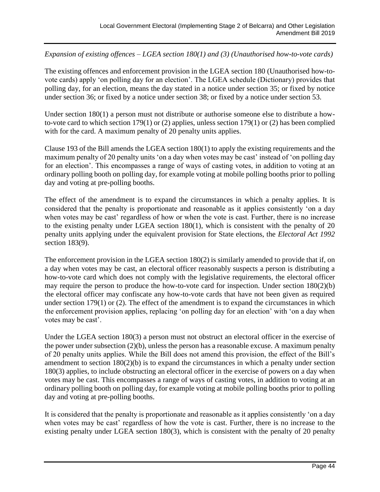*Expansion of existing offences – LGEA section 180(1) and (3) (Unauthorised how-to-vote cards)*

The existing offences and enforcement provision in the LGEA section 180 (Unauthorised how-tovote cards) apply 'on polling day for an election'. The LGEA schedule (Dictionary) provides that polling day, for an election, means the day stated in a notice under section 35; or fixed by notice under section 36; or fixed by a notice under section 38; or fixed by a notice under section 53.

Under section 180(1) a person must not distribute or authorise someone else to distribute a howto-vote card to which section 179(1) or (2) applies, unless section 179(1) or (2) has been complied with for the card. A maximum penalty of 20 penalty units applies.

Clause 193 of the Bill amends the LGEA section 180(1) to apply the existing requirements and the maximum penalty of 20 penalty units 'on a day when votes may be cast' instead of 'on polling day for an election'. This encompasses a range of ways of casting votes, in addition to voting at an ordinary polling booth on polling day, for example voting at mobile polling booths prior to polling day and voting at pre-polling booths.

The effect of the amendment is to expand the circumstances in which a penalty applies. It is considered that the penalty is proportionate and reasonable as it applies consistently 'on a day when votes may be cast' regardless of how or when the vote is cast. Further, there is no increase to the existing penalty under LGEA section 180(1), which is consistent with the penalty of 20 penalty units applying under the equivalent provision for State elections, the *Electoral Act 1992* section 183(9).

The enforcement provision in the LGEA section 180(2) is similarly amended to provide that if, on a day when votes may be cast, an electoral officer reasonably suspects a person is distributing a how-to-vote card which does not comply with the legislative requirements, the electoral officer may require the person to produce the how-to-vote card for inspection. Under section 180(2)(b) the electoral officer may confiscate any how-to-vote cards that have not been given as required under section 179(1) or (2). The effect of the amendment is to expand the circumstances in which the enforcement provision applies, replacing 'on polling day for an election' with 'on a day when votes may be cast'.

Under the LGEA section 180(3) a person must not obstruct an electoral officer in the exercise of the power under subsection (2)(b), unless the person has a reasonable excuse. A maximum penalty of 20 penalty units applies. While the Bill does not amend this provision, the effect of the Bill's amendment to section 180(2)(b) is to expand the circumstances in which a penalty under section 180(3) applies, to include obstructing an electoral officer in the exercise of powers on a day when votes may be cast. This encompasses a range of ways of casting votes, in addition to voting at an ordinary polling booth on polling day, for example voting at mobile polling booths prior to polling day and voting at pre-polling booths.

It is considered that the penalty is proportionate and reasonable as it applies consistently 'on a day when votes may be cast' regardless of how the vote is cast. Further, there is no increase to the existing penalty under LGEA section 180(3), which is consistent with the penalty of 20 penalty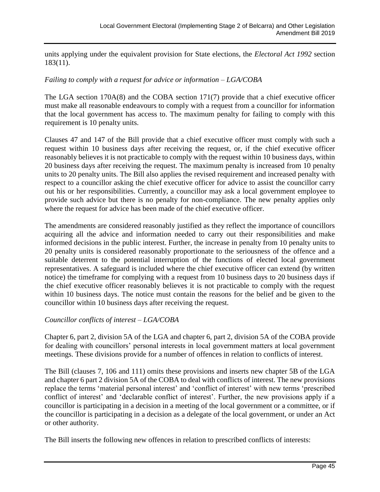units applying under the equivalent provision for State elections, the *Electoral Act 1992* section 183(11).

#### *Failing to comply with a request for advice or information – LGA/COBA*

The LGA section 170A(8) and the COBA section 171(7) provide that a chief executive officer must make all reasonable endeavours to comply with a request from a councillor for information that the local government has access to. The maximum penalty for failing to comply with this requirement is 10 penalty units.

Clauses 47 and 147 of the Bill provide that a chief executive officer must comply with such a request within 10 business days after receiving the request, or, if the chief executive officer reasonably believes it is not practicable to comply with the request within 10 business days, within 20 business days after receiving the request. The maximum penalty is increased from 10 penalty units to 20 penalty units. The Bill also applies the revised requirement and increased penalty with respect to a councillor asking the chief executive officer for advice to assist the councillor carry out his or her responsibilities. Currently, a councillor may ask a local government employee to provide such advice but there is no penalty for non-compliance. The new penalty applies only where the request for advice has been made of the chief executive officer.

The amendments are considered reasonably justified as they reflect the importance of councillors acquiring all the advice and information needed to carry out their responsibilities and make informed decisions in the public interest. Further, the increase in penalty from 10 penalty units to 20 penalty units is considered reasonably proportionate to the seriousness of the offence and a suitable deterrent to the potential interruption of the functions of elected local government representatives. A safeguard is included where the chief executive officer can extend (by written notice) the timeframe for complying with a request from 10 business days to 20 business days if the chief executive officer reasonably believes it is not practicable to comply with the request within 10 business days. The notice must contain the reasons for the belief and be given to the councillor within 10 business days after receiving the request.

#### *Councillor conflicts of interest – LGA/COBA*

Chapter 6, part 2, division 5A of the LGA and chapter 6, part 2, division 5A of the COBA provide for dealing with councillors' personal interests in local government matters at local government meetings. These divisions provide for a number of offences in relation to conflicts of interest.

The Bill (clauses 7, 106 and 111) omits these provisions and inserts new chapter 5B of the LGA and chapter 6 part 2 division 5A of the COBA to deal with conflicts of interest. The new provisions replace the terms 'material personal interest' and 'conflict of interest' with new terms 'prescribed conflict of interest' and 'declarable conflict of interest'. Further, the new provisions apply if a councillor is participating in a decision in a meeting of the local government or a committee, or if the councillor is participating in a decision as a delegate of the local government, or under an Act or other authority.

The Bill inserts the following new offences in relation to prescribed conflicts of interests: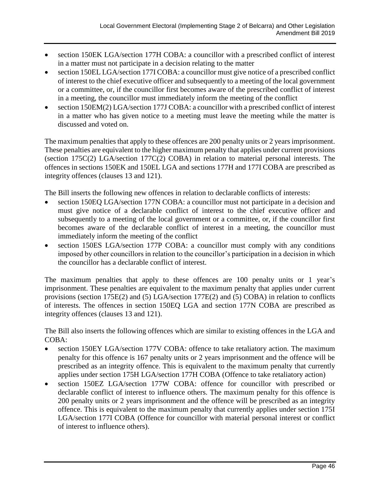- section 150EK LGA/section 177H COBA: a councillor with a prescribed conflict of interest in a matter must not participate in a decision relating to the matter
- section 150EL LGA/section 177I COBA: a councillor must give notice of a prescribed conflict of interest to the chief executive officer and subsequently to a meeting of the local government or a committee, or, if the councillor first becomes aware of the prescribed conflict of interest in a meeting, the councillor must immediately inform the meeting of the conflict
- section 150EM(2) LGA/section 177J COBA: a councillor with a prescribed conflict of interest in a matter who has given notice to a meeting must leave the meeting while the matter is discussed and voted on.

The maximum penalties that apply to these offences are 200 penalty units or 2 years imprisonment. These penalties are equivalent to the higher maximum penalty that applies under current provisions (section 175C(2) LGA/section 177C(2) COBA) in relation to material personal interests. The offences in sections 150EK and 150EL LGA and sections 177H and 177I COBA are prescribed as integrity offences (clauses 13 and 121).

The Bill inserts the following new offences in relation to declarable conflicts of interests:

- section 150EQ LGA/section 177N COBA: a councillor must not participate in a decision and must give notice of a declarable conflict of interest to the chief executive officer and subsequently to a meeting of the local government or a committee, or, if the councillor first becomes aware of the declarable conflict of interest in a meeting, the councillor must immediately inform the meeting of the conflict
- section 150ES LGA/section 177P COBA: a councillor must comply with any conditions imposed by other councillors in relation to the councillor's participation in a decision in which the councillor has a declarable conflict of interest.

The maximum penalties that apply to these offences are 100 penalty units or 1 year's imprisonment. These penalties are equivalent to the maximum penalty that applies under current provisions (section 175E(2) and (5) LGA/section 177E(2) and (5) COBA) in relation to conflicts of interests. The offences in section 150EQ LGA and section 177N COBA are prescribed as integrity offences (clauses 13 and 121).

The Bill also inserts the following offences which are similar to existing offences in the LGA and COBA:

- section 150EY LGA/section 177V COBA: offence to take retaliatory action. The maximum penalty for this offence is 167 penalty units or 2 years imprisonment and the offence will be prescribed as an integrity offence. This is equivalent to the maximum penalty that currently applies under section 175H LGA/section 177H COBA (Offence to take retaliatory action)
- section 150EZ LGA/section 177W COBA: offence for councillor with prescribed or declarable conflict of interest to influence others. The maximum penalty for this offence is 200 penalty units or 2 years imprisonment and the offence will be prescribed as an integrity offence. This is equivalent to the maximum penalty that currently applies under section 175I LGA/section 177I COBA (Offence for councillor with material personal interest or conflict of interest to influence others).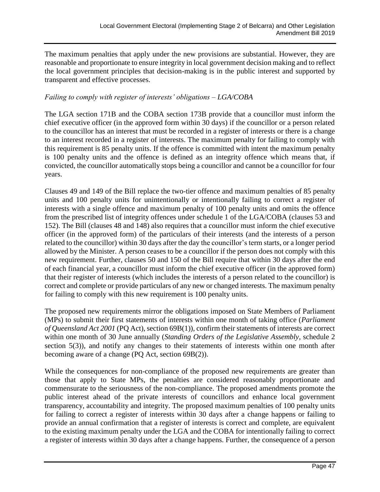The maximum penalties that apply under the new provisions are substantial. However, they are reasonable and proportionate to ensure integrity in local government decision making and to reflect the local government principles that decision-making is in the public interest and supported by transparent and effective processes.

#### *Failing to comply with register of interests' obligations – LGA/COBA*

The LGA section 171B and the COBA section 173B provide that a councillor must inform the chief executive officer (in the approved form within 30 days) if the councillor or a person related to the councillor has an interest that must be recorded in a register of interests or there is a change to an interest recorded in a register of interests. The maximum penalty for failing to comply with this requirement is 85 penalty units. If the offence is committed with intent the maximum penalty is 100 penalty units and the offence is defined as an integrity offence which means that, if convicted, the councillor automatically stops being a councillor and cannot be a councillor for four years.

Clauses 49 and 149 of the Bill replace the two-tier offence and maximum penalties of 85 penalty units and 100 penalty units for unintentionally or intentionally failing to correct a register of interests with a single offence and maximum penalty of 100 penalty units and omits the offence from the prescribed list of integrity offences under schedule 1 of the LGA/COBA (clauses 53 and 152). The Bill (clauses 48 and 148) also requires that a councillor must inform the chief executive officer (in the approved form) of the particulars of their interests (and the interests of a person related to the councillor) within 30 days after the day the councillor's term starts, or a longer period allowed by the Minister. A person ceases to be a councillor if the person does not comply with this new requirement. Further, clauses 50 and 150 of the Bill require that within 30 days after the end of each financial year, a councillor must inform the chief executive officer (in the approved form) that their register of interests (which includes the interests of a person related to the councillor) is correct and complete or provide particulars of any new or changed interests. The maximum penalty for failing to comply with this new requirement is 100 penalty units.

The proposed new requirements mirror the obligations imposed on State Members of Parliament (MPs) to submit their first statements of interests within one month of taking office (*Parliament of Queensland Act 2001* (PQ Act), section 69B(1)), confirm their statements of interests are correct within one month of 30 June annually (*Standing Orders of the Legislative Assembly*, schedule 2 section 5(3)), and notify any changes to their statements of interests within one month after becoming aware of a change (PQ Act, section 69B(2)).

While the consequences for non-compliance of the proposed new requirements are greater than those that apply to State MPs, the penalties are considered reasonably proportionate and commensurate to the seriousness of the non-compliance. The proposed amendments promote the public interest ahead of the private interests of councillors and enhance local government transparency, accountability and integrity. The proposed maximum penalties of 100 penalty units for failing to correct a register of interests within 30 days after a change happens or failing to provide an annual confirmation that a register of interests is correct and complete, are equivalent to the existing maximum penalty under the LGA and the COBA for intentionally failing to correct a register of interests within 30 days after a change happens. Further, the consequence of a person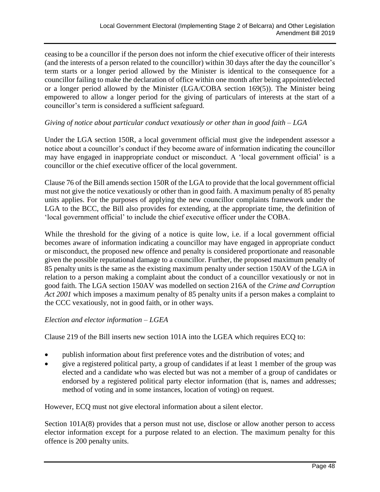ceasing to be a councillor if the person does not inform the chief executive officer of their interests (and the interests of a person related to the councillor) within 30 days after the day the councillor's term starts or a longer period allowed by the Minister is identical to the consequence for a councillor failing to make the declaration of office within one month after being appointed/elected or a longer period allowed by the Minister (LGA/COBA section 169(5)). The Minister being empowered to allow a longer period for the giving of particulars of interests at the start of a councillor's term is considered a sufficient safeguard.

#### *Giving of notice about particular conduct vexatiously or other than in good faith – LGA*

Under the LGA section 150R, a local government official must give the independent assessor a notice about a councillor's conduct if they become aware of information indicating the councillor may have engaged in inappropriate conduct or misconduct. A 'local government official' is a councillor or the chief executive officer of the local government.

Clause 76 of the Bill amends section 150R of the LGA to provide that the local government official must not give the notice vexatiously or other than in good faith. A maximum penalty of 85 penalty units applies. For the purposes of applying the new councillor complaints framework under the LGA to the BCC, the Bill also provides for extending, at the appropriate time, the definition of 'local government official' to include the chief executive officer under the COBA.

While the threshold for the giving of a notice is quite low, i.e. if a local government official becomes aware of information indicating a councillor may have engaged in appropriate conduct or misconduct, the proposed new offence and penalty is considered proportionate and reasonable given the possible reputational damage to a councillor. Further, the proposed maximum penalty of 85 penalty units is the same as the existing maximum penalty under section 150AV of the LGA in relation to a person making a complaint about the conduct of a councillor vexatiously or not in good faith. The LGA section 150AV was modelled on section 216A of the *Crime and Corruption Act 2001* which imposes a maximum penalty of 85 penalty units if a person makes a complaint to the CCC vexatiously, not in good faith, or in other ways.

#### *Election and elector information – LGEA*

Clause 219 of the Bill inserts new section 101A into the LGEA which requires ECQ to:

- publish information about first preference votes and the distribution of votes; and
- give a registered political party, a group of candidates if at least 1 member of the group was elected and a candidate who was elected but was not a member of a group of candidates or endorsed by a registered political party elector information (that is, names and addresses; method of voting and in some instances, location of voting) on request.

However, ECQ must not give electoral information about a silent elector.

Section  $101A(8)$  provides that a person must not use, disclose or allow another person to access elector information except for a purpose related to an election. The maximum penalty for this offence is 200 penalty units.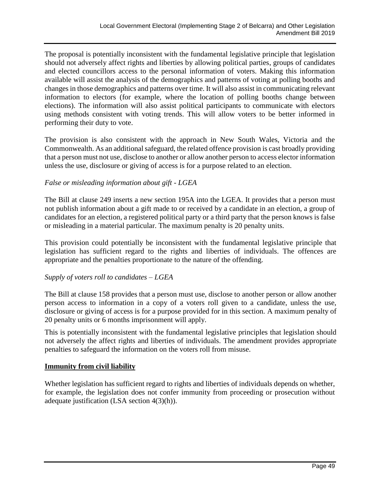The proposal is potentially inconsistent with the fundamental legislative principle that legislation should not adversely affect rights and liberties by allowing political parties, groups of candidates and elected councillors access to the personal information of voters. Making this information available will assist the analysis of the demographics and patterns of voting at polling booths and changes in those demographics and patterns over time. It will also assist in communicating relevant information to electors (for example, where the location of polling booths change between elections). The information will also assist political participants to communicate with electors using methods consistent with voting trends. This will allow voters to be better informed in performing their duty to vote.

The provision is also consistent with the approach in New South Wales, Victoria and the Commonwealth. As an additional safeguard, the related offence provision is cast broadly providing that a person must not use, disclose to another or allow another person to access elector information unless the use, disclosure or giving of access is for a purpose related to an election.

#### *False or misleading information about gift - LGEA*

The Bill at clause 249 inserts a new section 195A into the LGEA. It provides that a person must not publish information about a gift made to or received by a candidate in an election, a group of candidates for an election, a registered political party or a third party that the person knows is false or misleading in a material particular. The maximum penalty is 20 penalty units.

This provision could potentially be inconsistent with the fundamental legislative principle that legislation has sufficient regard to the rights and liberties of individuals. The offences are appropriate and the penalties proportionate to the nature of the offending.

#### *Supply of voters roll to candidates – LGEA*

The Bill at clause 158 provides that a person must use, disclose to another person or allow another person access to information in a copy of a voters roll given to a candidate, unless the use, disclosure or giving of access is for a purpose provided for in this section. A maximum penalty of 20 penalty units or 6 months imprisonment will apply.

This is potentially inconsistent with the fundamental legislative principles that legislation should not adversely the affect rights and liberties of individuals. The amendment provides appropriate penalties to safeguard the information on the voters roll from misuse.

#### **Immunity from civil liability**

Whether legislation has sufficient regard to rights and liberties of individuals depends on whether, for example, the legislation does not confer immunity from proceeding or prosecution without adequate justification (LSA section 4(3)(h)).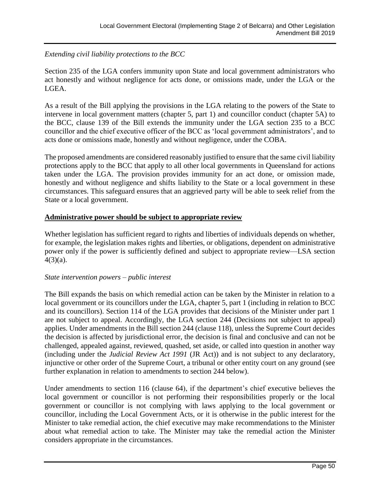#### *Extending civil liability protections to the BCC*

Section 235 of the LGA confers immunity upon State and local government administrators who act honestly and without negligence for acts done, or omissions made, under the LGA or the LGEA.

As a result of the Bill applying the provisions in the LGA relating to the powers of the State to intervene in local government matters (chapter 5, part 1) and councillor conduct (chapter 5A) to the BCC, clause 139 of the Bill extends the immunity under the LGA section 235 to a BCC councillor and the chief executive officer of the BCC as 'local government administrators', and to acts done or omissions made, honestly and without negligence, under the COBA.

The proposed amendments are considered reasonably justified to ensure that the same civil liability protections apply to the BCC that apply to all other local governments in Queensland for actions taken under the LGA. The provision provides immunity for an act done, or omission made, honestly and without negligence and shifts liability to the State or a local government in these circumstances. This safeguard ensures that an aggrieved party will be able to seek relief from the State or a local government.

#### **Administrative power should be subject to appropriate review**

Whether legislation has sufficient regard to rights and liberties of individuals depends on whether, for example, the legislation makes rights and liberties, or obligations, dependent on administrative power only if the power is sufficiently defined and subject to appropriate review—LSA section  $4(3)(a)$ .

#### *State intervention powers – public interest*

The Bill expands the basis on which remedial action can be taken by the Minister in relation to a local government or its councillors under the LGA, chapter 5, part 1 (including in relation to BCC and its councillors). Section 114 of the LGA provides that decisions of the Minister under part 1 are not subject to appeal. Accordingly, the LGA section 244 (Decisions not subject to appeal) applies. Under amendments in the Bill section 244 (clause 118), unless the Supreme Court decides the decision is affected by jurisdictional error, the decision is final and conclusive and can not be challenged, appealed against, reviewed, quashed, set aside, or called into question in another way (including under the *Judicial Review Act 1991* (JR Act)) and is not subject to any declaratory, injunctive or other order of the Supreme Court, a tribunal or other entity court on any ground (see further explanation in relation to amendments to section 244 below).

Under amendments to section 116 (clause 64), if the department's chief executive believes the local government or councillor is not performing their responsibilities properly or the local government or councillor is not complying with laws applying to the local government or councillor, including the Local Government Acts, or it is otherwise in the public interest for the Minister to take remedial action, the chief executive may make recommendations to the Minister about what remedial action to take. The Minister may take the remedial action the Minister considers appropriate in the circumstances.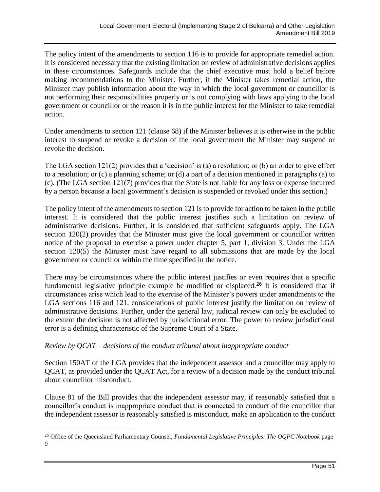The policy intent of the amendments to section 116 is to provide for appropriate remedial action. It is considered necessary that the existing limitation on review of administrative decisions applies in these circumstances. Safeguards include that the chief executive must hold a belief before making recommendations to the Minister. Further, if the Minister takes remedial action, the Minister may publish information about the way in which the local government or councillor is not performing their responsibilities properly or is not complying with laws applying to the local government or councillor or the reason it is in the public interest for the Minister to take remedial action.

Under amendments to section 121 (clause 68) if the Minister believes it is otherwise in the public interest to suspend or revoke a decision of the local government the Minister may suspend or revoke the decision.

The LGA section 121(2) provides that a 'decision' is (a) a resolution; or (b) an order to give effect to a resolution; or (c) a planning scheme; or (d) a part of a decision mentioned in paragraphs (a) to (c). (The LGA section 121(7) provides that the State is not liable for any loss or expense incurred by a person because a local government's decision is suspended or revoked under this section.)

The policy intent of the amendments to section 121 is to provide for action to be taken in the public interest. It is considered that the public interest justifies such a limitation on review of administrative decisions. Further, it is considered that sufficient safeguards apply. The LGA section 120(2) provides that the Minister must give the local government or councillor written notice of the proposal to exercise a power under chapter 5, part 1, division 3. Under the LGA section 120(5) the Minister must have regard to all submissions that are made by the local government or councillor within the time specified in the notice.

There may be circumstances where the public interest justifies or even requires that a specific fundamental legislative principle example be modified or displaced.<sup>26</sup> It is considered that if circumstances arise which lead to the exercise of the Minister's powers under amendments to the LGA sections 116 and 121, considerations of public interest justify the limitation on review of administrative decisions. Further, under the general law, judicial review can only be excluded to the extent the decision is not affected by jurisdictional error. The power to review jurisdictional error is a defining characteristic of the Supreme Court of a State.

#### *Review by QCAT – decisions of the conduct tribunal about inappropriate conduct*

Section 150AT of the LGA provides that the independent assessor and a councillor may apply to QCAT, as provided under the QCAT Act, for a review of a decision made by the conduct tribunal about councillor misconduct.

Clause 81 of the Bill provides that the independent assessor may, if reasonably satisfied that a councillor's conduct is inappropriate conduct that is connected to conduct of the councillor that the independent assessor is reasonably satisfied is misconduct, make an application to the conduct

<sup>&</sup>lt;sup>26</sup> Office of the Queensland Parliamentary Counsel, *Fundamental Legislative Principles: The OQPC Notebook* page 9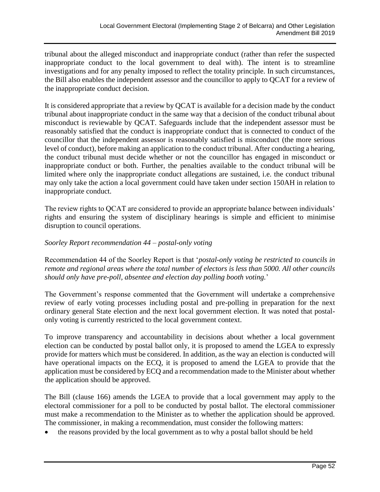tribunal about the alleged misconduct and inappropriate conduct (rather than refer the suspected inappropriate conduct to the local government to deal with). The intent is to streamline investigations and for any penalty imposed to reflect the totality principle. In such circumstances, the Bill also enables the independent assessor and the councillor to apply to QCAT for a review of the inappropriate conduct decision.

It is considered appropriate that a review by QCAT is available for a decision made by the conduct tribunal about inappropriate conduct in the same way that a decision of the conduct tribunal about misconduct is reviewable by QCAT. Safeguards include that the independent assessor must be reasonably satisfied that the conduct is inappropriate conduct that is connected to conduct of the councillor that the independent assessor is reasonably satisfied is misconduct (the more serious level of conduct), before making an application to the conduct tribunal. After conducting a hearing, the conduct tribunal must decide whether or not the councillor has engaged in misconduct or inappropriate conduct or both. Further, the penalties available to the conduct tribunal will be limited where only the inappropriate conduct allegations are sustained, i.e. the conduct tribunal may only take the action a local government could have taken under section 150AH in relation to inappropriate conduct.

The review rights to QCAT are considered to provide an appropriate balance between individuals' rights and ensuring the system of disciplinary hearings is simple and efficient to minimise disruption to council operations.

#### *Soorley Report recommendation 44 – postal-only voting*

Recommendation 44 of the Soorley Report is that '*postal-only voting be restricted to councils in remote and regional areas where the total number of electors is less than 5000. All other councils should only have pre-poll, absentee and election day polling booth voting.*'

The Government's response commented that the Government will undertake a comprehensive review of early voting processes including postal and pre-polling in preparation for the next ordinary general State election and the next local government election. It was noted that postalonly voting is currently restricted to the local government context.

To improve transparency and accountability in decisions about whether a local government election can be conducted by postal ballot only, it is proposed to amend the LGEA to expressly provide for matters which must be considered. In addition, as the way an election is conducted will have operational impacts on the ECQ, it is proposed to amend the LGEA to provide that the application must be considered by ECQ and a recommendation made to the Minister about whether the application should be approved.

The Bill (clause 166) amends the LGEA to provide that a local government may apply to the electoral commissioner for a poll to be conducted by postal ballot. The electoral commissioner must make a recommendation to the Minister as to whether the application should be approved. The commissioner, in making a recommendation, must consider the following matters:

• the reasons provided by the local government as to why a postal ballot should be held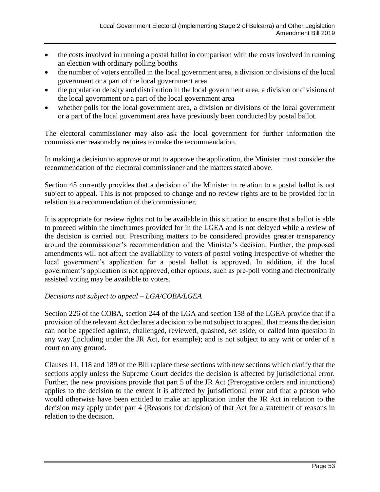- the costs involved in running a postal ballot in comparison with the costs involved in running an election with ordinary polling booths
- the number of voters enrolled in the local government area, a division or divisions of the local government or a part of the local government area
- the population density and distribution in the local government area, a division or divisions of the local government or a part of the local government area
- whether polls for the local government area, a division or divisions of the local government or a part of the local government area have previously been conducted by postal ballot.

The electoral commissioner may also ask the local government for further information the commissioner reasonably requires to make the recommendation.

In making a decision to approve or not to approve the application, the Minister must consider the recommendation of the electoral commissioner and the matters stated above.

Section 45 currently provides that a decision of the Minister in relation to a postal ballot is not subject to appeal. This is not proposed to change and no review rights are to be provided for in relation to a recommendation of the commissioner.

It is appropriate for review rights not to be available in this situation to ensure that a ballot is able to proceed within the timeframes provided for in the LGEA and is not delayed while a review of the decision is carried out. Prescribing matters to be considered provides greater transparency around the commissioner's recommendation and the Minister's decision. Further, the proposed amendments will not affect the availability to voters of postal voting irrespective of whether the local government's application for a postal ballot is approved. In addition, if the local government's application is not approved, other options, such as pre-poll voting and electronically assisted voting may be available to voters.

#### *Decisions not subject to appeal – LGA/COBA/LGEA*

Section 226 of the COBA, section 244 of the LGA and section 158 of the LGEA provide that if a provision of the relevant Act declares a decision to be not subject to appeal, that means the decision can not be appealed against, challenged, reviewed, quashed, set aside, or called into question in any way (including under the JR Act, for example); and is not subject to any writ or order of a court on any ground.

Clauses 11, 118 and 189 of the Bill replace these sections with new sections which clarify that the sections apply unless the Supreme Court decides the decision is affected by jurisdictional error. Further, the new provisions provide that part 5 of the JR Act (Prerogative orders and injunctions) applies to the decision to the extent it is affected by jurisdictional error and that a person who would otherwise have been entitled to make an application under the JR Act in relation to the decision may apply under part 4 (Reasons for decision) of that Act for a statement of reasons in relation to the decision.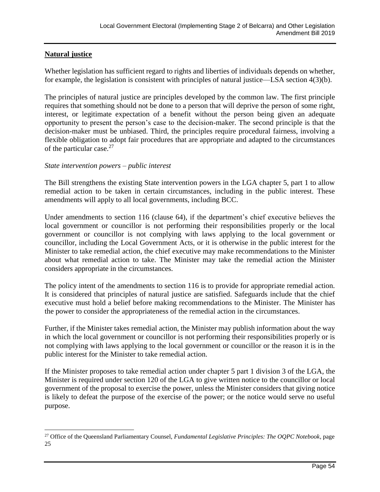#### **Natural justice**

Whether legislation has sufficient regard to rights and liberties of individuals depends on whether, for example, the legislation is consistent with principles of natural justice—LSA section 4(3)(b).

The principles of natural justice are principles developed by the common law. The first principle requires that something should not be done to a person that will deprive the person of some right, interest, or legitimate expectation of a benefit without the person being given an adequate opportunity to present the person's case to the decision-maker. The second principle is that the decision-maker must be unbiased. Third, the principles require procedural fairness, involving a flexible obligation to adopt fair procedures that are appropriate and adapted to the circumstances of the particular case.<sup>27</sup>

#### *State intervention powers – public interest*

The Bill strengthens the existing State intervention powers in the LGA chapter 5, part 1 to allow remedial action to be taken in certain circumstances, including in the public interest. These amendments will apply to all local governments, including BCC.

Under amendments to section 116 (clause 64), if the department's chief executive believes the local government or councillor is not performing their responsibilities properly or the local government or councillor is not complying with laws applying to the local government or councillor, including the Local Government Acts, or it is otherwise in the public interest for the Minister to take remedial action, the chief executive may make recommendations to the Minister about what remedial action to take. The Minister may take the remedial action the Minister considers appropriate in the circumstances.

The policy intent of the amendments to section 116 is to provide for appropriate remedial action. It is considered that principles of natural justice are satisfied. Safeguards include that the chief executive must hold a belief before making recommendations to the Minister. The Minister has the power to consider the appropriateness of the remedial action in the circumstances.

Further, if the Minister takes remedial action, the Minister may publish information about the way in which the local government or councillor is not performing their responsibilities properly or is not complying with laws applying to the local government or councillor or the reason it is in the public interest for the Minister to take remedial action.

If the Minister proposes to take remedial action under chapter 5 part 1 division 3 of the LGA, the Minister is required under section 120 of the LGA to give written notice to the councillor or local government of the proposal to exercise the power, unless the Minister considers that giving notice is likely to defeat the purpose of the exercise of the power; or the notice would serve no useful purpose.

<sup>27</sup> Office of the Queensland Parliamentary Counsel, *Fundamental Legislative Principles: The OQPC Notebook*, page 25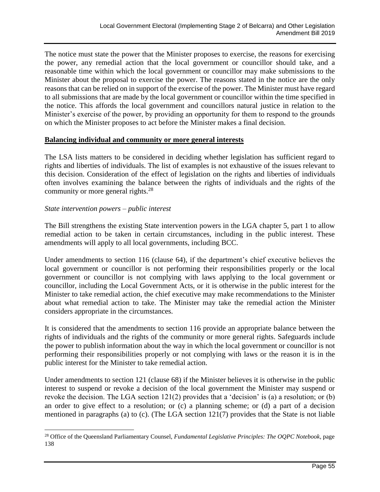The notice must state the power that the Minister proposes to exercise, the reasons for exercising the power, any remedial action that the local government or councillor should take, and a reasonable time within which the local government or councillor may make submissions to the Minister about the proposal to exercise the power. The reasons stated in the notice are the only reasons that can be relied on in support of the exercise of the power. The Minister must have regard to all submissions that are made by the local government or councillor within the time specified in the notice. This affords the local government and councillors natural justice in relation to the Minister's exercise of the power, by providing an opportunity for them to respond to the grounds on which the Minister proposes to act before the Minister makes a final decision.

#### **Balancing individual and community or more general interests**

The LSA lists matters to be considered in deciding whether legislation has sufficient regard to rights and liberties of individuals. The list of examples is not exhaustive of the issues relevant to this decision. Consideration of the effect of legislation on the rights and liberties of individuals often involves examining the balance between the rights of individuals and the rights of the community or more general rights.<sup>28</sup>

#### *State intervention powers – public interest*

The Bill strengthens the existing State intervention powers in the LGA chapter 5, part 1 to allow remedial action to be taken in certain circumstances, including in the public interest. These amendments will apply to all local governments, including BCC.

Under amendments to section 116 (clause 64), if the department's chief executive believes the local government or councillor is not performing their responsibilities properly or the local government or councillor is not complying with laws applying to the local government or councillor, including the Local Government Acts, or it is otherwise in the public interest for the Minister to take remedial action, the chief executive may make recommendations to the Minister about what remedial action to take. The Minister may take the remedial action the Minister considers appropriate in the circumstances.

It is considered that the amendments to section 116 provide an appropriate balance between the rights of individuals and the rights of the community or more general rights. Safeguards include the power to publish information about the way in which the local government or councillor is not performing their responsibilities properly or not complying with laws or the reason it is in the public interest for the Minister to take remedial action.

Under amendments to section 121 (clause 68) if the Minister believes it is otherwise in the public interest to suspend or revoke a decision of the local government the Minister may suspend or revoke the decision. The LGA section 121(2) provides that a 'decision' is (a) a resolution; or (b) an order to give effect to a resolution; or (c) a planning scheme; or (d) a part of a decision mentioned in paragraphs (a) to (c). (The LGA section 121(7) provides that the State is not liable

<sup>28</sup> Office of the Queensland Parliamentary Counsel, *Fundamental Legislative Principles: The OQPC Notebook*, page 138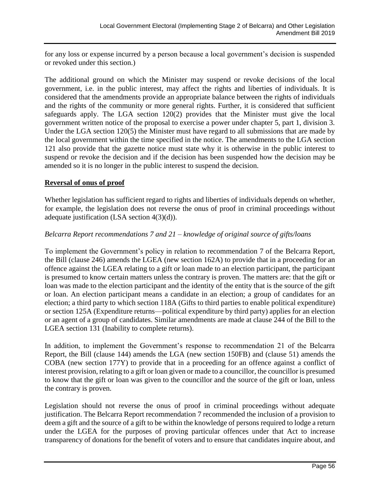for any loss or expense incurred by a person because a local government's decision is suspended or revoked under this section.)

The additional ground on which the Minister may suspend or revoke decisions of the local government, i.e. in the public interest, may affect the rights and liberties of individuals. It is considered that the amendments provide an appropriate balance between the rights of individuals and the rights of the community or more general rights. Further, it is considered that sufficient safeguards apply. The LGA section 120(2) provides that the Minister must give the local government written notice of the proposal to exercise a power under chapter 5, part 1, division 3. Under the LGA section 120(5) the Minister must have regard to all submissions that are made by the local government within the time specified in the notice. The amendments to the LGA section 121 also provide that the gazette notice must state why it is otherwise in the public interest to suspend or revoke the decision and if the decision has been suspended how the decision may be amended so it is no longer in the public interest to suspend the decision.

#### **Reversal of onus of proof**

Whether legislation has sufficient regard to rights and liberties of individuals depends on whether, for example, the legislation does not reverse the onus of proof in criminal proceedings without adequate justification (LSA section 4(3)(d)).

#### *Belcarra Report recommendations 7 and 21 – knowledge of original source of gifts/loans*

To implement the Government's policy in relation to recommendation 7 of the Belcarra Report, the Bill (clause 246) amends the LGEA (new section 162A) to provide that in a proceeding for an offence against the LGEA relating to a gift or loan made to an election participant, the participant is presumed to know certain matters unless the contrary is proven. The matters are: that the gift or loan was made to the election participant and the identity of the entity that is the source of the gift or loan. An election participant means a candidate in an election; a group of candidates for an election; a third party to which section 118A (Gifts to third parties to enable political expenditure) or section 125A (Expenditure returns—political expenditure by third party) applies for an election or an agent of a group of candidates. Similar amendments are made at clause 244 of the Bill to the LGEA section 131 (Inability to complete returns).

In addition, to implement the Government's response to recommendation 21 of the Belcarra Report, the Bill (clause 144) amends the LGA (new section 150FB) and (clause 51) amends the COBA (new section 177Y) to provide that in a proceeding for an offence against a conflict of interest provision, relating to a gift or loan given or made to a councillor, the councillor is presumed to know that the gift or loan was given to the councillor and the source of the gift or loan, unless the contrary is proven.

Legislation should not reverse the onus of proof in criminal proceedings without adequate justification. The Belcarra Report recommendation 7 recommended the inclusion of a provision to deem a gift and the source of a gift to be within the knowledge of persons required to lodge a return under the LGEA for the purposes of proving particular offences under that Act to increase transparency of donations for the benefit of voters and to ensure that candidates inquire about, and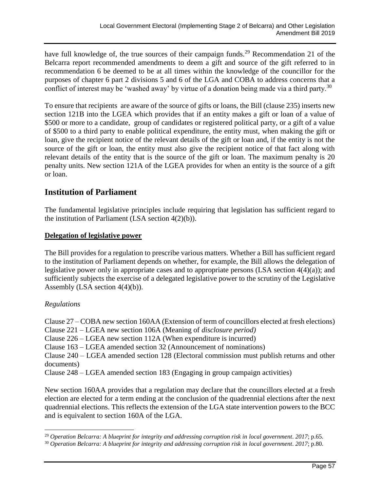have full knowledge of, the true sources of their campaign funds.<sup>29</sup> Recommendation 21 of the Belcarra report recommended amendments to deem a gift and source of the gift referred to in recommendation 6 be deemed to be at all times within the knowledge of the councillor for the purposes of chapter 6 part 2 divisions 5 and 6 of the LGA and COBA to address concerns that a conflict of interest may be 'washed away' by virtue of a donation being made via a third party.<sup>30</sup>

To ensure that recipients are aware of the source of gifts or loans, the Bill (clause 235) inserts new section 121B into the LGEA which provides that if an entity makes a gift or loan of a value of \$500 or more to a candidate, group of candidates or registered political party, or a gift of a value of \$500 to a third party to enable political expenditure, the entity must, when making the gift or loan, give the recipient notice of the relevant details of the gift or loan and, if the entity is not the source of the gift or loan, the entity must also give the recipient notice of that fact along with relevant details of the entity that is the source of the gift or loan. The maximum penalty is 20 penalty units. New section 121A of the LGEA provides for when an entity is the source of a gift or loan.

### **Institution of Parliament**

The fundamental legislative principles include requiring that legislation has sufficient regard to the institution of Parliament (LSA section  $4(2)(b)$ ).

#### **Delegation of legislative power**

The Bill provides for a regulation to prescribe various matters. Whether a Bill has sufficient regard to the institution of Parliament depends on whether, for example, the Bill allows the delegation of legislative power only in appropriate cases and to appropriate persons (LSA section 4(4)(a)); and sufficiently subjects the exercise of a delegated legislative power to the scrutiny of the Legislative Assembly (LSA section 4(4)(b)).

#### *Regulations*

Clause 27 – COBA new section 160AA (Extension of term of councillors elected at fresh elections) Clause 221 – LGEA new section 106A (Meaning of *disclosure period)*

Clause 226 – LGEA new section 112A (When expenditure is incurred)

Clause 163 – LGEA amended section 32 (Announcement of nominations)

Clause 240 – LGEA amended section 128 (Electoral commission must publish returns and other documents)

Clause 248 – LGEA amended section 183 (Engaging in group campaign activities)

New section 160AA provides that a regulation may declare that the councillors elected at a fresh election are elected for a term ending at the conclusion of the quadrennial elections after the next quadrennial elections. This reflects the extension of the LGA state intervention powers to the BCC and is equivalent to section 160A of the LGA.

<sup>29</sup> *Operation Belcarra: A blueprint for integrity and addressing corruption risk in local government*. *2017*; p.65.

<sup>30</sup> *Operation Belcarra: A blueprint for integrity and addressing corruption risk in local government*. *2017*; p.80.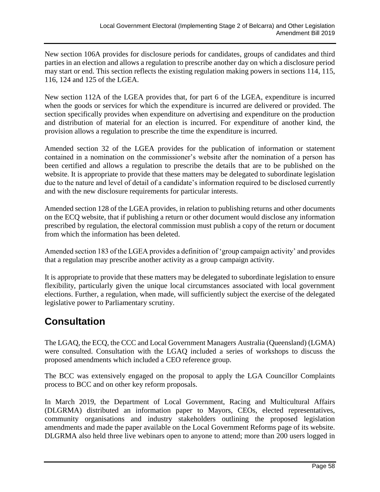New section 106A provides for disclosure periods for candidates, groups of candidates and third parties in an election and allows a regulation to prescribe another day on which a disclosure period may start or end. This section reflects the existing regulation making powers in sections 114, 115, 116, 124 and 125 of the LGEA.

New section 112A of the LGEA provides that, for part 6 of the LGEA, expenditure is incurred when the goods or services for which the expenditure is incurred are delivered or provided. The section specifically provides when expenditure on advertising and expenditure on the production and distribution of material for an election is incurred. For expenditure of another kind, the provision allows a regulation to prescribe the time the expenditure is incurred.

Amended section 32 of the LGEA provides for the publication of information or statement contained in a nomination on the commissioner's website after the nomination of a person has been certified and allows a regulation to prescribe the details that are to be published on the website. It is appropriate to provide that these matters may be delegated to subordinate legislation due to the nature and level of detail of a candidate's information required to be disclosed currently and with the new disclosure requirements for particular interests.

Amended section 128 of the LGEA provides, in relation to publishing returns and other documents on the ECQ website, that if publishing a return or other document would disclose any information prescribed by regulation, the electoral commission must publish a copy of the return or document from which the information has been deleted.

Amended section 183 of the LGEA provides a definition of 'group campaign activity' and provides that a regulation may prescribe another activity as a group campaign activity.

It is appropriate to provide that these matters may be delegated to subordinate legislation to ensure flexibility, particularly given the unique local circumstances associated with local government elections. Further, a regulation, when made, will sufficiently subject the exercise of the delegated legislative power to Parliamentary scrutiny.

# **Consultation**

The LGAQ, the ECQ, the CCC and Local Government Managers Australia (Queensland) (LGMA) were consulted. Consultation with the LGAQ included a series of workshops to discuss the proposed amendments which included a CEO reference group.

The BCC was extensively engaged on the proposal to apply the LGA Councillor Complaints process to BCC and on other key reform proposals.

In March 2019, the Department of Local Government, Racing and Multicultural Affairs (DLGRMA) distributed an information paper to Mayors, CEOs, elected representatives, community organisations and industry stakeholders outlining the proposed legislation amendments and made the paper available on the Local Government Reforms page of its website. DLGRMA also held three live webinars open to anyone to attend; more than 200 users logged in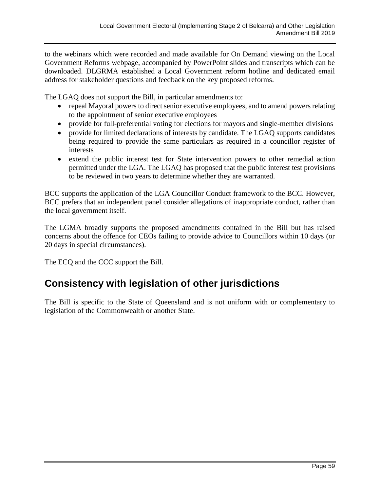to the webinars which were recorded and made available for On Demand viewing on the Local Government Reforms webpage, accompanied by PowerPoint slides and transcripts which can be downloaded. DLGRMA established a Local Government reform hotline and dedicated email address for stakeholder questions and feedback on the key proposed reforms.

The LGAQ does not support the Bill, in particular amendments to:

- repeal Mayoral powers to direct senior executive employees, and to amend powers relating to the appointment of senior executive employees
- provide for full-preferential voting for elections for mayors and single-member divisions
- provide for limited declarations of interests by candidate. The LGAQ supports candidates being required to provide the same particulars as required in a councillor register of interests
- extend the public interest test for State intervention powers to other remedial action permitted under the LGA. The LGAQ has proposed that the public interest test provisions to be reviewed in two years to determine whether they are warranted.

BCC supports the application of the LGA Councillor Conduct framework to the BCC. However, BCC prefers that an independent panel consider allegations of inappropriate conduct, rather than the local government itself.

The LGMA broadly supports the proposed amendments contained in the Bill but has raised concerns about the offence for CEOs failing to provide advice to Councillors within 10 days (or 20 days in special circumstances).

The ECQ and the CCC support the Bill.

# **Consistency with legislation of other jurisdictions**

The Bill is specific to the State of Queensland and is not uniform with or complementary to legislation of the Commonwealth or another State.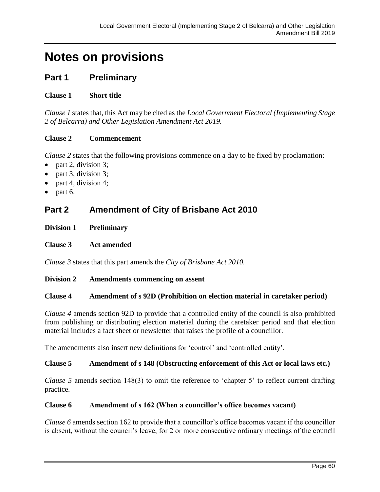# **Notes on provisions**

## **Part 1 Preliminary**

#### **Clause 1 Short title**

*Clause 1* states that, this Act may be cited as the *Local Government Electoral (Implementing Stage 2 of Belcarra) and Other Legislation Amendment Act 2019.* 

#### **Clause 2 Commencement**

*Clause 2* states that the following provisions commence on a day to be fixed by proclamation:

- part 2, division 3;
- part 3, division 3;
- part 4, division 4;
- part 6.

## **Part 2 Amendment of City of Brisbane Act 2010**

#### **Division 1 Preliminary**

#### **Clause 3 Act amended**

*Clause 3* states that this part amends the *City of Brisbane Act 2010.*

#### **Division 2 Amendments commencing on assent**

#### **Clause 4 Amendment of s 92D (Prohibition on election material in caretaker period)**

*Clause 4* amends section 92D to provide that a controlled entity of the council is also prohibited from publishing or distributing election material during the caretaker period and that election material includes a fact sheet or newsletter that raises the profile of a councillor.

The amendments also insert new definitions for 'control' and 'controlled entity'.

#### **Clause 5 Amendment of s 148 (Obstructing enforcement of this Act or local laws etc.)**

*Clause 5* amends section 148(3) to omit the reference to 'chapter 5' to reflect current drafting practice.

#### **Clause 6 Amendment of s 162 (When a councillor's office becomes vacant)**

*Clause 6* amends section 162 to provide that a councillor's office becomes vacant if the councillor is absent, without the council's leave, for 2 or more consecutive ordinary meetings of the council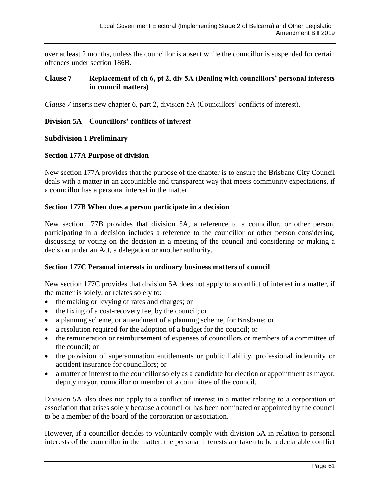over at least 2 months, unless the councillor is absent while the councillor is suspended for certain offences under section 186B.

#### **Clause 7 Replacement of ch 6, pt 2, div 5A (Dealing with councillors' personal interests in council matters)**

*Clause 7* inserts new chapter 6, part 2, division 5A (Councillors' conflicts of interest).

#### **Division 5A Councillors' conflicts of interest**

#### **Subdivision 1 Preliminary**

#### **Section 177A Purpose of division**

New section 177A provides that the purpose of the chapter is to ensure the Brisbane City Council deals with a matter in an accountable and transparent way that meets community expectations, if a councillor has a personal interest in the matter.

#### **Section 177B When does a person participate in a decision**

New section 177B provides that division 5A, a reference to a councillor, or other person, participating in a decision includes a reference to the councillor or other person considering, discussing or voting on the decision in a meeting of the council and considering or making a decision under an Act, a delegation or another authority.

#### **Section 177C Personal interests in ordinary business matters of council**

New section 177C provides that division 5A does not apply to a conflict of interest in a matter, if the matter is solely, or relates solely to:

- the making or levying of rates and charges; or
- the fixing of a cost-recovery fee, by the council; or
- a planning scheme, or amendment of a planning scheme, for Brisbane; or
- a resolution required for the adoption of a budget for the council; or
- the remuneration or reimbursement of expenses of councillors or members of a committee of the council; or
- the provision of superannuation entitlements or public liability, professional indemnity or accident insurance for councillors; or
- a matter of interest to the councillor solely as a candidate for election or appointment as mayor, deputy mayor, councillor or member of a committee of the council.

Division 5A also does not apply to a conflict of interest in a matter relating to a corporation or association that arises solely because a councillor has been nominated or appointed by the council to be a member of the board of the corporation or association.

However, if a councillor decides to voluntarily comply with division 5A in relation to personal interests of the councillor in the matter, the personal interests are taken to be a declarable conflict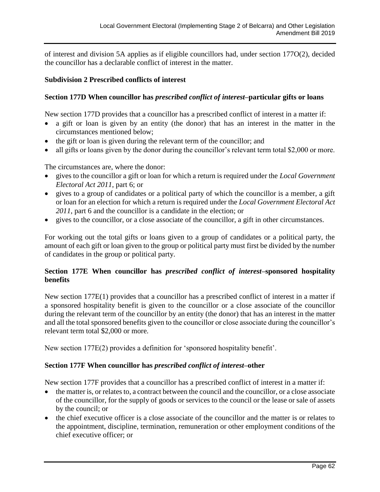of interest and division 5A applies as if eligible councillors had, under section 177O(2), decided the councillor has a declarable conflict of interest in the matter.

#### **Subdivision 2 Prescribed conflicts of interest**

#### **Section 177D When councillor has** *prescribed conflict of interest***–particular gifts or loans**

New section 177D provides that a councillor has a prescribed conflict of interest in a matter if:

- a gift or loan is given by an entity (the donor) that has an interest in the matter in the circumstances mentioned below;
- the gift or loan is given during the relevant term of the councillor; and
- all gifts or loans given by the donor during the councillor's relevant term total \$2,000 or more.

The circumstances are, where the donor:

- gives to the councillor a gift or loan for which a return is required under the *Local Government Electoral Act 2011*, part 6; or
- gives to a group of candidates or a political party of which the councillor is a member, a gift or loan for an election for which a return is required under the *Local Government Electoral Act 2011*, part 6 and the councillor is a candidate in the election; or
- gives to the councillor, or a close associate of the councillor, a gift in other circumstances.

For working out the total gifts or loans given to a group of candidates or a political party, the amount of each gift or loan given to the group or political party must first be divided by the number of candidates in the group or political party.

#### **Section 177E When councillor has** *prescribed conflict of interest***–sponsored hospitality benefits**

New section 177E(1) provides that a councillor has a prescribed conflict of interest in a matter if a sponsored hospitality benefit is given to the councillor or a close associate of the councillor during the relevant term of the councillor by an entity (the donor) that has an interest in the matter and all the total sponsored benefits given to the councillor or close associate during the councillor's relevant term total \$2,000 or more.

New section 177E(2) provides a definition for 'sponsored hospitality benefit'.

#### **Section 177F When councillor has** *prescribed conflict of interest***–other**

New section 177F provides that a councillor has a prescribed conflict of interest in a matter if:

- the matter is, or relates to, a contract between the council and the councillor, or a close associate of the councillor, for the supply of goods or services to the council or the lease or sale of assets by the council; or
- the chief executive officer is a close associate of the councillor and the matter is or relates to the appointment, discipline, termination, remuneration or other employment conditions of the chief executive officer; or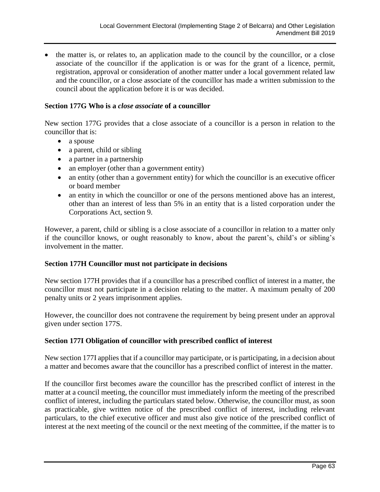• the matter is, or relates to, an application made to the council by the councillor, or a close associate of the councillor if the application is or was for the grant of a licence, permit, registration, approval or consideration of another matter under a local government related law and the councillor, or a close associate of the councillor has made a written submission to the council about the application before it is or was decided.

#### **Section 177G Who is a** *close associate* **of a councillor**

New section 177G provides that a close associate of a councillor is a person in relation to the councillor that is:

- a spouse
- a parent, child or sibling
- a partner in a partnership
- an employer (other than a government entity)
- an entity (other than a government entity) for which the councillor is an executive officer or board member
- an entity in which the councillor or one of the persons mentioned above has an interest, other than an interest of less than 5% in an entity that is a listed corporation under the Corporations Act, section 9.

However, a parent, child or sibling is a close associate of a councillor in relation to a matter only if the councillor knows, or ought reasonably to know, about the parent's, child's or sibling's involvement in the matter.

#### **Section 177H Councillor must not participate in decisions**

New section 177H provides that if a councillor has a prescribed conflict of interest in a matter, the councillor must not participate in a decision relating to the matter. A maximum penalty of 200 penalty units or 2 years imprisonment applies.

However, the councillor does not contravene the requirement by being present under an approval given under section 177S.

#### **Section 177I Obligation of councillor with prescribed conflict of interest**

New section 177I applies that if a councillor may participate, or is participating, in a decision about a matter and becomes aware that the councillor has a prescribed conflict of interest in the matter.

If the councillor first becomes aware the councillor has the prescribed conflict of interest in the matter at a council meeting, the councillor must immediately inform the meeting of the prescribed conflict of interest, including the particulars stated below. Otherwise, the councillor must, as soon as practicable, give written notice of the prescribed conflict of interest, including relevant particulars, to the chief executive officer and must also give notice of the prescribed conflict of interest at the next meeting of the council or the next meeting of the committee, if the matter is to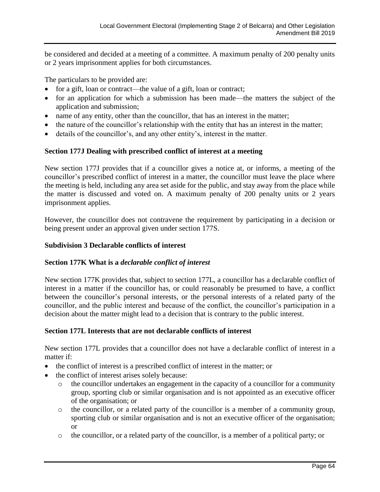be considered and decided at a meeting of a committee. A maximum penalty of 200 penalty units or 2 years imprisonment applies for both circumstances.

The particulars to be provided are:

- for a gift, loan or contract—the value of a gift, loan or contract;
- for an application for which a submission has been made—the matters the subject of the application and submission;
- name of any entity, other than the councillor, that has an interest in the matter;
- the nature of the councillor's relationship with the entity that has an interest in the matter;
- details of the councillor's, and any other entity's, interest in the matter.

#### **Section 177J Dealing with prescribed conflict of interest at a meeting**

New section 177J provides that if a councillor gives a notice at, or informs, a meeting of the councillor's prescribed conflict of interest in a matter, the councillor must leave the place where the meeting is held, including any area set aside for the public, and stay away from the place while the matter is discussed and voted on. A maximum penalty of 200 penalty units or 2 years imprisonment applies.

However, the councillor does not contravene the requirement by participating in a decision or being present under an approval given under section 177S.

#### **Subdivision 3 Declarable conflicts of interest**

#### **Section 177K What is a** *declarable conflict of interest*

New section 177K provides that, subject to section 177L, a councillor has a declarable conflict of interest in a matter if the councillor has, or could reasonably be presumed to have, a conflict between the councillor's personal interests, or the personal interests of a related party of the councillor, and the public interest and because of the conflict, the councillor's participation in a decision about the matter might lead to a decision that is contrary to the public interest.

#### **Section 177L Interests that are not declarable conflicts of interest**

New section 177L provides that a councillor does not have a declarable conflict of interest in a matter if:

- the conflict of interest is a prescribed conflict of interest in the matter; or
- the conflict of interest arises solely because:
	- o the councillor undertakes an engagement in the capacity of a councillor for a community group, sporting club or similar organisation and is not appointed as an executive officer of the organisation; or
	- o the councillor, or a related party of the councillor is a member of a community group, sporting club or similar organisation and is not an executive officer of the organisation; or
	- o the councillor, or a related party of the councillor, is a member of a political party; or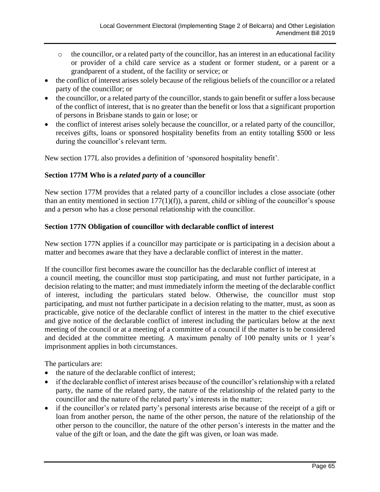- o the councillor, or a related party of the councillor, has an interest in an educational facility or provider of a child care service as a student or former student, or a parent or a grandparent of a student, of the facility or service; or
- the conflict of interest arises solely because of the religious beliefs of the councillor or a related party of the councillor; or
- the councillor, or a related party of the councillor, stands to gain benefit or suffer a loss because of the conflict of interest, that is no greater than the benefit or loss that a significant proportion of persons in Brisbane stands to gain or lose; or
- the conflict of interest arises solely because the councillor, or a related party of the councillor, receives gifts, loans or sponsored hospitality benefits from an entity totalling \$500 or less during the councillor's relevant term.

New section 177L also provides a definition of 'sponsored hospitality benefit'.

#### **Section 177M Who is a** *related party* **of a councillor**

New section 177M provides that a related party of a councillor includes a close associate (other than an entity mentioned in section  $177(1)(f)$ , a parent, child or sibling of the councillor's spouse and a person who has a close personal relationship with the councillor.

#### **Section 177N Obligation of councillor with declarable conflict of interest**

New section 177N applies if a councillor may participate or is participating in a decision about a matter and becomes aware that they have a declarable conflict of interest in the matter.

If the councillor first becomes aware the councillor has the declarable conflict of interest at a council meeting, the councillor must stop participating, and must not further participate, in a decision relating to the matter; and must immediately inform the meeting of the declarable conflict of interest, including the particulars stated below. Otherwise, the councillor must stop participating, and must not further participate in a decision relating to the matter, must, as soon as practicable, give notice of the declarable conflict of interest in the matter to the chief executive and give notice of the declarable conflict of interest including the particulars below at the next meeting of the council or at a meeting of a committee of a council if the matter is to be considered and decided at the committee meeting. A maximum penalty of 100 penalty units or 1 year's imprisonment applies in both circumstances.

The particulars are:

- the nature of the declarable conflict of interest;
- if the declarable conflict of interest arises because of the councillor's relationship with a related party, the name of the related party, the nature of the relationship of the related party to the councillor and the nature of the related party's interests in the matter;
- if the councillor's or related party's personal interests arise because of the receipt of a gift or loan from another person, the name of the other person, the nature of the relationship of the other person to the councillor, the nature of the other person's interests in the matter and the value of the gift or loan, and the date the gift was given, or loan was made.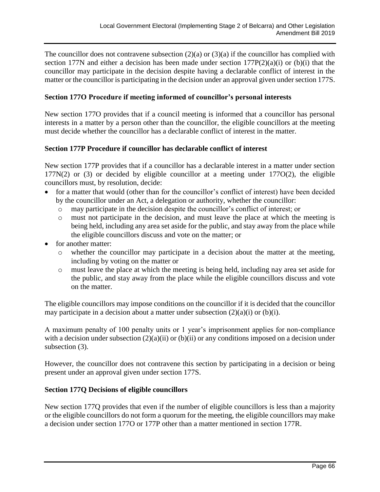The councillor does not contravene subsection  $(2)(a)$  or  $(3)(a)$  if the councillor has complied with section 177N and either a decision has been made under section  $177P(2)(a)(i)$  or (b)(i) that the councillor may participate in the decision despite having a declarable conflict of interest in the matter or the councillor is participating in the decision under an approval given under section 177S.

#### **Section 177O Procedure if meeting informed of councillor's personal interests**

New section 177O provides that if a council meeting is informed that a councillor has personal interests in a matter by a person other than the councillor, the eligible councillors at the meeting must decide whether the councillor has a declarable conflict of interest in the matter.

#### **Section 177P Procedure if councillor has declarable conflict of interest**

New section 177P provides that if a councillor has a declarable interest in a matter under section 177N(2) or (3) or decided by eligible councillor at a meeting under 177O(2), the eligible councillors must, by resolution, decide:

- for a matter that would (other than for the councillor's conflict of interest) have been decided by the councillor under an Act, a delegation or authority, whether the councillor:
	- o may participate in the decision despite the councillor's conflict of interest; or
	- o must not participate in the decision, and must leave the place at which the meeting is being held, including any area set aside for the public, and stay away from the place while the eligible councillors discuss and vote on the matter; or
- for another matter:
	- o whether the councillor may participate in a decision about the matter at the meeting, including by voting on the matter or
	- o must leave the place at which the meeting is being held, including nay area set aside for the public, and stay away from the place while the eligible councillors discuss and vote on the matter.

The eligible councillors may impose conditions on the councillor if it is decided that the councillor may participate in a decision about a matter under subsection  $(2)(a)(i)$  or  $(b)(i)$ .

A maximum penalty of 100 penalty units or 1 year's imprisonment applies for non-compliance with a decision under subsection  $(2)(a)(ii)$  or  $(b)(ii)$  or any conditions imposed on a decision under subsection (3).

However, the councillor does not contravene this section by participating in a decision or being present under an approval given under section 177S.

#### **Section 177Q Decisions of eligible councillors**

New section 177Q provides that even if the number of eligible councillors is less than a majority or the eligible councillors do not form a quorum for the meeting, the eligible councillors may make a decision under section 177O or 177P other than a matter mentioned in section 177R.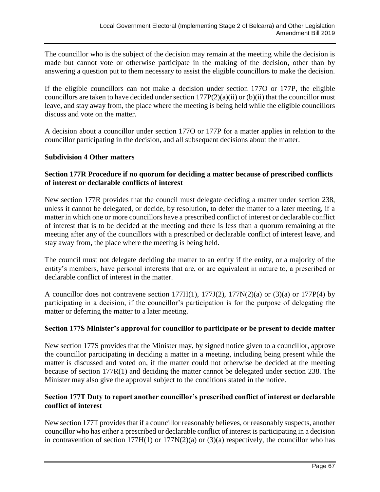The councillor who is the subject of the decision may remain at the meeting while the decision is made but cannot vote or otherwise participate in the making of the decision, other than by answering a question put to them necessary to assist the eligible councillors to make the decision.

If the eligible councillors can not make a decision under section 177O or 177P, the eligible councillors are taken to have decided under section  $177P(2)(a)(ii)$  or (b)(ii) that the councillor must leave, and stay away from, the place where the meeting is being held while the eligible councillors discuss and vote on the matter.

A decision about a councillor under section 177O or 177P for a matter applies in relation to the councillor participating in the decision, and all subsequent decisions about the matter.

#### **Subdivision 4 Other matters**

#### **Section 177R Procedure if no quorum for deciding a matter because of prescribed conflicts of interest or declarable conflicts of interest**

New section 177R provides that the council must delegate deciding a matter under section 238, unless it cannot be delegated, or decide, by resolution, to defer the matter to a later meeting, if a matter in which one or more councillors have a prescribed conflict of interest or declarable conflict of interest that is to be decided at the meeting and there is less than a quorum remaining at the meeting after any of the councillors with a prescribed or declarable conflict of interest leave, and stay away from, the place where the meeting is being held.

The council must not delegate deciding the matter to an entity if the entity, or a majority of the entity's members, have personal interests that are, or are equivalent in nature to, a prescribed or declarable conflict of interest in the matter.

A councillor does not contravene section 177H(1), 177J(2), 177N(2)(a) or (3)(a) or 177P(4) by participating in a decision, if the councillor's participation is for the purpose of delegating the matter or deferring the matter to a later meeting.

#### **Section 177S Minister's approval for councillor to participate or be present to decide matter**

New section 177S provides that the Minister may, by signed notice given to a councillor, approve the councillor participating in deciding a matter in a meeting, including being present while the matter is discussed and voted on, if the matter could not otherwise be decided at the meeting because of section 177R(1) and deciding the matter cannot be delegated under section 238. The Minister may also give the approval subject to the conditions stated in the notice.

#### **Section 177T Duty to report another councillor's prescribed conflict of interest or declarable conflict of interest**

New section 177T provides that if a councillor reasonably believes, or reasonably suspects, another councillor who has either a prescribed or declarable conflict of interest is participating in a decision in contravention of section  $177H(1)$  or  $177N(2)(a)$  or  $(3)(a)$  respectively, the councillor who has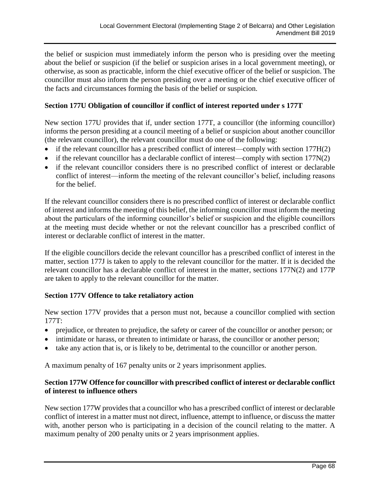the belief or suspicion must immediately inform the person who is presiding over the meeting about the belief or suspicion (if the belief or suspicion arises in a local government meeting), or otherwise, as soon as practicable, inform the chief executive officer of the belief or suspicion. The councillor must also inform the person presiding over a meeting or the chief executive officer of the facts and circumstances forming the basis of the belief or suspicion.

#### **Section 177U Obligation of councillor if conflict of interest reported under s 177T**

New section 177U provides that if, under section 177T, a councillor (the informing councillor) informs the person presiding at a council meeting of a belief or suspicion about another councillor (the relevant councillor), the relevant councillor must do one of the following:

- if the relevant councillor has a prescribed conflict of interest—comply with section 177H(2)
- if the relevant councillor has a declarable conflict of interest—comply with section  $177N(2)$
- if the relevant councillor considers there is no prescribed conflict of interest or declarable conflict of interest—inform the meeting of the relevant councillor's belief, including reasons for the belief.

If the relevant councillor considers there is no prescribed conflict of interest or declarable conflict of interest and informs the meeting of this belief, the informing councillor must inform the meeting about the particulars of the informing councillor's belief or suspicion and the eligible councillors at the meeting must decide whether or not the relevant councillor has a prescribed conflict of interest or declarable conflict of interest in the matter.

If the eligible councillors decide the relevant councillor has a prescribed conflict of interest in the matter, section 177J is taken to apply to the relevant councillor for the matter. If it is decided the relevant councillor has a declarable conflict of interest in the matter, sections 177N(2) and 177P are taken to apply to the relevant councillor for the matter.

#### **Section 177V Offence to take retaliatory action**

New section 177V provides that a person must not, because a councillor complied with section 177T:

- prejudice, or threaten to prejudice, the safety or career of the councillor or another person; or
- intimidate or harass, or threaten to intimidate or harass, the councillor or another person;
- take any action that is, or is likely to be, detrimental to the councillor or another person.

A maximum penalty of 167 penalty units or 2 years imprisonment applies.

#### **Section 177W Offence for councillor with prescribed conflict of interest or declarable conflict of interest to influence others**

New section 177W provides that a councillor who has a prescribed conflict of interest or declarable conflict of interest in a matter must not direct, influence, attempt to influence, or discuss the matter with, another person who is participating in a decision of the council relating to the matter. A maximum penalty of 200 penalty units or 2 years imprisonment applies.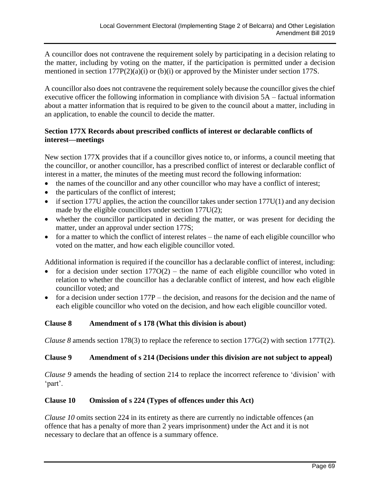A councillor does not contravene the requirement solely by participating in a decision relating to the matter, including by voting on the matter, if the participation is permitted under a decision mentioned in section 177P(2)(a)(i) or (b)(i) or approved by the Minister under section 177S.

A councillor also does not contravene the requirement solely because the councillor gives the chief executive officer the following information in compliance with division 5A – factual information about a matter information that is required to be given to the council about a matter, including in an application, to enable the council to decide the matter.

#### **Section 177X Records about prescribed conflicts of interest or declarable conflicts of interest—meetings**

New section 177X provides that if a councillor gives notice to, or informs, a council meeting that the councillor, or another councillor, has a prescribed conflict of interest or declarable conflict of interest in a matter, the minutes of the meeting must record the following information:

- the names of the councillor and any other councillor who may have a conflict of interest;
- the particulars of the conflict of interest;
- $\bullet$  if section 177U applies, the action the councillor takes under section 177U(1) and any decision made by the eligible councillors under section 177U(2);
- whether the councillor participated in deciding the matter, or was present for deciding the matter, under an approval under section 177S;
- for a matter to which the conflict of interest relates the name of each eligible councillor who voted on the matter, and how each eligible councillor voted.

Additional information is required if the councillor has a declarable conflict of interest, including:

- for a decision under section  $177O(2)$  the name of each eligible councillor who voted in relation to whether the councillor has a declarable conflict of interest, and how each eligible councillor voted; and
- for a decision under section 177P the decision, and reasons for the decision and the name of each eligible councillor who voted on the decision, and how each eligible councillor voted.

#### **Clause 8 Amendment of s 178 (What this division is about)**

*Clause 8* amends section 178(3) to replace the reference to section 177G(2) with section 177T(2).

#### **Clause 9 Amendment of s 214 (Decisions under this division are not subject to appeal)**

*Clause 9* amends the heading of section 214 to replace the incorrect reference to 'division' with 'part'.

#### **Clause 10 Omission of s 224 (Types of offences under this Act)**

*Clause 10* omits section 224 in its entirety as there are currently no indictable offences (an offence that has a penalty of more than 2 years imprisonment) under the Act and it is not necessary to declare that an offence is a summary offence.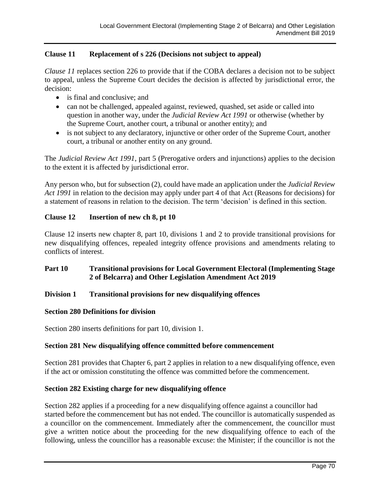#### **Clause 11 Replacement of s 226 (Decisions not subject to appeal)**

*Clause 11* replaces section 226 to provide that if the COBA declares a decision not to be subject to appeal, unless the Supreme Court decides the decision is affected by jurisdictional error, the decision:

- is final and conclusive; and
- can not be challenged, appealed against, reviewed, quashed, set aside or called into question in another way, under the *Judicial Review Act 1991* or otherwise (whether by the Supreme Court, another court, a tribunal or another entity); and
- is not subject to any declaratory, injunctive or other order of the Supreme Court, another court, a tribunal or another entity on any ground.

The *Judicial Review Act 1991*, part 5 (Prerogative orders and injunctions) applies to the decision to the extent it is affected by jurisdictional error.

Any person who, but for subsection (2), could have made an application under the *Judicial Review Act 1991* in relation to the decision may apply under part 4 of that Act (Reasons for decisions) for a statement of reasons in relation to the decision. The term 'decision' is defined in this section.

#### **Clause 12 Insertion of new ch 8, pt 10**

Clause 12 inserts new chapter 8, part 10, divisions 1 and 2 to provide transitional provisions for new disqualifying offences, repealed integrity offence provisions and amendments relating to conflicts of interest.

#### **Part 10 Transitional provisions for Local Government Electoral (Implementing Stage 2 of Belcarra) and Other Legislation Amendment Act 2019**

#### **Division 1 Transitional provisions for new disqualifying offences**

#### **Section 280 Definitions for division**

Section 280 inserts definitions for part 10, division 1.

#### **Section 281 New disqualifying offence committed before commencement**

Section 281 provides that Chapter 6, part 2 applies in relation to a new disqualifying offence, even if the act or omission constituting the offence was committed before the commencement.

#### **Section 282 Existing charge for new disqualifying offence**

Section 282 applies if a proceeding for a new disqualifying offence against a councillor had started before the commencement but has not ended. The councillor is automatically suspended as a councillor on the commencement. Immediately after the commencement, the councillor must give a written notice about the proceeding for the new disqualifying offence to each of the following, unless the councillor has a reasonable excuse: the Minister; if the councillor is not the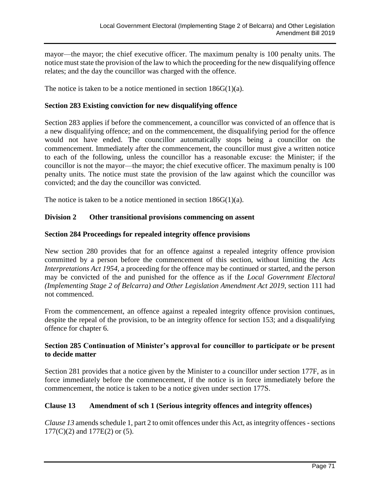mayor—the mayor; the chief executive officer. The maximum penalty is 100 penalty units. The notice must state the provision of the law to which the proceeding for the new disqualifying offence relates; and the day the councillor was charged with the offence.

The notice is taken to be a notice mentioned in section  $186G(1)(a)$ .

#### **Section 283 Existing conviction for new disqualifying offence**

Section 283 applies if before the commencement, a councillor was convicted of an offence that is a new disqualifying offence; and on the commencement, the disqualifying period for the offence would not have ended. The councillor automatically stops being a councillor on the commencement. Immediately after the commencement, the councillor must give a written notice to each of the following, unless the councillor has a reasonable excuse: the Minister; if the councillor is not the mayor—the mayor; the chief executive officer. The maximum penalty is 100 penalty units. The notice must state the provision of the law against which the councillor was convicted; and the day the councillor was convicted.

The notice is taken to be a notice mentioned in section 186G(1)(a).

#### **Division 2 Other transitional provisions commencing on assent**

#### **Section 284 Proceedings for repealed integrity offence provisions**

New section 280 provides that for an offence against a repealed integrity offence provision committed by a person before the commencement of this section, without limiting the *Acts Interpretations Act 1954*, a proceeding for the offence may be continued or started, and the person may be convicted of the and punished for the offence as if the *Local Government Electoral (Implementing Stage 2 of Belcarra) and Other Legislation Amendment Act 2019*, section 111 had not commenced.

From the commencement, an offence against a repealed integrity offence provision continues, despite the repeal of the provision, to be an integrity offence for section 153; and a disqualifying offence for chapter 6.

#### **Section 285 Continuation of Minister's approval for councillor to participate or be present to decide matter**

Section 281 provides that a notice given by the Minister to a councillor under section 177F, as in force immediately before the commencement, if the notice is in force immediately before the commencement, the notice is taken to be a notice given under section 177S.

#### **Clause 13 Amendment of sch 1 (Serious integrity offences and integrity offences)**

*Clause 13* amends schedule 1, part 2 to omit offences under this Act, as integrity offences - sections 177(C)(2) and 177E(2) or (5).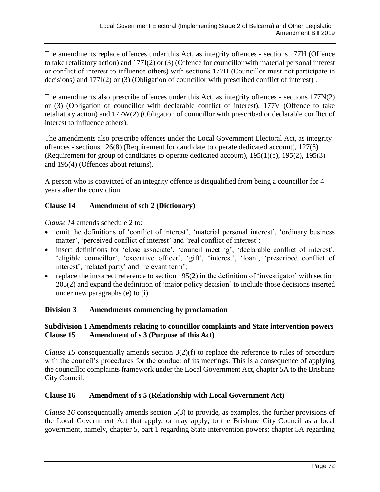The amendments replace offences under this Act, as integrity offences - sections 177H (Offence to take retaliatory action) and 177I(2) or (3) (Offence for councillor with material personal interest or conflict of interest to influence others) with sections 177H (Councillor must not participate in decisions) and 177I(2) or (3) (Obligation of councillor with prescribed conflict of interest) .

The amendments also prescribe offences under this Act, as integrity offences - sections 177N(2) or (3) (Obligation of councillor with declarable conflict of interest), 177V (Offence to take retaliatory action) and 177W(2) (Obligation of councillor with prescribed or declarable conflict of interest to influence others).

The amendments also prescribe offences under the Local Government Electoral Act, as integrity offences - sections 126(8) (Requirement for candidate to operate dedicated account), 127(8) (Requirement for group of candidates to operate dedicated account), 195(1)(b), 195(2), 195(3) and 195(4) (Offences about returns).

A person who is convicted of an integrity offence is disqualified from being a councillor for 4 years after the conviction

#### **Clause 14 Amendment of sch 2 (Dictionary)**

*Clause 14* amends schedule 2 to:

- omit the definitions of 'conflict of interest', 'material personal interest', 'ordinary business matter', 'perceived conflict of interest' and 'real conflict of interest';
- insert definitions for 'close associate', 'council meeting', 'declarable conflict of interest', 'eligible councillor', 'executive officer', 'gift', 'interest', 'loan', 'prescribed conflict of interest', 'related party' and 'relevant term';
- replace the incorrect reference to section  $195(2)$  in the definition of 'investigator' with section 205(2) and expand the definition of 'major policy decision' to include those decisions inserted under new paragraphs (e) to (i).

#### **Division 3 Amendments commencing by proclamation**

#### **Subdivision 1 Amendments relating to councillor complaints and State intervention powers Clause 15 Amendment of s 3 (Purpose of this Act)**

*Clause 15* consequentially amends section 3(2)(f) to replace the reference to rules of procedure with the council's procedures for the conduct of its meetings. This is a consequence of applying the councillor complaints framework under the Local Government Act, chapter 5A to the Brisbane City Council.

#### **Clause 16 Amendment of s 5 (Relationship with Local Government Act)**

*Clause 16* consequentially amends section 5(3) to provide, as examples, the further provisions of the Local Government Act that apply, or may apply, to the Brisbane City Council as a local government, namely, chapter 5, part 1 regarding State intervention powers; chapter 5A regarding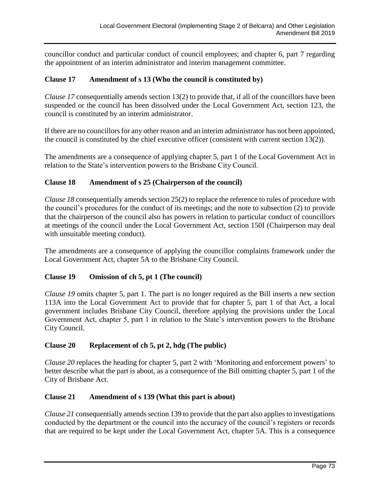councillor conduct and particular conduct of council employees; and chapter 6, part 7 regarding the appointment of an interim administrator and interim management committee.

# **Clause 17 Amendment of s 13 (Who the council is constituted by)**

*Clause 17* consequentially amends section 13(2) to provide that, if all of the councillors have been suspended or the council has been dissolved under the Local Government Act, section 123, the council is constituted by an interim administrator.

If there are no councillors for any other reason and an interim administrator has not been appointed, the council is constituted by the chief executive officer (consistent with current section 13(2)).

The amendments are a consequence of applying chapter 5, part 1 of the Local Government Act in relation to the State's intervention powers to the Brisbane City Council.

### **Clause 18 Amendment of s 25 (Chairperson of the council)**

*Clause 18* consequentially amends section 25(2) to replace the reference to rules of procedure with the council's procedures for the conduct of its meetings; and the note to subsection (2) to provide that the chairperson of the council also has powers in relation to particular conduct of councillors at meetings of the council under the Local Government Act, section 150I (Chairperson may deal with unsuitable meeting conduct).

The amendments are a consequence of applying the councillor complaints framework under the Local Government Act, chapter 5A to the Brisbane City Council.

### **Clause 19 Omission of ch 5, pt 1 (The council)**

*Clause 19* omits chapter 5, part 1. The part is no longer required as the Bill inserts a new section 113A into the Local Government Act to provide that for chapter 5, part 1 of that Act, a local government includes Brisbane City Council, therefore applying the provisions under the Local Government Act, chapter 5, part 1 in relation to the State's intervention powers to the Brisbane City Council.

### **Clause 20 Replacement of ch 5, pt 2, hdg (The public)**

*Clause 20* replaces the heading for chapter 5, part 2 with 'Monitoring and enforcement powers' to better describe what the part is about, as a consequence of the Bill omitting chapter 5, part 1 of the City of Brisbane Act.

### **Clause 21 Amendment of s 139 (What this part is about)**

*Clause 21* consequentially amends section 139 to provide that the part also applies to investigations conducted by the department or the council into the accuracy of the council's registers or records that are required to be kept under the Local Government Act, chapter 5A. This is a consequence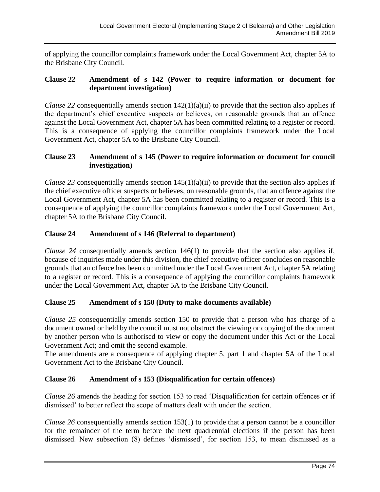of applying the councillor complaints framework under the Local Government Act, chapter 5A to the Brisbane City Council.

### **Clause 22 Amendment of s 142 (Power to require information or document for department investigation)**

*Clause 22* consequentially amends section  $142(1)(a)(ii)$  to provide that the section also applies if the department's chief executive suspects or believes, on reasonable grounds that an offence against the Local Government Act, chapter 5A has been committed relating to a register or record. This is a consequence of applying the councillor complaints framework under the Local Government Act, chapter 5A to the Brisbane City Council.

# **Clause 23 Amendment of s 145 (Power to require information or document for council investigation)**

*Clause 23* consequentially amends section  $145(1)(a)(ii)$  to provide that the section also applies if the chief executive officer suspects or believes, on reasonable grounds, that an offence against the Local Government Act, chapter 5A has been committed relating to a register or record. This is a consequence of applying the councillor complaints framework under the Local Government Act, chapter 5A to the Brisbane City Council.

# **Clause 24 Amendment of s 146 (Referral to department)**

*Clause 24* consequentially amends section 146(1) to provide that the section also applies if, because of inquiries made under this division, the chief executive officer concludes on reasonable grounds that an offence has been committed under the Local Government Act, chapter 5A relating to a register or record. This is a consequence of applying the councillor complaints framework under the Local Government Act, chapter 5A to the Brisbane City Council.

# **Clause 25 Amendment of s 150 (Duty to make documents available)**

*Clause 25* consequentially amends section 150 to provide that a person who has charge of a document owned or held by the council must not obstruct the viewing or copying of the document by another person who is authorised to view or copy the document under this Act or the Local Government Act; and omit the second example.

The amendments are a consequence of applying chapter 5, part 1 and chapter 5A of the Local Government Act to the Brisbane City Council.

# **Clause 26 Amendment of s 153 (Disqualification for certain offences)**

*Clause 26* amends the heading for section 153 to read 'Disqualification for certain offences or if dismissed' to better reflect the scope of matters dealt with under the section.

*Clause 26* consequentially amends section 153(1) to provide that a person cannot be a councillor for the remainder of the term before the next quadrennial elections if the person has been dismissed. New subsection (8) defines 'dismissed', for section 153, to mean dismissed as a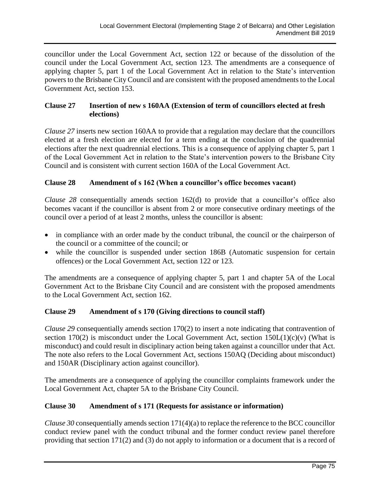councillor under the Local Government Act, section 122 or because of the dissolution of the council under the Local Government Act, section 123. The amendments are a consequence of applying chapter 5, part 1 of the Local Government Act in relation to the State's intervention powers to the Brisbane City Council and are consistent with the proposed amendments to the Local Government Act, section 153.

# **Clause 27 Insertion of new s 160AA (Extension of term of councillors elected at fresh elections)**

*Clause 27* inserts new section 160AA to provide that a regulation may declare that the councillors elected at a fresh election are elected for a term ending at the conclusion of the quadrennial elections after the next quadrennial elections. This is a consequence of applying chapter 5, part 1 of the Local Government Act in relation to the State's intervention powers to the Brisbane City Council and is consistent with current section 160A of the Local Government Act.

# **Clause 28 Amendment of s 162 (When a councillor's office becomes vacant)**

*Clause 28* consequentially amends section 162(d) to provide that a councillor's office also becomes vacant if the councillor is absent from 2 or more consecutive ordinary meetings of the council over a period of at least 2 months, unless the councillor is absent:

- in compliance with an order made by the conduct tribunal, the council or the chairperson of the council or a committee of the council; or
- while the councillor is suspended under section 186B (Automatic suspension for certain offences) or the Local Government Act, section 122 or 123.

The amendments are a consequence of applying chapter 5, part 1 and chapter 5A of the Local Government Act to the Brisbane City Council and are consistent with the proposed amendments to the Local Government Act, section 162.

# **Clause 29 Amendment of s 170 (Giving directions to council staff)**

*Clause 29* consequentially amends section 170(2) to insert a note indicating that contravention of section 170(2) is misconduct under the Local Government Act, section  $150L(1)(c)(v)$  (What is misconduct) and could result in disciplinary action being taken against a councillor under that Act. The note also refers to the Local Government Act, sections 150AQ (Deciding about misconduct) and 150AR (Disciplinary action against councillor).

The amendments are a consequence of applying the councillor complaints framework under the Local Government Act, chapter 5A to the Brisbane City Council.

# **Clause 30 Amendment of s 171 (Requests for assistance or information)**

*Clause 30* consequentially amends section  $171(4)(a)$  to replace the reference to the BCC councillor conduct review panel with the conduct tribunal and the former conduct review panel therefore providing that section 171(2) and (3) do not apply to information or a document that is a record of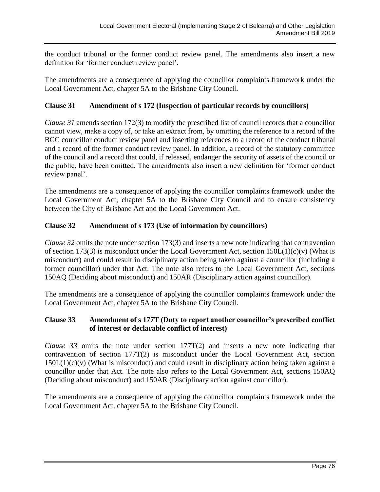the conduct tribunal or the former conduct review panel. The amendments also insert a new definition for 'former conduct review panel'.

The amendments are a consequence of applying the councillor complaints framework under the Local Government Act, chapter 5A to the Brisbane City Council.

# **Clause 31 Amendment of s 172 (Inspection of particular records by councillors)**

*Clause 31* amends section 172(3) to modify the prescribed list of council records that a councillor cannot view, make a copy of, or take an extract from, by omitting the reference to a record of the BCC councillor conduct review panel and inserting references to a record of the conduct tribunal and a record of the former conduct review panel. In addition, a record of the statutory committee of the council and a record that could, if released, endanger the security of assets of the council or the public, have been omitted. The amendments also insert a new definition for 'former conduct review panel'.

The amendments are a consequence of applying the councillor complaints framework under the Local Government Act, chapter 5A to the Brisbane City Council and to ensure consistency between the City of Brisbane Act and the Local Government Act.

# **Clause 32 Amendment of s 173 (Use of information by councillors)**

*Clause 32* omits the note under section 173(3) and inserts a new note indicating that contravention of section 173(3) is misconduct under the Local Government Act, section  $150L(1)(c)(v)$  (What is misconduct) and could result in disciplinary action being taken against a councillor (including a former councillor) under that Act. The note also refers to the Local Government Act, sections 150AQ (Deciding about misconduct) and 150AR (Disciplinary action against councillor).

The amendments are a consequence of applying the councillor complaints framework under the Local Government Act, chapter 5A to the Brisbane City Council.

### **Clause 33 Amendment of s 177T (Duty to report another councillor's prescribed conflict of interest or declarable conflict of interest)**

*Clause 33* omits the note under section 177T(2) and inserts a new note indicating that contravention of section 177T(2) is misconduct under the Local Government Act, section  $150L(1)(c)(v)$  (What is misconduct) and could result in disciplinary action being taken against a councillor under that Act. The note also refers to the Local Government Act, sections 150AQ (Deciding about misconduct) and 150AR (Disciplinary action against councillor).

The amendments are a consequence of applying the councillor complaints framework under the Local Government Act, chapter 5A to the Brisbane City Council.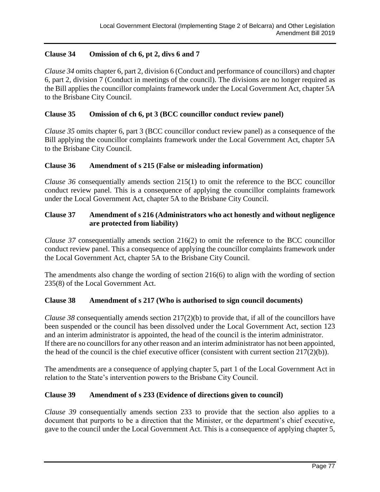# **Clause 34 Omission of ch 6, pt 2, divs 6 and 7**

*Clause 34* omits chapter 6, part 2, division 6 (Conduct and performance of councillors) and chapter 6, part 2, division 7 (Conduct in meetings of the council). The divisions are no longer required as the Bill applies the councillor complaints framework under the Local Government Act, chapter 5A to the Brisbane City Council.

## **Clause 35 Omission of ch 6, pt 3 (BCC councillor conduct review panel)**

*Clause 35* omits chapter 6, part 3 (BCC councillor conduct review panel) as a consequence of the Bill applying the councillor complaints framework under the Local Government Act, chapter 5A to the Brisbane City Council.

### **Clause 36 Amendment of s 215 (False or misleading information)**

*Clause 36* consequentially amends section 215(1) to omit the reference to the BCC councillor conduct review panel. This is a consequence of applying the councillor complaints framework under the Local Government Act, chapter 5A to the Brisbane City Council.

# **Clause 37 Amendment of s 216 (Administrators who act honestly and without negligence are protected from liability)**

*Clause 37* consequentially amends section 216(2) to omit the reference to the BCC councillor conduct review panel. This a consequence of applying the councillor complaints framework under the Local Government Act, chapter 5A to the Brisbane City Council.

The amendments also change the wording of section 216(6) to align with the wording of section 235(8) of the Local Government Act.

# **Clause 38 Amendment of s 217 (Who is authorised to sign council documents)**

*Clause 38* consequentially amends section 217(2)(b) to provide that, if all of the councillors have been suspended or the council has been dissolved under the Local Government Act, section 123 and an interim administrator is appointed, the head of the council is the interim administrator. If there are no councillors for any other reason and an interim administrator has not been appointed, the head of the council is the chief executive officer (consistent with current section 217(2)(b)).

The amendments are a consequence of applying chapter 5, part 1 of the Local Government Act in relation to the State's intervention powers to the Brisbane City Council.

# **Clause 39 Amendment of s 233 (Evidence of directions given to council)**

*Clause 39* consequentially amends section 233 to provide that the section also applies to a document that purports to be a direction that the Minister, or the department's chief executive, gave to the council under the Local Government Act. This is a consequence of applying chapter 5,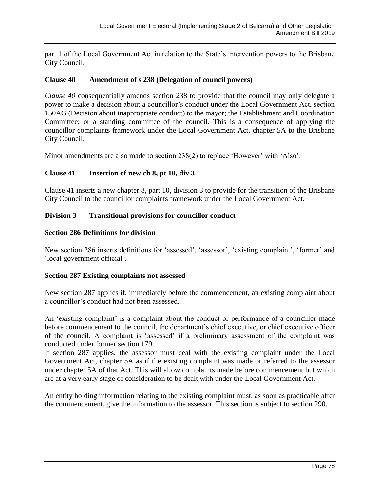part 1 of the Local Government Act in relation to the State's intervention powers to the Brisbane City Council.

### **Clause 40 Amendment of s 238 (Delegation of council powers)**

*Clause 40* consequentially amends section 238 to provide that the council may only delegate a power to make a decision about a councillor's conduct under the Local Government Act, section 150AG (Decision about inappropriate conduct) to the mayor; the Establishment and Coordination Committee; or a standing committee of the council. This is a consequence of applying the councillor complaints framework under the Local Government Act, chapter 5A to the Brisbane City Council.

Minor amendments are also made to section 238(2) to replace 'However' with 'Also'.

### **Clause 41 Insertion of new ch 8, pt 10, div 3**

Clause 41 inserts a new chapter 8, part 10, division 3 to provide for the transition of the Brisbane City Council to the councillor complaints framework under the Local Government Act.

### **Division 3 Transitional provisions for councillor conduct**

### **Section 286 Definitions for division**

New section 286 inserts definitions for 'assessed', 'assessor', 'existing complaint', 'former' and 'local government official'.

### **Section 287 Existing complaints not assessed**

New section 287 applies if, immediately before the commencement, an existing complaint about a councillor's conduct had not been assessed.

An 'existing complaint' is a complaint about the conduct or performance of a councillor made before commencement to the council, the department's chief executive, or chief executive officer of the council. A complaint is 'assessed' if a preliminary assessment of the complaint was conducted under former section 179.

If section 287 applies, the assessor must deal with the existing complaint under the Local Government Act, chapter 5A as if the existing complaint was made or referred to the assessor under chapter 5A of that Act. This will allow complaints made before commencement but which are at a very early stage of consideration to be dealt with under the Local Government Act.

An entity holding information relating to the existing complaint must, as soon as practicable after the commencement, give the information to the assessor. This section is subject to section 290.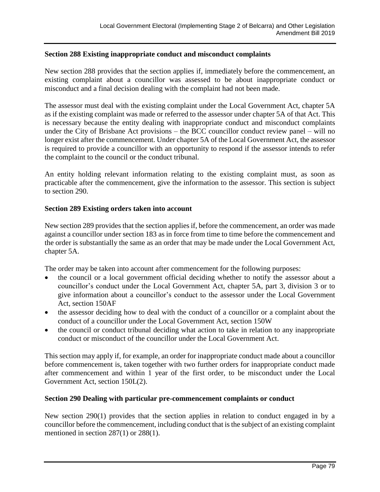### **Section 288 Existing inappropriate conduct and misconduct complaints**

New section 288 provides that the section applies if, immediately before the commencement, an existing complaint about a councillor was assessed to be about inappropriate conduct or misconduct and a final decision dealing with the complaint had not been made.

The assessor must deal with the existing complaint under the Local Government Act, chapter 5A as if the existing complaint was made or referred to the assessor under chapter 5A of that Act. This is necessary because the entity dealing with inappropriate conduct and misconduct complaints under the City of Brisbane Act provisions – the BCC councillor conduct review panel – will no longer exist after the commencement. Under chapter 5A of the Local Government Act, the assessor is required to provide a councillor with an opportunity to respond if the assessor intends to refer the complaint to the council or the conduct tribunal.

An entity holding relevant information relating to the existing complaint must, as soon as practicable after the commencement, give the information to the assessor. This section is subject to section 290.

### **Section 289 Existing orders taken into account**

New section 289 provides that the section applies if, before the commencement, an order was made against a councillor under section 183 as in force from time to time before the commencement and the order is substantially the same as an order that may be made under the Local Government Act, chapter 5A.

The order may be taken into account after commencement for the following purposes:

- the council or a local government official deciding whether to notify the assessor about a councillor's conduct under the Local Government Act, chapter 5A, part 3, division 3 or to give information about a councillor's conduct to the assessor under the Local Government Act, section 150AF
- the assessor deciding how to deal with the conduct of a councillor or a complaint about the conduct of a councillor under the Local Government Act, section 150W
- the council or conduct tribunal deciding what action to take in relation to any inappropriate conduct or misconduct of the councillor under the Local Government Act.

This section may apply if, for example, an order for inappropriate conduct made about a councillor before commencement is, taken together with two further orders for inappropriate conduct made after commencement and within 1 year of the first order, to be misconduct under the Local Government Act, section 150L(2).

### **Section 290 Dealing with particular pre-commencement complaints or conduct**

New section 290(1) provides that the section applies in relation to conduct engaged in by a councillor before the commencement, including conduct that is the subject of an existing complaint mentioned in section 287(1) or 288(1).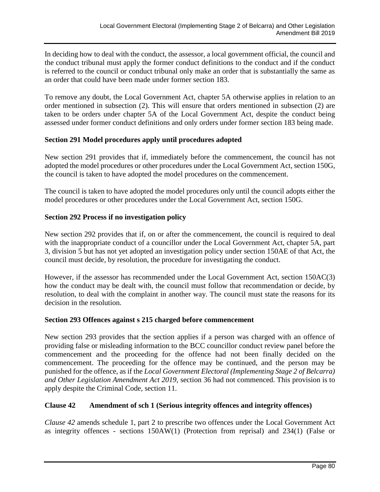In deciding how to deal with the conduct, the assessor, a local government official, the council and the conduct tribunal must apply the former conduct definitions to the conduct and if the conduct is referred to the council or conduct tribunal only make an order that is substantially the same as an order that could have been made under former section 183.

To remove any doubt, the Local Government Act, chapter 5A otherwise applies in relation to an order mentioned in subsection (2). This will ensure that orders mentioned in subsection (2) are taken to be orders under chapter 5A of the Local Government Act, despite the conduct being assessed under former conduct definitions and only orders under former section 183 being made.

### **Section 291 Model procedures apply until procedures adopted**

New section 291 provides that if, immediately before the commencement, the council has not adopted the model procedures or other procedures under the Local Government Act, section 150G, the council is taken to have adopted the model procedures on the commencement.

The council is taken to have adopted the model procedures only until the council adopts either the model procedures or other procedures under the Local Government Act, section 150G.

### **Section 292 Process if no investigation policy**

New section 292 provides that if, on or after the commencement, the council is required to deal with the inappropriate conduct of a councillor under the Local Government Act, chapter 5A, part 3, division 5 but has not yet adopted an investigation policy under section 150AE of that Act, the council must decide, by resolution, the procedure for investigating the conduct.

However, if the assessor has recommended under the Local Government Act, section 150AC(3) how the conduct may be dealt with, the council must follow that recommendation or decide, by resolution, to deal with the complaint in another way. The council must state the reasons for its decision in the resolution.

### **Section 293 Offences against s 215 charged before commencement**

New section 293 provides that the section applies if a person was charged with an offence of providing false or misleading information to the BCC councillor conduct review panel before the commencement and the proceeding for the offence had not been finally decided on the commencement. The proceeding for the offence may be continued, and the person may be punished for the offence, as if the *Local Government Electoral (Implementing Stage 2 of Belcarra) and Other Legislation Amendment Act 2019*, section 36 had not commenced. This provision is to apply despite the Criminal Code, section 11.

### **Clause 42 Amendment of sch 1 (Serious integrity offences and integrity offences)**

*Clause 42* amends schedule 1, part 2 to prescribe two offences under the Local Government Act as integrity offences - sections 150AW(1) (Protection from reprisal) and 234(1) (False or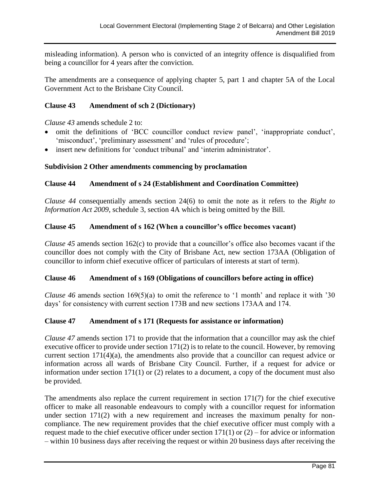misleading information). A person who is convicted of an integrity offence is disqualified from being a councillor for 4 years after the conviction.

The amendments are a consequence of applying chapter 5, part 1 and chapter 5A of the Local Government Act to the Brisbane City Council.

# **Clause 43 Amendment of sch 2 (Dictionary)**

*Clause 43* amends schedule 2 to:

- omit the definitions of 'BCC councillor conduct review panel', 'inappropriate conduct', 'misconduct', 'preliminary assessment' and 'rules of procedure';
- insert new definitions for 'conduct tribunal' and 'interim administrator'.

# **Subdivision 2 Other amendments commencing by proclamation**

# **Clause 44 Amendment of s 24 (Establishment and Coordination Committee)**

*Clause 44* consequentially amends section 24(6) to omit the note as it refers to the *Right to Information Act 2009*, schedule 3, section 4A which is being omitted by the Bill.

# **Clause 45 Amendment of s 162 (When a councillor's office becomes vacant)**

*Clause 45* amends section 162(c) to provide that a councillor's office also becomes vacant if the councillor does not comply with the City of Brisbane Act, new section 173AA (Obligation of councillor to inform chief executive officer of particulars of interests at start of term).

# **Clause 46 Amendment of s 169 (Obligations of councillors before acting in office)**

*Clause 46* amends section 169(5)(a) to omit the reference to '1 month' and replace it with '30 days' for consistency with current section 173B and new sections 173AA and 174.

# **Clause 47 Amendment of s 171 (Requests for assistance or information)**

*Clause 47* amends section 171 to provide that the information that a councillor may ask the chief executive officer to provide under section 171(2) is to relate to the council. However, by removing current section 171(4)(a), the amendments also provide that a councillor can request advice or information across all wards of Brisbane City Council. Further, if a request for advice or information under section 171(1) or (2) relates to a document, a copy of the document must also be provided.

The amendments also replace the current requirement in section 171(7) for the chief executive officer to make all reasonable endeavours to comply with a councillor request for information under section 171(2) with a new requirement and increases the maximum penalty for noncompliance. The new requirement provides that the chief executive officer must comply with a request made to the chief executive officer under section  $171(1)$  or  $(2)$  – for advice or information – within 10 business days after receiving the request or within 20 business days after receiving the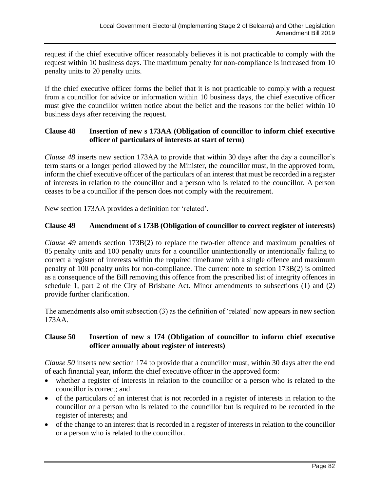request if the chief executive officer reasonably believes it is not practicable to comply with the request within 10 business days. The maximum penalty for non-compliance is increased from 10 penalty units to 20 penalty units.

If the chief executive officer forms the belief that it is not practicable to comply with a request from a councillor for advice or information within 10 business days, the chief executive officer must give the councillor written notice about the belief and the reasons for the belief within 10 business days after receiving the request.

### **Clause 48 Insertion of new s 173AA (Obligation of councillor to inform chief executive officer of particulars of interests at start of term)**

*Clause 48* inserts new section 173AA to provide that within 30 days after the day a councillor's term starts or a longer period allowed by the Minister, the councillor must, in the approved form, inform the chief executive officer of the particulars of an interest that must be recorded in a register of interests in relation to the councillor and a person who is related to the councillor. A person ceases to be a councillor if the person does not comply with the requirement.

New section 173AA provides a definition for 'related'.

# **Clause 49 Amendment of s 173B (Obligation of councillor to correct register of interests)**

*Clause 49* amends section 173B(2) to replace the two-tier offence and maximum penalties of 85 penalty units and 100 penalty units for a councillor unintentionally or intentionally failing to correct a register of interests within the required timeframe with a single offence and maximum penalty of 100 penalty units for non-compliance. The current note to section 173B(2) is omitted as a consequence of the Bill removing this offence from the prescribed list of integrity offences in schedule 1, part 2 of the City of Brisbane Act. Minor amendments to subsections (1) and (2) provide further clarification.

The amendments also omit subsection (3) as the definition of 'related' now appears in new section 173AA.

### **Clause 50 Insertion of new s 174 (Obligation of councillor to inform chief executive officer annually about register of interests)**

*Clause 50* inserts new section 174 to provide that a councillor must, within 30 days after the end of each financial year, inform the chief executive officer in the approved form:

- whether a register of interests in relation to the councillor or a person who is related to the councillor is correct; and
- of the particulars of an interest that is not recorded in a register of interests in relation to the councillor or a person who is related to the councillor but is required to be recorded in the register of interests; and
- of the change to an interest that is recorded in a register of interests in relation to the councillor or a person who is related to the councillor.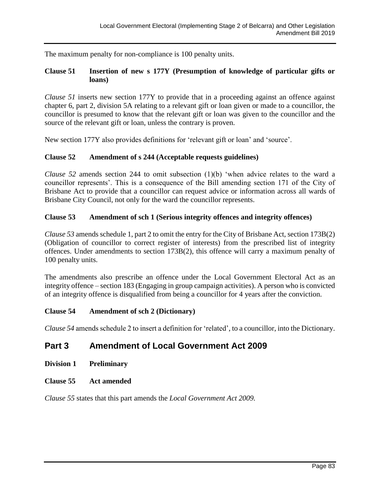The maximum penalty for non-compliance is 100 penalty units.

# **Clause 51 Insertion of new s 177Y (Presumption of knowledge of particular gifts or loans)**

*Clause 51* inserts new section 177Y to provide that in a proceeding against an offence against chapter 6, part 2, division 5A relating to a relevant gift or loan given or made to a councillor, the councillor is presumed to know that the relevant gift or loan was given to the councillor and the source of the relevant gift or loan, unless the contrary is proven.

New section 177Y also provides definitions for 'relevant gift or loan' and 'source'.

### **Clause 52 Amendment of s 244 (Acceptable requests guidelines)**

*Clause 52* amends section 244 to omit subsection (1)(b) 'when advice relates to the ward a councillor represents'. This is a consequence of the Bill amending section 171 of the City of Brisbane Act to provide that a councillor can request advice or information across all wards of Brisbane City Council, not only for the ward the councillor represents.

### **Clause 53 Amendment of sch 1 (Serious integrity offences and integrity offences)**

*Clause 53* amends schedule 1, part 2 to omit the entry for the City of Brisbane Act, section 173B(2) (Obligation of councillor to correct register of interests) from the prescribed list of integrity offences. Under amendments to section 173B(2), this offence will carry a maximum penalty of 100 penalty units.

The amendments also prescribe an offence under the Local Government Electoral Act as an integrity offence – section 183 (Engaging in group campaign activities). A person who is convicted of an integrity offence is disqualified from being a councillor for 4 years after the conviction.

### **Clause 54 Amendment of sch 2 (Dictionary)**

*Clause 54* amends schedule 2 to insert a definition for 'related', to a councillor, into the Dictionary.

# **Part 3 Amendment of Local Government Act 2009**

- **Division 1 Preliminary**
- **Clause 55 Act amended**

*Clause 55* states that this part amends the *Local Government Act 2009.*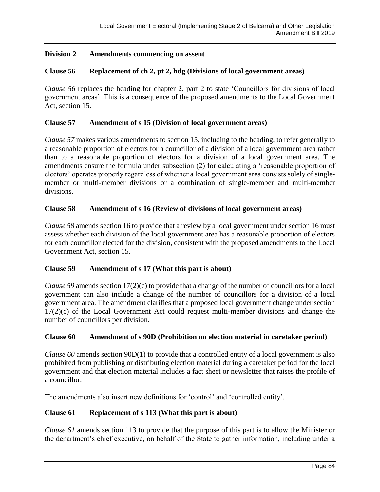# **Division 2 Amendments commencing on assent**

### **Clause 56 Replacement of ch 2, pt 2, hdg (Divisions of local government areas)**

*Clause 56* replaces the heading for chapter 2, part 2 to state 'Councillors for divisions of local government areas'. This is a consequence of the proposed amendments to the Local Government Act, section 15.

### **Clause 57 Amendment of s 15 (Division of local government areas)**

*Clause 57* makes various amendments to section 15, including to the heading, to refer generally to a reasonable proportion of electors for a councillor of a division of a local government area rather than to a reasonable proportion of electors for a division of a local government area. The amendments ensure the formula under subsection (2) for calculating a 'reasonable proportion of electors' operates properly regardless of whether a local government area consists solely of singlemember or multi-member divisions or a combination of single-member and multi-member divisions.

### **Clause 58 Amendment of s 16 (Review of divisions of local government areas)**

*Clause 58* amends section 16 to provide that a review by a local government under section 16 must assess whether each division of the local government area has a reasonable proportion of electors for each councillor elected for the division, consistent with the proposed amendments to the Local Government Act, section 15.

### **Clause 59 Amendment of s 17 (What this part is about)**

*Clause 59* amends section 17(2)(c) to provide that a change of the number of councillors for a local government can also include a change of the number of councillors for a division of a local government area. The amendment clarifies that a proposed local government change under section 17(2)(c) of the Local Government Act could request multi-member divisions and change the number of councillors per division.

### **Clause 60 Amendment of s 90D (Prohibition on election material in caretaker period)**

*Clause 60* amends section 90D(1) to provide that a controlled entity of a local government is also prohibited from publishing or distributing election material during a caretaker period for the local government and that election material includes a fact sheet or newsletter that raises the profile of a councillor.

The amendments also insert new definitions for 'control' and 'controlled entity'.

### **Clause 61 Replacement of s 113 (What this part is about)**

*Clause 61* amends section 113 to provide that the purpose of this part is to allow the Minister or the department's chief executive, on behalf of the State to gather information, including under a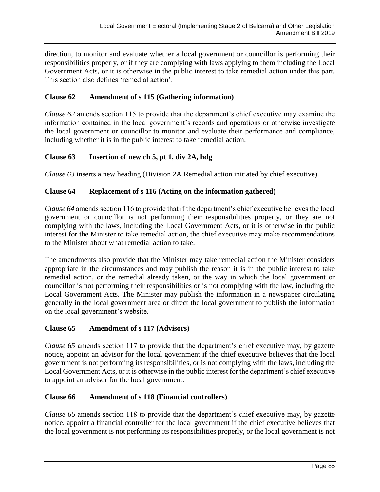direction, to monitor and evaluate whether a local government or councillor is performing their responsibilities properly, or if they are complying with laws applying to them including the Local Government Acts, or it is otherwise in the public interest to take remedial action under this part. This section also defines 'remedial action'.

# **Clause 62 Amendment of s 115 (Gathering information)**

*Clause 62* amends section 115 to provide that the department's chief executive may examine the information contained in the local government's records and operations or otherwise investigate the local government or councillor to monitor and evaluate their performance and compliance, including whether it is in the public interest to take remedial action.

# **Clause 63 Insertion of new ch 5, pt 1, div 2A, hdg**

*Clause 63* inserts a new heading (Division 2A Remedial action initiated by chief executive).

# **Clause 64 Replacement of s 116 (Acting on the information gathered)**

*Clause 64* amends section 116 to provide that if the department's chief executive believes the local government or councillor is not performing their responsibilities property, or they are not complying with the laws, including the Local Government Acts, or it is otherwise in the public interest for the Minister to take remedial action, the chief executive may make recommendations to the Minister about what remedial action to take.

The amendments also provide that the Minister may take remedial action the Minister considers appropriate in the circumstances and may publish the reason it is in the public interest to take remedial action, or the remedial already taken, or the way in which the local government or councillor is not performing their responsibilities or is not complying with the law, including the Local Government Acts. The Minister may publish the information in a newspaper circulating generally in the local government area or direct the local government to publish the information on the local government's website.

### **Clause 65 Amendment of s 117 (Advisors)**

*Clause 65* amends section 117 to provide that the department's chief executive may, by gazette notice, appoint an advisor for the local government if the chief executive believes that the local government is not performing its responsibilities, or is not complying with the laws, including the Local Government Acts, or it is otherwise in the public interest for the department's chief executive to appoint an advisor for the local government.

### **Clause 66 Amendment of s 118 (Financial controllers)**

*Clause 66* amends section 118 to provide that the department's chief executive may, by gazette notice, appoint a financial controller for the local government if the chief executive believes that the local government is not performing its responsibilities properly, or the local government is not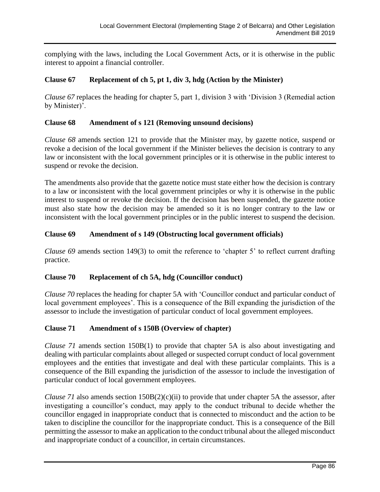complying with the laws, including the Local Government Acts, or it is otherwise in the public interest to appoint a financial controller.

# **Clause 67 Replacement of ch 5, pt 1, div 3, hdg (Action by the Minister)**

*Clause 67* replaces the heading for chapter 5, part 1, division 3 with 'Division 3 (Remedial action by Minister)'.

### **Clause 68 Amendment of s 121 (Removing unsound decisions)**

*Clause 68* amends section 121 to provide that the Minister may, by gazette notice, suspend or revoke a decision of the local government if the Minister believes the decision is contrary to any law or inconsistent with the local government principles or it is otherwise in the public interest to suspend or revoke the decision.

The amendments also provide that the gazette notice must state either how the decision is contrary to a law or inconsistent with the local government principles or why it is otherwise in the public interest to suspend or revoke the decision. If the decision has been suspended, the gazette notice must also state how the decision may be amended so it is no longer contrary to the law or inconsistent with the local government principles or in the public interest to suspend the decision.

# **Clause 69 Amendment of s 149 (Obstructing local government officials)**

*Clause 69* amends section 149(3) to omit the reference to 'chapter 5' to reflect current drafting practice.

# **Clause 70 Replacement of ch 5A, hdg (Councillor conduct)**

*Clause 70* replaces the heading for chapter 5A with 'Councillor conduct and particular conduct of local government employees'. This is a consequence of the Bill expanding the jurisdiction of the assessor to include the investigation of particular conduct of local government employees.

### **Clause 71 Amendment of s 150B (Overview of chapter)**

*Clause 71* amends section 150B(1) to provide that chapter 5A is also about investigating and dealing with particular complaints about alleged or suspected corrupt conduct of local government employees and the entities that investigate and deal with these particular complaints. This is a consequence of the Bill expanding the jurisdiction of the assessor to include the investigation of particular conduct of local government employees.

*Clause 71* also amends section 150B(2)(c)(ii) to provide that under chapter 5A the assessor, after investigating a councillor's conduct, may apply to the conduct tribunal to decide whether the councillor engaged in inappropriate conduct that is connected to misconduct and the action to be taken to discipline the councillor for the inappropriate conduct. This is a consequence of the Bill permitting the assessor to make an application to the conduct tribunal about the alleged misconduct and inappropriate conduct of a councillor, in certain circumstances.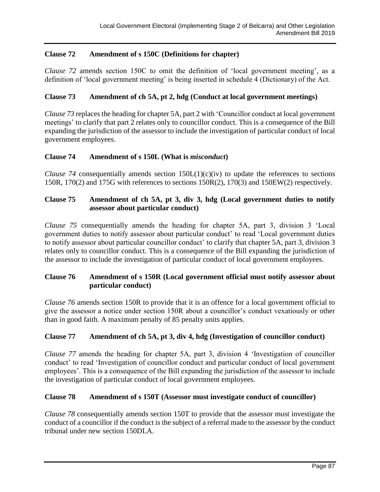# **Clause 72 Amendment of s 150C (Definitions for chapter)**

*Clause 72* amends section 150C to omit the definition of 'local government meeting', as a definition of 'local government meeting' is being inserted in schedule 4 (Dictionary) of the Act.

### **Clause 73 Amendment of ch 5A, pt 2, hdg (Conduct at local government meetings)**

*Clause 73* replaces the heading for chapter 5A, part 2 with 'Councillor conduct at local government meetings' to clarify that part 2 relates only to councillor conduct. This is a consequence of the Bill expanding the jurisdiction of the assessor to include the investigation of particular conduct of local government employees.

### **Clause 74 Amendment of s 150L (What is** *misconduct***)**

*Clause 74* consequentially amends section  $150L(1)(c)(iv)$  to update the references to sections 150R, 170(2) and 175G with references to sections 150R(2), 170(3) and 150EW(2) respectively.

## **Clause 75 Amendment of ch 5A, pt 3, div 3, hdg (Local government duties to notify assessor about particular conduct)**

*Clause 75* consequentially amends the heading for chapter 5A, part 3, division 3 'Local government duties to notify assessor about particular conduct' to read 'Local government duties to notify assessor about particular councillor conduct' to clarify that chapter 5A, part 3, division 3 relates only to councillor conduct. This is a consequence of the Bill expanding the jurisdiction of the assessor to include the investigation of particular conduct of local government employees.

# **Clause 76 Amendment of s 150R (Local government official must notify assessor about particular conduct)**

*Clause 76* amends section 150R to provide that it is an offence for a local government official to give the assessor a notice under section 150R about a councillor's conduct vexatiously or other than in good faith. A maximum penalty of 85 penalty units applies.

# **Clause 77 Amendment of ch 5A, pt 3, div 4, hdg (Investigation of councillor conduct)**

*Clause 77* amends the heading for chapter 5A, part 3, division 4 'Investigation of councillor conduct' to read 'Investigation of councillor conduct and particular conduct of local government employees'. This is a consequence of the Bill expanding the jurisdiction of the assessor to include the investigation of particular conduct of local government employees.

### **Clause 78 Amendment of s 150T (Assessor must investigate conduct of councillor)**

*Clause 78* consequentially amends section 150T to provide that the assessor must investigate the conduct of a councillor if the conduct is the subject of a referral made to the assessor by the conduct tribunal under new section 150DLA.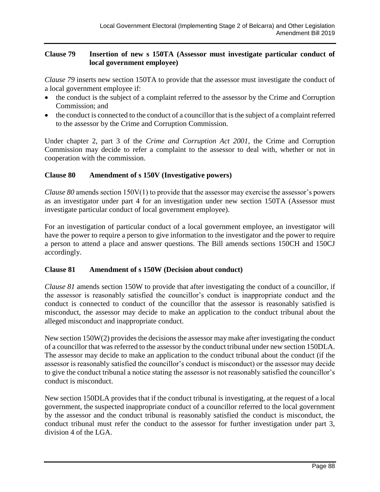## **Clause 79 Insertion of new s 150TA (Assessor must investigate particular conduct of local government employee)**

*Clause 79* inserts new section 150TA to provide that the assessor must investigate the conduct of a local government employee if:

- the conduct is the subject of a complaint referred to the assessor by the Crime and Corruption Commission; and
- the conduct is connected to the conduct of a councillor that is the subject of a complaint referred to the assessor by the Crime and Corruption Commission.

Under chapter 2, part 3 of the *Crime and Corruption Act 2001*, the Crime and Corruption Commission may decide to refer a complaint to the assessor to deal with, whether or not in cooperation with the commission.

# **Clause 80 Amendment of s 150V (Investigative powers)**

*Clause 80* amends section 150V(1) to provide that the assessor may exercise the assessor's powers as an investigator under part 4 for an investigation under new section 150TA (Assessor must investigate particular conduct of local government employee).

For an investigation of particular conduct of a local government employee, an investigator will have the power to require a person to give information to the investigator and the power to require a person to attend a place and answer questions. The Bill amends sections 150CH and 150CJ accordingly.

# **Clause 81 Amendment of s 150W (Decision about conduct)**

*Clause 81* amends section 150W to provide that after investigating the conduct of a councillor, if the assessor is reasonably satisfied the councillor's conduct is inappropriate conduct and the conduct is connected to conduct of the councillor that the assessor is reasonably satisfied is misconduct, the assessor may decide to make an application to the conduct tribunal about the alleged misconduct and inappropriate conduct.

New section 150W(2) provides the decisions the assessor may make after investigating the conduct of a councillor that was referred to the assessor by the conduct tribunal under new section 150DLA. The assessor may decide to make an application to the conduct tribunal about the conduct (if the assessor is reasonably satisfied the councillor's conduct is misconduct) or the assessor may decide to give the conduct tribunal a notice stating the assessor is not reasonably satisfied the councillor's conduct is misconduct.

New section 150DLA provides that if the conduct tribunal is investigating, at the request of a local government, the suspected inappropriate conduct of a councillor referred to the local government by the assessor and the conduct tribunal is reasonably satisfied the conduct is misconduct, the conduct tribunal must refer the conduct to the assessor for further investigation under part 3, division 4 of the LGA.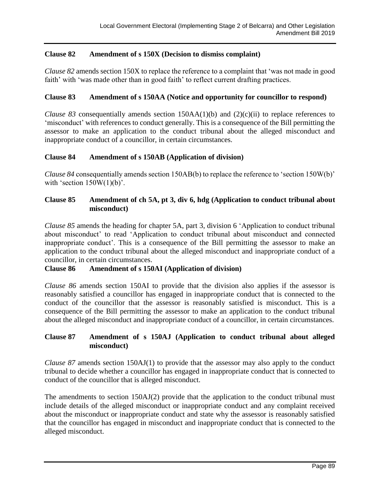# **Clause 82 Amendment of s 150X (Decision to dismiss complaint)**

*Clause 82* amends section 150X to replace the reference to a complaint that 'was not made in good faith' with 'was made other than in good faith' to reflect current drafting practices.

### **Clause 83 Amendment of s 150AA (Notice and opportunity for councillor to respond)**

*Clause 83* consequentially amends section  $150AA(1)$ (b) and  $(2)(c)(ii)$  to replace references to 'misconduct' with references to conduct generally. This is a consequence of the Bill permitting the assessor to make an application to the conduct tribunal about the alleged misconduct and inappropriate conduct of a councillor, in certain circumstances.

### **Clause 84 Amendment of s 150AB (Application of division)**

*Clause 84* consequentially amends section 150AB(b) to replace the reference to 'section 150W(b)' with 'section  $150W(1)(b)$ '.

# **Clause 85 Amendment of ch 5A, pt 3, div 6, hdg (Application to conduct tribunal about misconduct)**

*Clause 85* amends the heading for chapter 5A, part 3, division 6 'Application to conduct tribunal about misconduct' to read 'Application to conduct tribunal about misconduct and connected inappropriate conduct'. This is a consequence of the Bill permitting the assessor to make an application to the conduct tribunal about the alleged misconduct and inappropriate conduct of a councillor, in certain circumstances.

### **Clause 86 Amendment of s 150AI (Application of division)**

*Clause 86* amends section 150AI to provide that the division also applies if the assessor is reasonably satisfied a councillor has engaged in inappropriate conduct that is connected to the conduct of the councillor that the assessor is reasonably satisfied is misconduct. This is a consequence of the Bill permitting the assessor to make an application to the conduct tribunal about the alleged misconduct and inappropriate conduct of a councillor, in certain circumstances.

### **Clause 87 Amendment of s 150AJ (Application to conduct tribunal about alleged misconduct)**

*Clause 87* amends section 150AJ(1) to provide that the assessor may also apply to the conduct tribunal to decide whether a councillor has engaged in inappropriate conduct that is connected to conduct of the councillor that is alleged misconduct.

The amendments to section 150AJ(2) provide that the application to the conduct tribunal must include details of the alleged misconduct or inappropriate conduct and any complaint received about the misconduct or inappropriate conduct and state why the assessor is reasonably satisfied that the councillor has engaged in misconduct and inappropriate conduct that is connected to the alleged misconduct.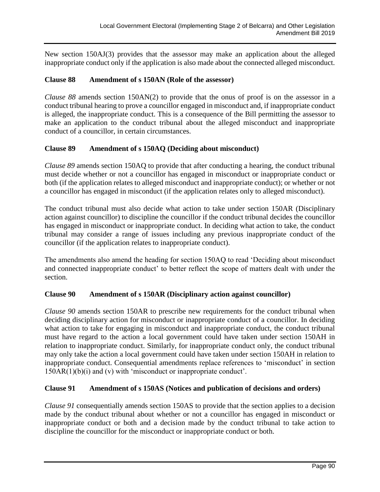New section 150AJ(3) provides that the assessor may make an application about the alleged inappropriate conduct only if the application is also made about the connected alleged misconduct.

## **Clause 88 Amendment of s 150AN (Role of the assessor)**

*Clause 88* amends section 150AN(2) to provide that the onus of proof is on the assessor in a conduct tribunal hearing to prove a councillor engaged in misconduct and, if inappropriate conduct is alleged, the inappropriate conduct. This is a consequence of the Bill permitting the assessor to make an application to the conduct tribunal about the alleged misconduct and inappropriate conduct of a councillor, in certain circumstances.

### **Clause 89 Amendment of s 150AQ (Deciding about misconduct)**

*Clause 89* amends section 150AQ to provide that after conducting a hearing, the conduct tribunal must decide whether or not a councillor has engaged in misconduct or inappropriate conduct or both (if the application relates to alleged misconduct and inappropriate conduct); or whether or not a councillor has engaged in misconduct (if the application relates only to alleged misconduct).

The conduct tribunal must also decide what action to take under section 150AR (Disciplinary action against councillor) to discipline the councillor if the conduct tribunal decides the councillor has engaged in misconduct or inappropriate conduct. In deciding what action to take, the conduct tribunal may consider a range of issues including any previous inappropriate conduct of the councillor (if the application relates to inappropriate conduct).

The amendments also amend the heading for section 150AQ to read 'Deciding about misconduct and connected inappropriate conduct' to better reflect the scope of matters dealt with under the section.

# **Clause 90 Amendment of s 150AR (Disciplinary action against councillor)**

*Clause 90* amends section 150AR to prescribe new requirements for the conduct tribunal when deciding disciplinary action for misconduct or inappropriate conduct of a councillor. In deciding what action to take for engaging in misconduct and inappropriate conduct, the conduct tribunal must have regard to the action a local government could have taken under section 150AH in relation to inappropriate conduct. Similarly, for inappropriate conduct only, the conduct tribunal may only take the action a local government could have taken under section 150AH in relation to inappropriate conduct. Consequential amendments replace references to 'misconduct' in section  $150AR(1)(b)(i)$  and (v) with 'misconduct or inappropriate conduct'.

# **Clause 91 Amendment of s 150AS (Notices and publication of decisions and orders)**

*Clause 91* consequentially amends section 150AS to provide that the section applies to a decision made by the conduct tribunal about whether or not a councillor has engaged in misconduct or inappropriate conduct or both and a decision made by the conduct tribunal to take action to discipline the councillor for the misconduct or inappropriate conduct or both.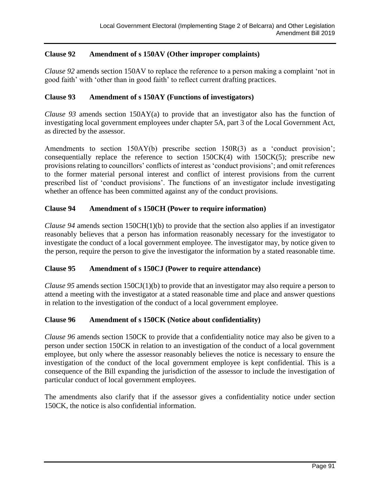# **Clause 92 Amendment of s 150AV (Other improper complaints)**

*Clause 92* amends section 150AV to replace the reference to a person making a complaint 'not in good faith' with 'other than in good faith' to reflect current drafting practices.

### **Clause 93 Amendment of s 150AY (Functions of investigators)**

*Clause 93* amends section 150AY(a) to provide that an investigator also has the function of investigating local government employees under chapter 5A, part 3 of the Local Government Act, as directed by the assessor.

Amendments to section 150AY(b) prescribe section 150R(3) as a 'conduct provision'; consequentially replace the reference to section  $150CK(4)$  with  $150CK(5)$ ; prescribe new provisions relating to councillors' conflicts of interest as 'conduct provisions'; and omit references to the former material personal interest and conflict of interest provisions from the current prescribed list of 'conduct provisions'. The functions of an investigator include investigating whether an offence has been committed against any of the conduct provisions.

# **Clause 94 Amendment of s 150CH (Power to require information)**

*Clause 94* amends section 150CH(1)(b) to provide that the section also applies if an investigator reasonably believes that a person has information reasonably necessary for the investigator to investigate the conduct of a local government employee. The investigator may, by notice given to the person, require the person to give the investigator the information by a stated reasonable time.

### **Clause 95 Amendment of s 150CJ (Power to require attendance)**

*Clause 95* amends section 150CJ(1)(b) to provide that an investigator may also require a person to attend a meeting with the investigator at a stated reasonable time and place and answer questions in relation to the investigation of the conduct of a local government employee.

# **Clause 96 Amendment of s 150CK (Notice about confidentiality)**

*Clause 96* amends section 150CK to provide that a confidentiality notice may also be given to a person under section 150CK in relation to an investigation of the conduct of a local government employee, but only where the assessor reasonably believes the notice is necessary to ensure the investigation of the conduct of the local government employee is kept confidential. This is a consequence of the Bill expanding the jurisdiction of the assessor to include the investigation of particular conduct of local government employees.

The amendments also clarify that if the assessor gives a confidentiality notice under section 150CK, the notice is also confidential information.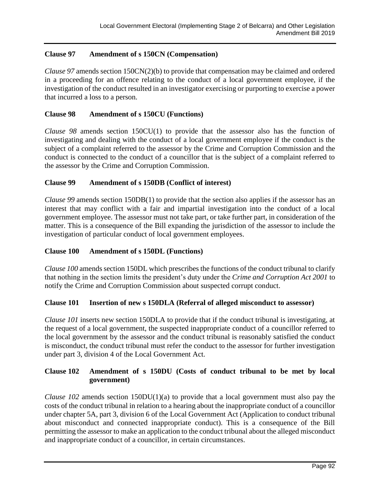# **Clause 97 Amendment of s 150CN (Compensation)**

*Clause 97* amends section 150CN(2)(b) to provide that compensation may be claimed and ordered in a proceeding for an offence relating to the conduct of a local government employee, if the investigation of the conduct resulted in an investigator exercising or purporting to exercise a power that incurred a loss to a person.

## **Clause 98 Amendment of s 150CU (Functions)**

*Clause 98* amends section 150CU(1) to provide that the assessor also has the function of investigating and dealing with the conduct of a local government employee if the conduct is the subject of a complaint referred to the assessor by the Crime and Corruption Commission and the conduct is connected to the conduct of a councillor that is the subject of a complaint referred to the assessor by the Crime and Corruption Commission.

### **Clause 99 Amendment of s 150DB (Conflict of interest)**

*Clause 99* amends section 150DB(1) to provide that the section also applies if the assessor has an interest that may conflict with a fair and impartial investigation into the conduct of a local government employee. The assessor must not take part, or take further part, in consideration of the matter. This is a consequence of the Bill expanding the jurisdiction of the assessor to include the investigation of particular conduct of local government employees.

### **Clause 100 Amendment of s 150DL (Functions)**

*Clause 100* amends section 150DL which prescribes the functions of the conduct tribunal to clarify that nothing in the section limits the president's duty under the *Crime and Corruption Act 2001* to notify the Crime and Corruption Commission about suspected corrupt conduct.

### **Clause 101 Insertion of new s 150DLA (Referral of alleged misconduct to assessor)**

*Clause 101* inserts new section 150DLA to provide that if the conduct tribunal is investigating, at the request of a local government, the suspected inappropriate conduct of a councillor referred to the local government by the assessor and the conduct tribunal is reasonably satisfied the conduct is misconduct, the conduct tribunal must refer the conduct to the assessor for further investigation under part 3, division 4 of the Local Government Act.

# **Clause 102 Amendment of s 150DU (Costs of conduct tribunal to be met by local government)**

*Clause 102* amends section 150DU(1)(a) to provide that a local government must also pay the costs of the conduct tribunal in relation to a hearing about the inappropriate conduct of a councillor under chapter 5A, part 3, division 6 of the Local Government Act (Application to conduct tribunal about misconduct and connected inappropriate conduct). This is a consequence of the Bill permitting the assessor to make an application to the conduct tribunal about the alleged misconduct and inappropriate conduct of a councillor, in certain circumstances.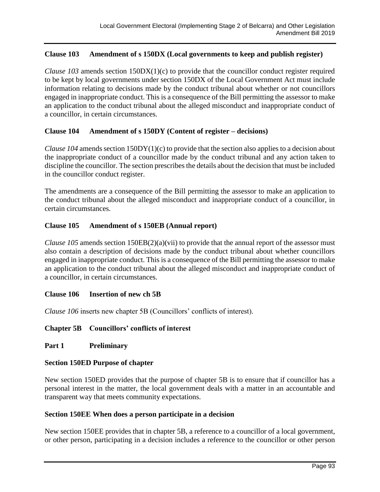## **Clause 103 Amendment of s 150DX (Local governments to keep and publish register)**

*Clause 103* amends section 150DX(1)(c) to provide that the councillor conduct register required to be kept by local governments under section 150DX of the Local Government Act must include information relating to decisions made by the conduct tribunal about whether or not councillors engaged in inappropriate conduct. This is a consequence of the Bill permitting the assessor to make an application to the conduct tribunal about the alleged misconduct and inappropriate conduct of a councillor, in certain circumstances.

### **Clause 104 Amendment of s 150DY (Content of register – decisions)**

*Clause 104* amends section 150DY(1)(c) to provide that the section also applies to a decision about the inappropriate conduct of a councillor made by the conduct tribunal and any action taken to discipline the councillor. The section prescribes the details about the decision that must be included in the councillor conduct register.

The amendments are a consequence of the Bill permitting the assessor to make an application to the conduct tribunal about the alleged misconduct and inappropriate conduct of a councillor, in certain circumstances.

### **Clause 105 Amendment of s 150EB (Annual report)**

*Clause 105* amends section 150EB(2)(a)(vii) to provide that the annual report of the assessor must also contain a description of decisions made by the conduct tribunal about whether councillors engaged in inappropriate conduct. This is a consequence of the Bill permitting the assessor to make an application to the conduct tribunal about the alleged misconduct and inappropriate conduct of a councillor, in certain circumstances.

### **Clause 106 Insertion of new ch 5B**

*Clause 106* inserts new chapter 5B (Councillors' conflicts of interest).

### **Chapter 5B Councillors' conflicts of interest**

### **Part 1 Preliminary**

### **Section 150ED Purpose of chapter**

New section 150ED provides that the purpose of chapter 5B is to ensure that if councillor has a personal interest in the matter, the local government deals with a matter in an accountable and transparent way that meets community expectations.

## **Section 150EE When does a person participate in a decision**

New section 150EE provides that in chapter 5B, a reference to a councillor of a local government, or other person, participating in a decision includes a reference to the councillor or other person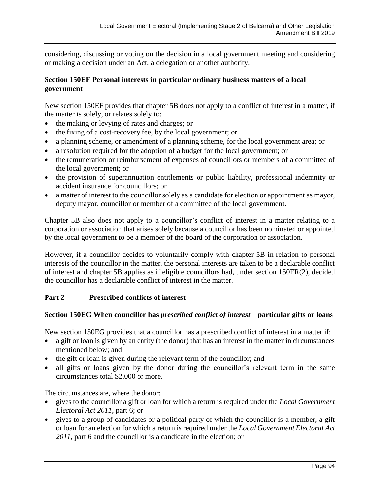considering, discussing or voting on the decision in a local government meeting and considering or making a decision under an Act, a delegation or another authority.

# **Section 150EF Personal interests in particular ordinary business matters of a local government**

New section 150EF provides that chapter 5B does not apply to a conflict of interest in a matter, if the matter is solely, or relates solely to:

- the making or levying of rates and charges; or
- the fixing of a cost-recovery fee, by the local government; or
- a planning scheme, or amendment of a planning scheme, for the local government area; or
- a resolution required for the adoption of a budget for the local government; or
- the remuneration or reimbursement of expenses of councillors or members of a committee of the local government; or
- the provision of superannuation entitlements or public liability, professional indemnity or accident insurance for councillors; or
- a matter of interest to the councillor solely as a candidate for election or appointment as mayor, deputy mayor, councillor or member of a committee of the local government.

Chapter 5B also does not apply to a councillor's conflict of interest in a matter relating to a corporation or association that arises solely because a councillor has been nominated or appointed by the local government to be a member of the board of the corporation or association.

However, if a councillor decides to voluntarily comply with chapter 5B in relation to personal interests of the councillor in the matter, the personal interests are taken to be a declarable conflict of interest and chapter 5B applies as if eligible councillors had, under section 150ER(2), decided the councillor has a declarable conflict of interest in the matter.

# **Part 2 Prescribed conflicts of interest**

# **Section 150EG When councillor has** *prescribed conflict of interest –* **particular gifts or loans**

New section 150EG provides that a councillor has a prescribed conflict of interest in a matter if:

- a gift or loan is given by an entity (the donor) that has an interest in the matter in circumstances mentioned below; and
- the gift or loan is given during the relevant term of the councillor; and
- all gifts or loans given by the donor during the councillor's relevant term in the same circumstances total \$2,000 or more.

The circumstances are, where the donor:

- gives to the councillor a gift or loan for which a return is required under the *Local Government Electoral Act 2011*, part 6; or
- gives to a group of candidates or a political party of which the councillor is a member, a gift or loan for an election for which a return is required under the *Local Government Electoral Act 2011*, part 6 and the councillor is a candidate in the election; or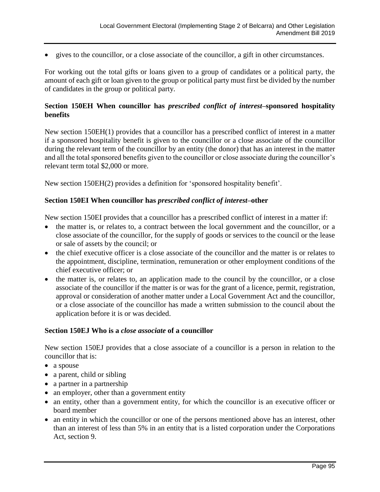• gives to the councillor, or a close associate of the councillor, a gift in other circumstances.

For working out the total gifts or loans given to a group of candidates or a political party, the amount of each gift or loan given to the group or political party must first be divided by the number of candidates in the group or political party.

### **Section 150EH When councillor has** *prescribed conflict of interest***–sponsored hospitality benefits**

New section 150EH(1) provides that a councillor has a prescribed conflict of interest in a matter if a sponsored hospitality benefit is given to the councillor or a close associate of the councillor during the relevant term of the councillor by an entity (the donor) that has an interest in the matter and all the total sponsored benefits given to the councillor or close associate during the councillor's relevant term total \$2,000 or more.

New section 150EH(2) provides a definition for 'sponsored hospitality benefit'.

### **Section 150EI When councillor has** *prescribed conflict of interest***–other**

New section 150EI provides that a councillor has a prescribed conflict of interest in a matter if:

- the matter is, or relates to, a contract between the local government and the councillor, or a close associate of the councillor, for the supply of goods or services to the council or the lease or sale of assets by the council; or
- the chief executive officer is a close associate of the councillor and the matter is or relates to the appointment, discipline, termination, remuneration or other employment conditions of the chief executive officer; or
- the matter is, or relates to, an application made to the council by the councillor, or a close associate of the councillor if the matter is or was for the grant of a licence, permit, registration, approval or consideration of another matter under a Local Government Act and the councillor, or a close associate of the councillor has made a written submission to the council about the application before it is or was decided.

### **Section 150EJ Who is a** *close associate* **of a councillor**

New section 150EJ provides that a close associate of a councillor is a person in relation to the councillor that is:

- a spouse
- a parent, child or sibling
- a partner in a partnership
- an employer, other than a government entity
- an entity, other than a government entity, for which the councillor is an executive officer or board member
- an entity in which the councillor or one of the persons mentioned above has an interest, other than an interest of less than 5% in an entity that is a listed corporation under the Corporations Act, section 9.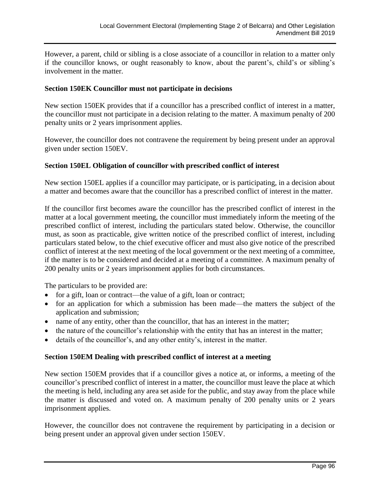However, a parent, child or sibling is a close associate of a councillor in relation to a matter only if the councillor knows, or ought reasonably to know, about the parent's, child's or sibling's involvement in the matter.

### **Section 150EK Councillor must not participate in decisions**

New section 150EK provides that if a councillor has a prescribed conflict of interest in a matter, the councillor must not participate in a decision relating to the matter. A maximum penalty of 200 penalty units or 2 years imprisonment applies.

However, the councillor does not contravene the requirement by being present under an approval given under section 150EV.

### **Section 150EL Obligation of councillor with prescribed conflict of interest**

New section 150EL applies if a councillor may participate, or is participating, in a decision about a matter and becomes aware that the councillor has a prescribed conflict of interest in the matter.

If the councillor first becomes aware the councillor has the prescribed conflict of interest in the matter at a local government meeting, the councillor must immediately inform the meeting of the prescribed conflict of interest, including the particulars stated below. Otherwise, the councillor must, as soon as practicable, give written notice of the prescribed conflict of interest, including particulars stated below, to the chief executive officer and must also give notice of the prescribed conflict of interest at the next meeting of the local government or the next meeting of a committee, if the matter is to be considered and decided at a meeting of a committee. A maximum penalty of 200 penalty units or 2 years imprisonment applies for both circumstances.

The particulars to be provided are:

- for a gift, loan or contract—the value of a gift, loan or contract;
- for an application for which a submission has been made—the matters the subject of the application and submission;
- name of any entity, other than the councillor, that has an interest in the matter;
- the nature of the councillor's relationship with the entity that has an interest in the matter;
- details of the councillor's, and any other entity's, interest in the matter.

# **Section 150EM Dealing with prescribed conflict of interest at a meeting**

New section 150EM provides that if a councillor gives a notice at, or informs, a meeting of the councillor's prescribed conflict of interest in a matter, the councillor must leave the place at which the meeting is held, including any area set aside for the public, and stay away from the place while the matter is discussed and voted on. A maximum penalty of 200 penalty units or 2 years imprisonment applies.

However, the councillor does not contravene the requirement by participating in a decision or being present under an approval given under section 150EV.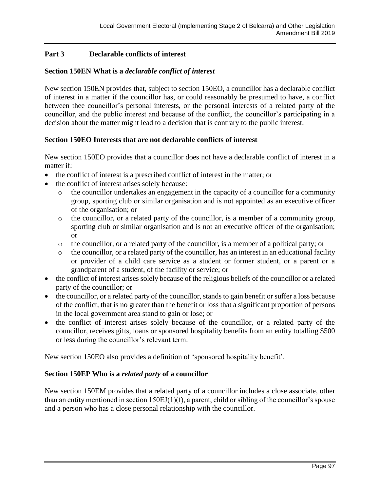# **Part 3 Declarable conflicts of interest**

# **Section 150EN What is a** *declarable conflict of interest*

New section 150EN provides that, subject to section 150EO, a councillor has a declarable conflict of interest in a matter if the councillor has, or could reasonably be presumed to have, a conflict between thee councillor's personal interests, or the personal interests of a related party of the councillor, and the public interest and because of the conflict, the councillor's participating in a decision about the matter might lead to a decision that is contrary to the public interest.

# **Section 150EO Interests that are not declarable conflicts of interest**

New section 150EO provides that a councillor does not have a declarable conflict of interest in a matter if:

- the conflict of interest is a prescribed conflict of interest in the matter; or
- the conflict of interest arises solely because:
	- o the councillor undertakes an engagement in the capacity of a councillor for a community group, sporting club or similar organisation and is not appointed as an executive officer of the organisation; or
	- o the councillor, or a related party of the councillor, is a member of a community group, sporting club or similar organisation and is not an executive officer of the organisation; or
	- o the councillor, or a related party of the councillor, is a member of a political party; or
	- o the councillor, or a related party of the councillor, has an interest in an educational facility or provider of a child care service as a student or former student, or a parent or a grandparent of a student, of the facility or service; or
- the conflict of interest arises solely because of the religious beliefs of the councillor or a related party of the councillor; or
- the councillor, or a related party of the councillor, stands to gain benefit or suffer a loss because of the conflict, that is no greater than the benefit or loss that a significant proportion of persons in the local government area stand to gain or lose; or
- the conflict of interest arises solely because of the councillor, or a related party of the councillor, receives gifts, loans or sponsored hospitality benefits from an entity totalling \$500 or less during the councillor's relevant term.

New section 150EO also provides a definition of 'sponsored hospitality benefit'.

# **Section 150EP Who is a** *related party* **of a councillor**

New section 150EM provides that a related party of a councillor includes a close associate, other than an entity mentioned in section 150EJ(1)(f), a parent, child or sibling of the councillor's spouse and a person who has a close personal relationship with the councillor.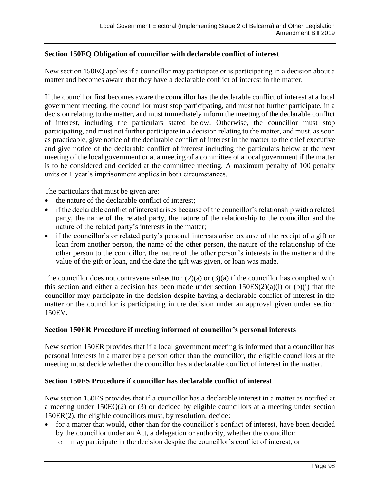## **Section 150EQ Obligation of councillor with declarable conflict of interest**

New section 150EQ applies if a councillor may participate or is participating in a decision about a matter and becomes aware that they have a declarable conflict of interest in the matter.

If the councillor first becomes aware the councillor has the declarable conflict of interest at a local government meeting, the councillor must stop participating, and must not further participate, in a decision relating to the matter, and must immediately inform the meeting of the declarable conflict of interest, including the particulars stated below. Otherwise, the councillor must stop participating, and must not further participate in a decision relating to the matter, and must, as soon as practicable, give notice of the declarable conflict of interest in the matter to the chief executive and give notice of the declarable conflict of interest including the particulars below at the next meeting of the local government or at a meeting of a committee of a local government if the matter is to be considered and decided at the committee meeting. A maximum penalty of 100 penalty units or 1 year's imprisonment applies in both circumstances.

The particulars that must be given are:

- the nature of the declarable conflict of interest:
- if the declarable conflict of interest arises because of the councillor's relationship with a related party, the name of the related party, the nature of the relationship to the councillor and the nature of the related party's interests in the matter;
- if the councillor's or related party's personal interests arise because of the receipt of a gift or loan from another person, the name of the other person, the nature of the relationship of the other person to the councillor, the nature of the other person's interests in the matter and the value of the gift or loan, and the date the gift was given, or loan was made.

The councillor does not contravene subsection  $(2)(a)$  or  $(3)(a)$  if the councillor has complied with this section and either a decision has been made under section  $150ES(2)(a)(i)$  or  $(b)(i)$  that the councillor may participate in the decision despite having a declarable conflict of interest in the matter or the councillor is participating in the decision under an approval given under section 150EV.

### **Section 150ER Procedure if meeting informed of councillor's personal interests**

New section 150ER provides that if a local government meeting is informed that a councillor has personal interests in a matter by a person other than the councillor, the eligible councillors at the meeting must decide whether the councillor has a declarable conflict of interest in the matter.

# **Section 150ES Procedure if councillor has declarable conflict of interest**

New section 150ES provides that if a councillor has a declarable interest in a matter as notified at a meeting under 150EQ(2) or (3) or decided by eligible councillors at a meeting under section 150ER(2), the eligible councillors must, by resolution, decide:

- for a matter that would, other than for the councillor's conflict of interest, have been decided by the councillor under an Act, a delegation or authority, whether the councillor:
	- o may participate in the decision despite the councillor's conflict of interest; or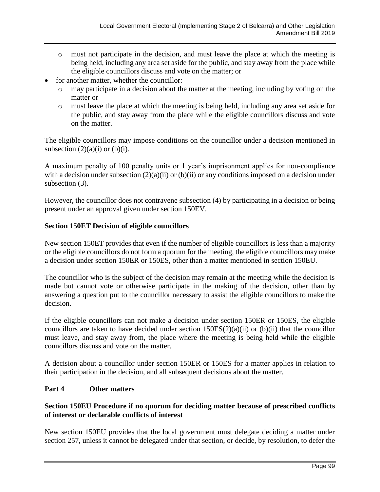- o must not participate in the decision, and must leave the place at which the meeting is being held, including any area set aside for the public, and stay away from the place while the eligible councillors discuss and vote on the matter; or
- for another matter, whether the councillor:
	- o may participate in a decision about the matter at the meeting, including by voting on the matter or
	- o must leave the place at which the meeting is being held, including any area set aside for the public, and stay away from the place while the eligible councillors discuss and vote on the matter.

The eligible councillors may impose conditions on the councillor under a decision mentioned in subsection  $(2)(a)(i)$  or  $(b)(i)$ .

A maximum penalty of 100 penalty units or 1 year's imprisonment applies for non-compliance with a decision under subsection  $(2)(a)(ii)$  or  $(b)(ii)$  or any conditions imposed on a decision under subsection (3).

However, the councillor does not contravene subsection (4) by participating in a decision or being present under an approval given under section 150EV.

# **Section 150ET Decision of eligible councillors**

New section 150ET provides that even if the number of eligible councillors is less than a majority or the eligible councillors do not form a quorum for the meeting, the eligible councillors may make a decision under section 150ER or 150ES, other than a matter mentioned in section 150EU.

The councillor who is the subject of the decision may remain at the meeting while the decision is made but cannot vote or otherwise participate in the making of the decision, other than by answering a question put to the councillor necessary to assist the eligible councillors to make the decision.

If the eligible councillors can not make a decision under section 150ER or 150ES, the eligible councillors are taken to have decided under section  $150ES(2)(a)(ii)$  or (b)(ii) that the councillor must leave, and stay away from, the place where the meeting is being held while the eligible councillors discuss and vote on the matter.

A decision about a councillor under section 150ER or 150ES for a matter applies in relation to their participation in the decision, and all subsequent decisions about the matter.

# **Part 4 Other matters**

# **Section 150EU Procedure if no quorum for deciding matter because of prescribed conflicts of interest or declarable conflicts of interest**

New section 150EU provides that the local government must delegate deciding a matter under section 257, unless it cannot be delegated under that section, or decide, by resolution, to defer the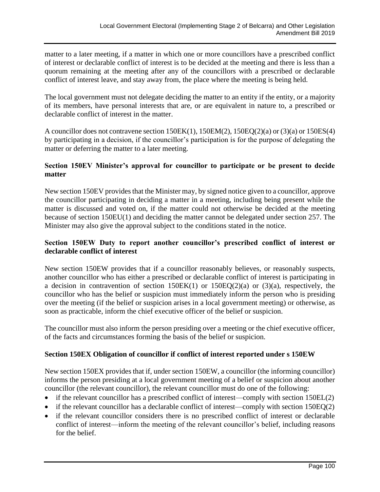matter to a later meeting, if a matter in which one or more councillors have a prescribed conflict of interest or declarable conflict of interest is to be decided at the meeting and there is less than a quorum remaining at the meeting after any of the councillors with a prescribed or declarable conflict of interest leave, and stay away from, the place where the meeting is being held.

The local government must not delegate deciding the matter to an entity if the entity, or a majority of its members, have personal interests that are, or are equivalent in nature to, a prescribed or declarable conflict of interest in the matter.

A councillor does not contravene section 150EK(1), 150EM(2), 150EQ(2)(a) or (3)(a) or 150ES(4) by participating in a decision, if the councillor's participation is for the purpose of delegating the matter or deferring the matter to a later meeting.

# **Section 150EV Minister's approval for councillor to participate or be present to decide matter**

New section 150EV provides that the Minister may, by signed notice given to a councillor, approve the councillor participating in deciding a matter in a meeting, including being present while the matter is discussed and voted on, if the matter could not otherwise be decided at the meeting because of section 150EU(1) and deciding the matter cannot be delegated under section 257. The Minister may also give the approval subject to the conditions stated in the notice.

# **Section 150EW Duty to report another councillor's prescribed conflict of interest or declarable conflict of interest**

New section 150EW provides that if a councillor reasonably believes, or reasonably suspects, another councillor who has either a prescribed or declarable conflict of interest is participating in a decision in contravention of section  $150EK(1)$  or  $150EQ(2)(a)$  or  $(3)(a)$ , respectively, the councillor who has the belief or suspicion must immediately inform the person who is presiding over the meeting (if the belief or suspicion arises in a local government meeting) or otherwise, as soon as practicable, inform the chief executive officer of the belief or suspicion.

The councillor must also inform the person presiding over a meeting or the chief executive officer, of the facts and circumstances forming the basis of the belief or suspicion.

# **Section 150EX Obligation of councillor if conflict of interest reported under s 150EW**

New section 150EX provides that if, under section 150EW, a councillor (the informing councillor) informs the person presiding at a local government meeting of a belief or suspicion about another councillor (the relevant councillor), the relevant councillor must do one of the following:

- if the relevant councillor has a prescribed conflict of interest—comply with section 150EL(2)
- if the relevant councillor has a declarable conflict of interest—comply with section 150EQ(2)
- if the relevant councillor considers there is no prescribed conflict of interest or declarable conflict of interest—inform the meeting of the relevant councillor's belief, including reasons for the belief.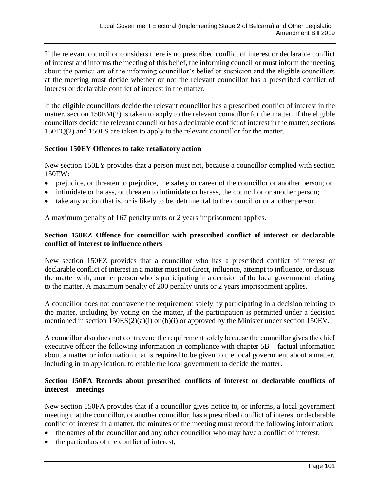If the relevant councillor considers there is no prescribed conflict of interest or declarable conflict of interest and informs the meeting of this belief, the informing councillor must inform the meeting about the particulars of the informing councillor's belief or suspicion and the eligible councillors at the meeting must decide whether or not the relevant councillor has a prescribed conflict of interest or declarable conflict of interest in the matter.

If the eligible councillors decide the relevant councillor has a prescribed conflict of interest in the matter, section 150EM(2) is taken to apply to the relevant councillor for the matter. If the eligible councillors decide the relevant councillor has a declarable conflict of interest in the matter, sections 150EQ(2) and 150ES are taken to apply to the relevant councillor for the matter.

# **Section 150EY Offences to take retaliatory action**

New section 150EY provides that a person must not, because a councillor complied with section 150EW:

- prejudice, or threaten to prejudice, the safety or career of the councillor or another person; or
- intimidate or harass, or threaten to intimidate or harass, the councillor or another person;
- take any action that is, or is likely to be, detrimental to the councillor or another person.

A maximum penalty of 167 penalty units or 2 years imprisonment applies.

# **Section 150EZ Offence for councillor with prescribed conflict of interest or declarable conflict of interest to influence others**

New section 150EZ provides that a councillor who has a prescribed conflict of interest or declarable conflict of interest in a matter must not direct, influence, attempt to influence, or discuss the matter with, another person who is participating in a decision of the local government relating to the matter. A maximum penalty of 200 penalty units or 2 years imprisonment applies.

A councillor does not contravene the requirement solely by participating in a decision relating to the matter, including by voting on the matter, if the participation is permitted under a decision mentioned in section 150ES(2)(a)(i) or (b)(i) or approved by the Minister under section 150EV.

A councillor also does not contravene the requirement solely because the councillor gives the chief executive officer the following information in compliance with chapter 5B – factual information about a matter or information that is required to be given to the local government about a matter, including in an application, to enable the local government to decide the matter.

# **Section 150FA Records about prescribed conflicts of interest or declarable conflicts of interest – meetings**

New section 150FA provides that if a councillor gives notice to, or informs, a local government meeting that the councillor, or another councillor, has a prescribed conflict of interest or declarable conflict of interest in a matter, the minutes of the meeting must record the following information:

- the names of the councillor and any other councillor who may have a conflict of interest;
- the particulars of the conflict of interest;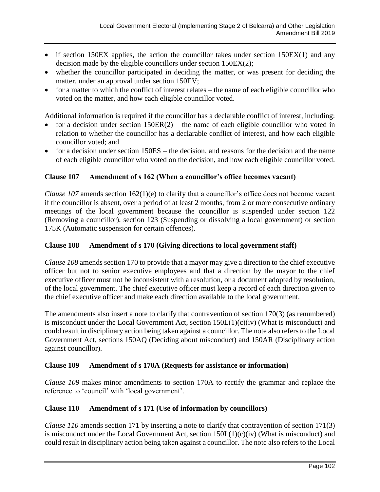- if section 150EX applies, the action the councillor takes under section 150EX(1) and any decision made by the eligible councillors under section 150EX(2);
- whether the councillor participated in deciding the matter, or was present for deciding the matter, under an approval under section 150EV;
- for a matter to which the conflict of interest relates the name of each eligible councillor who voted on the matter, and how each eligible councillor voted.

Additional information is required if the councillor has a declarable conflict of interest, including:

- for a decision under section  $150ER(2)$  the name of each eligible councillor who voted in relation to whether the councillor has a declarable conflict of interest, and how each eligible councillor voted; and
- for a decision under section 150ES the decision, and reasons for the decision and the name of each eligible councillor who voted on the decision, and how each eligible councillor voted.

# **Clause 107 Amendment of s 162 (When a councillor's office becomes vacant)**

*Clause 107* amends section 162(1)(e) to clarify that a councillor's office does not become vacant if the councillor is absent, over a period of at least 2 months, from 2 or more consecutive ordinary meetings of the local government because the councillor is suspended under section 122 (Removing a councillor), section 123 (Suspending or dissolving a local government) or section 175K (Automatic suspension for certain offences).

## **Clause 108 Amendment of s 170 (Giving directions to local government staff)**

*Clause 108* amends section 170 to provide that a mayor may give a direction to the chief executive officer but not to senior executive employees and that a direction by the mayor to the chief executive officer must not be inconsistent with a resolution, or a document adopted by resolution, of the local government. The chief executive officer must keep a record of each direction given to the chief executive officer and make each direction available to the local government.

The amendments also insert a note to clarify that contravention of section 170(3) (as renumbered) is misconduct under the Local Government Act, section  $150L(1)(c)(iv)$  (What is misconduct) and could result in disciplinary action being taken against a councillor. The note also refers to the Local Government Act, sections 150AQ (Deciding about misconduct) and 150AR (Disciplinary action against councillor).

# **Clause 109 Amendment of s 170A (Requests for assistance or information)**

*Clause 109* makes minor amendments to section 170A to rectify the grammar and replace the reference to 'council' with 'local government'.

# **Clause 110 Amendment of s 171 (Use of information by councillors)**

*Clause 110* amends section 171 by inserting a note to clarify that contravention of section 171(3) is misconduct under the Local Government Act, section  $150L(1)(c)(iv)$  (What is misconduct) and could result in disciplinary action being taken against a councillor. The note also refers to the Local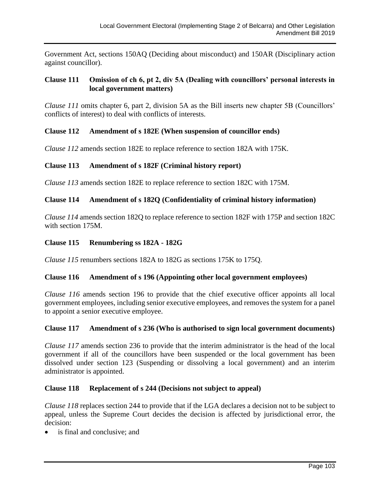Government Act, sections 150AQ (Deciding about misconduct) and 150AR (Disciplinary action against councillor).

### **Clause 111 Omission of ch 6, pt 2, div 5A (Dealing with councillors' personal interests in local government matters)**

*Clause 111* omits chapter 6, part 2, division 5A as the Bill inserts new chapter 5B (Councillors' conflicts of interest) to deal with conflicts of interests.

### **Clause 112 Amendment of s 182E (When suspension of councillor ends)**

*Clause 112* amends section 182E to replace reference to section 182A with 175K.

### **Clause 113 Amendment of s 182F (Criminal history report)**

*Clause 113* amends section 182E to replace reference to section 182C with 175M.

### **Clause 114 Amendment of s 182Q (Confidentiality of criminal history information)**

*Clause 114* amends section 182Q to replace reference to section 182F with 175P and section 182C with section 175M.

### **Clause 115 Renumbering ss 182A - 182G**

*Clause 115* renumbers sections 182A to 182G as sections 175K to 175Q.

### **Clause 116 Amendment of s 196 (Appointing other local government employees)**

*Clause 116* amends section 196 to provide that the chief executive officer appoints all local government employees, including senior executive employees, and removes the system for a panel to appoint a senior executive employee.

### **Clause 117 Amendment of s 236 (Who is authorised to sign local government documents)**

*Clause 117* amends section 236 to provide that the interim administrator is the head of the local government if all of the councillors have been suspended or the local government has been dissolved under section 123 (Suspending or dissolving a local government) and an interim administrator is appointed.

### **Clause 118 Replacement of s 244 (Decisions not subject to appeal)**

*Clause 118* replaces section 244 to provide that if the LGA declares a decision not to be subject to appeal, unless the Supreme Court decides the decision is affected by jurisdictional error, the decision:

is final and conclusive; and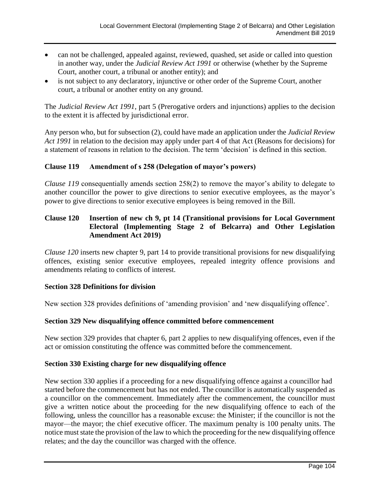- can not be challenged, appealed against, reviewed, quashed, set aside or called into question in another way, under the *Judicial Review Act 1991* or otherwise (whether by the Supreme Court, another court, a tribunal or another entity); and
- is not subject to any declaratory, injunctive or other order of the Supreme Court, another court, a tribunal or another entity on any ground.

The *Judicial Review Act 1991*, part 5 (Prerogative orders and injunctions) applies to the decision to the extent it is affected by jurisdictional error.

Any person who, but for subsection (2), could have made an application under the *Judicial Review Act 1991* in relation to the decision may apply under part 4 of that Act (Reasons for decisions) for a statement of reasons in relation to the decision. The term 'decision' is defined in this section.

# **Clause 119 Amendment of s 258 (Delegation of mayor's powers)**

*Clause 119* consequentially amends section 258(2) to remove the mayor's ability to delegate to another councillor the power to give directions to senior executive employees, as the mayor's power to give directions to senior executive employees is being removed in the Bill.

# **Clause 120 Insertion of new ch 9, pt 14 (Transitional provisions for Local Government Electoral (Implementing Stage 2 of Belcarra) and Other Legislation Amendment Act 2019)**

*Clause 120* inserts new chapter 9, part 14 to provide transitional provisions for new disqualifying offences, existing senior executive employees, repealed integrity offence provisions and amendments relating to conflicts of interest.

# **Section 328 Definitions for division**

New section 328 provides definitions of 'amending provision' and 'new disqualifying offence'.

# **Section 329 New disqualifying offence committed before commencement**

New section 329 provides that chapter 6, part 2 applies to new disqualifying offences, even if the act or omission constituting the offence was committed before the commencement.

# **Section 330 Existing charge for new disqualifying offence**

New section 330 applies if a proceeding for a new disqualifying offence against a councillor had started before the commencement but has not ended. The councillor is automatically suspended as a councillor on the commencement. Immediately after the commencement, the councillor must give a written notice about the proceeding for the new disqualifying offence to each of the following, unless the councillor has a reasonable excuse: the Minister; if the councillor is not the mayor—the mayor; the chief executive officer. The maximum penalty is 100 penalty units. The notice must state the provision of the law to which the proceeding for the new disqualifying offence relates; and the day the councillor was charged with the offence.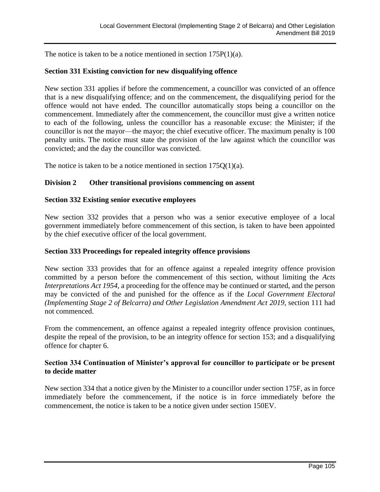The notice is taken to be a notice mentioned in section 175P(1)(a).

### **Section 331 Existing conviction for new disqualifying offence**

New section 331 applies if before the commencement, a councillor was convicted of an offence that is a new disqualifying offence; and on the commencement, the disqualifying period for the offence would not have ended. The councillor automatically stops being a councillor on the commencement. Immediately after the commencement, the councillor must give a written notice to each of the following, unless the councillor has a reasonable excuse: the Minister; if the councillor is not the mayor—the mayor; the chief executive officer. The maximum penalty is 100 penalty units. The notice must state the provision of the law against which the councillor was convicted; and the day the councillor was convicted.

The notice is taken to be a notice mentioned in section  $175Q(1)(a)$ .

#### **Division 2 Other transitional provisions commencing on assent**

#### **Section 332 Existing senior executive employees**

New section 332 provides that a person who was a senior executive employee of a local government immediately before commencement of this section, is taken to have been appointed by the chief executive officer of the local government.

#### **Section 333 Proceedings for repealed integrity offence provisions**

New section 333 provides that for an offence against a repealed integrity offence provision committed by a person before the commencement of this section, without limiting the *Acts Interpretations Act 1954*, a proceeding for the offence may be continued or started, and the person may be convicted of the and punished for the offence as if the *Local Government Electoral (Implementing Stage 2 of Belcarra) and Other Legislation Amendment Act 2019*, section 111 had not commenced.

From the commencement, an offence against a repealed integrity offence provision continues, despite the repeal of the provision, to be an integrity offence for section 153; and a disqualifying offence for chapter 6.

### **Section 334 Continuation of Minister's approval for councillor to participate or be present to decide matter**

New section 334 that a notice given by the Minister to a councillor under section 175F, as in force immediately before the commencement, if the notice is in force immediately before the commencement, the notice is taken to be a notice given under section 150EV.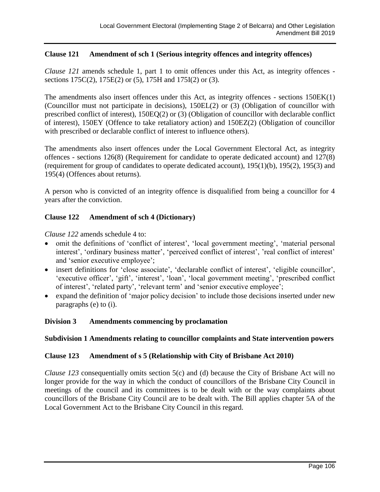# **Clause 121 Amendment of sch 1 (Serious integrity offences and integrity offences)**

*Clause 121* amends schedule 1, part 1 to omit offences under this Act, as integrity offences sections 175C(2), 175E(2) or (5), 175H and 175I(2) or (3).

The amendments also insert offences under this Act, as integrity offences - sections 150EK(1) (Councillor must not participate in decisions), 150EL(2) or (3) (Obligation of councillor with prescribed conflict of interest), 150EQ(2) or (3) (Obligation of councillor with declarable conflict of interest), 150EY (Offence to take retaliatory action) and 150EZ(2) (Obligation of councillor with prescribed or declarable conflict of interest to influence others).

The amendments also insert offences under the Local Government Electoral Act, as integrity offences - sections 126(8) (Requirement for candidate to operate dedicated account) and 127(8) (requirement for group of candidates to operate dedicated account), 195(1)(b), 195(2), 195(3) and 195(4) (Offences about returns).

A person who is convicted of an integrity offence is disqualified from being a councillor for 4 years after the conviction.

# **Clause 122 Amendment of sch 4 (Dictionary)**

*Clause 122* amends schedule 4 to:

- omit the definitions of 'conflict of interest', 'local government meeting', 'material personal interest', 'ordinary business matter', 'perceived conflict of interest', 'real conflict of interest' and 'senior executive employee';
- insert definitions for 'close associate', 'declarable conflict of interest', 'eligible councillor', 'executive officer', 'gift', 'interest', 'loan', 'local government meeting', 'prescribed conflict of interest', 'related party', 'relevant term' and 'senior executive employee';
- expand the definition of 'major policy decision' to include those decisions inserted under new paragraphs (e) to (i).

# **Division 3 Amendments commencing by proclamation**

# **Subdivision 1 Amendments relating to councillor complaints and State intervention powers**

### **Clause 123 Amendment of s 5 (Relationship with City of Brisbane Act 2010)**

*Clause 123* consequentially omits section 5(c) and (d) because the City of Brisbane Act will no longer provide for the way in which the conduct of councillors of the Brisbane City Council in meetings of the council and its committees is to be dealt with or the way complaints about councillors of the Brisbane City Council are to be dealt with. The Bill applies chapter 5A of the Local Government Act to the Brisbane City Council in this regard.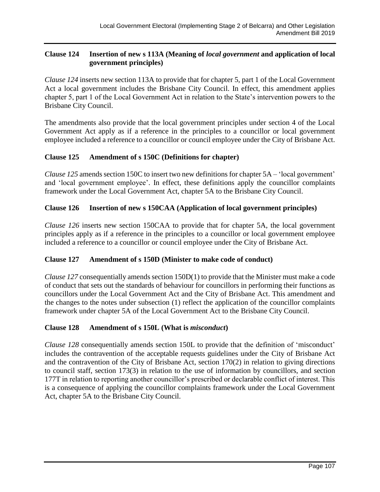# **Clause 124 Insertion of new s 113A (Meaning of** *local government* **and application of local government principles)**

*Clause 124* inserts new section 113A to provide that for chapter 5, part 1 of the Local Government Act a local government includes the Brisbane City Council. In effect, this amendment applies chapter 5, part 1 of the Local Government Act in relation to the State's intervention powers to the Brisbane City Council.

The amendments also provide that the local government principles under section 4 of the Local Government Act apply as if a reference in the principles to a councillor or local government employee included a reference to a councillor or council employee under the City of Brisbane Act.

# **Clause 125 Amendment of s 150C (Definitions for chapter)**

*Clause 125* amends section 150C to insert two new definitions for chapter 5A – 'local government' and 'local government employee'. In effect, these definitions apply the councillor complaints framework under the Local Government Act, chapter 5A to the Brisbane City Council.

# **Clause 126 Insertion of new s 150CAA (Application of local government principles)**

*Clause 126* inserts new section 150CAA to provide that for chapter 5A, the local government principles apply as if a reference in the principles to a councillor or local government employee included a reference to a councillor or council employee under the City of Brisbane Act.

# **Clause 127 Amendment of s 150D (Minister to make code of conduct)**

*Clause 127* consequentially amends section 150D(1) to provide that the Minister must make a code of conduct that sets out the standards of behaviour for councillors in performing their functions as councillors under the Local Government Act and the City of Brisbane Act. This amendment and the changes to the notes under subsection (1) reflect the application of the councillor complaints framework under chapter 5A of the Local Government Act to the Brisbane City Council.

# **Clause 128 Amendment of s 150L (What is** *misconduct***)**

*Clause 128* consequentially amends section 150L to provide that the definition of 'misconduct' includes the contravention of the acceptable requests guidelines under the City of Brisbane Act and the contravention of the City of Brisbane Act, section 170(2) in relation to giving directions to council staff, section 173(3) in relation to the use of information by councillors, and section 177T in relation to reporting another councillor's prescribed or declarable conflict of interest. This is a consequence of applying the councillor complaints framework under the Local Government Act, chapter 5A to the Brisbane City Council.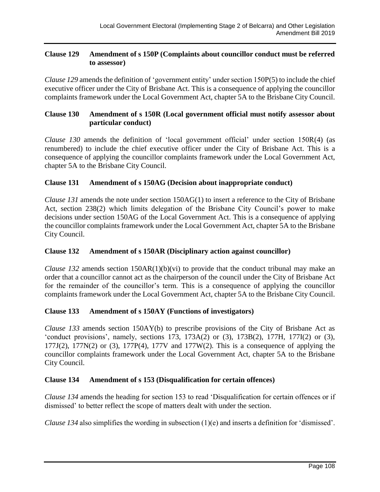## **Clause 129 Amendment of s 150P (Complaints about councillor conduct must be referred to assessor)**

*Clause 129* amends the definition of 'government entity' under section 150P(5) to include the chief executive officer under the City of Brisbane Act. This is a consequence of applying the councillor complaints framework under the Local Government Act, chapter 5A to the Brisbane City Council.

# **Clause 130 Amendment of s 150R (Local government official must notify assessor about particular conduct)**

*Clause 130* amends the definition of 'local government official' under section 150R(4) (as renumbered) to include the chief executive officer under the City of Brisbane Act. This is a consequence of applying the councillor complaints framework under the Local Government Act, chapter 5A to the Brisbane City Council.

# **Clause 131 Amendment of s 150AG (Decision about inappropriate conduct)**

*Clause 131* amends the note under section 150AG(1) to insert a reference to the City of Brisbane Act, section 238(2) which limits delegation of the Brisbane City Council's power to make decisions under section 150AG of the Local Government Act. This is a consequence of applying the councillor complaints framework under the Local Government Act, chapter 5A to the Brisbane City Council.

# **Clause 132 Amendment of s 150AR (Disciplinary action against councillor)**

*Clause 132* amends section 150AR(1)(b)(vi) to provide that the conduct tribunal may make an order that a councillor cannot act as the chairperson of the council under the City of Brisbane Act for the remainder of the councillor's term. This is a consequence of applying the councillor complaints framework under the Local Government Act, chapter 5A to the Brisbane City Council.

# **Clause 133 Amendment of s 150AY (Functions of investigators)**

*Clause 133* amends section 150AY(b) to prescribe provisions of the City of Brisbane Act as 'conduct provisions', namely, sections 173, 173A(2) or (3), 173B(2), 177H, 177I(2) or (3),  $177J(2)$ ,  $177N(2)$  or (3),  $177P(4)$ ,  $177V$  and  $177W(2)$ . This is a consequence of applying the councillor complaints framework under the Local Government Act, chapter 5A to the Brisbane City Council.

# **Clause 134 Amendment of s 153 (Disqualification for certain offences)**

*Clause 134* amends the heading for section 153 to read 'Disqualification for certain offences or if dismissed' to better reflect the scope of matters dealt with under the section.

*Clause 134* also simplifies the wording in subsection (1)(e) and inserts a definition for 'dismissed'.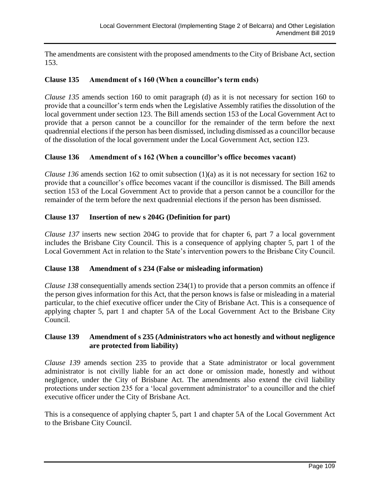The amendments are consistent with the proposed amendments to the City of Brisbane Act, section 153.

# **Clause 135 Amendment of s 160 (When a councillor's term ends)**

*Clause 135* amends section 160 to omit paragraph (d) as it is not necessary for section 160 to provide that a councillor's term ends when the Legislative Assembly ratifies the dissolution of the local government under section 123. The Bill amends section 153 of the Local Government Act to provide that a person cannot be a councillor for the remainder of the term before the next quadrennial elections if the person has been dismissed, including dismissed as a councillor because of the dissolution of the local government under the Local Government Act, section 123.

## **Clause 136 Amendment of s 162 (When a councillor's office becomes vacant)**

*Clause 136* amends section 162 to omit subsection (1)(a) as it is not necessary for section 162 to provide that a councillor's office becomes vacant if the councillor is dismissed. The Bill amends section 153 of the Local Government Act to provide that a person cannot be a councillor for the remainder of the term before the next quadrennial elections if the person has been dismissed.

## **Clause 137 Insertion of new s 204G (Definition for part)**

*Clause 137* inserts new section 204G to provide that for chapter 6, part 7 a local government includes the Brisbane City Council. This is a consequence of applying chapter 5, part 1 of the Local Government Act in relation to the State's intervention powers to the Brisbane City Council.

## **Clause 138 Amendment of s 234 (False or misleading information)**

*Clause 138* consequentially amends section 234(1) to provide that a person commits an offence if the person gives information for this Act, that the person knows is false or misleading in a material particular, to the chief executive officer under the City of Brisbane Act. This is a consequence of applying chapter 5, part 1 and chapter 5A of the Local Government Act to the Brisbane City Council.

## **Clause 139 Amendment of s 235 (Administrators who act honestly and without negligence are protected from liability)**

*Clause 139* amends section 235 to provide that a State administrator or local government administrator is not civilly liable for an act done or omission made, honestly and without negligence, under the City of Brisbane Act. The amendments also extend the civil liability protections under section 235 for a 'local government administrator' to a councillor and the chief executive officer under the City of Brisbane Act.

This is a consequence of applying chapter 5, part 1 and chapter 5A of the Local Government Act to the Brisbane City Council.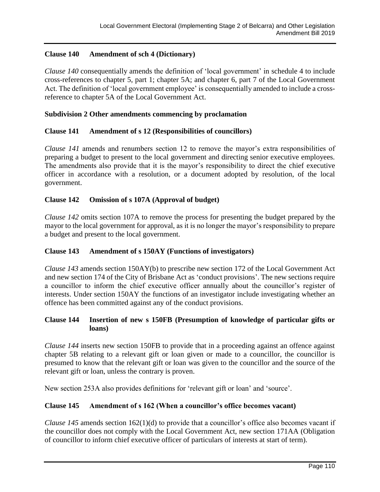# **Clause 140 Amendment of sch 4 (Dictionary)**

*Clause 140* consequentially amends the definition of 'local government' in schedule 4 to include cross-references to chapter 5, part 1; chapter 5A; and chapter 6, part 7 of the Local Government Act. The definition of 'local government employee' is consequentially amended to include a crossreference to chapter 5A of the Local Government Act.

## **Subdivision 2 Other amendments commencing by proclamation**

## **Clause 141 Amendment of s 12 (Responsibilities of councillors)**

*Clause 141* amends and renumbers section 12 to remove the mayor's extra responsibilities of preparing a budget to present to the local government and directing senior executive employees. The amendments also provide that it is the mayor's responsibility to direct the chief executive officer in accordance with a resolution, or a document adopted by resolution, of the local government.

# **Clause 142 Omission of s 107A (Approval of budget)**

*Clause 142* omits section 107A to remove the process for presenting the budget prepared by the mayor to the local government for approval, as it is no longer the mayor's responsibility to prepare a budget and present to the local government.

## **Clause 143 Amendment of s 150AY (Functions of investigators)**

*Clause 143* amends section 150AY(b) to prescribe new section 172 of the Local Government Act and new section 174 of the City of Brisbane Act as 'conduct provisions'. The new sections require a councillor to inform the chief executive officer annually about the councillor's register of interests. Under section 150AY the functions of an investigator include investigating whether an offence has been committed against any of the conduct provisions.

## **Clause 144 Insertion of new s 150FB (Presumption of knowledge of particular gifts or loans)**

*Clause 144* inserts new section 150FB to provide that in a proceeding against an offence against chapter 5B relating to a relevant gift or loan given or made to a councillor, the councillor is presumed to know that the relevant gift or loan was given to the councillor and the source of the relevant gift or loan, unless the contrary is proven.

New section 253A also provides definitions for 'relevant gift or loan' and 'source'.

## **Clause 145 Amendment of s 162 (When a councillor's office becomes vacant)**

*Clause 145* amends section 162(1)(d) to provide that a councillor's office also becomes vacant if the councillor does not comply with the Local Government Act, new section 171AA (Obligation of councillor to inform chief executive officer of particulars of interests at start of term).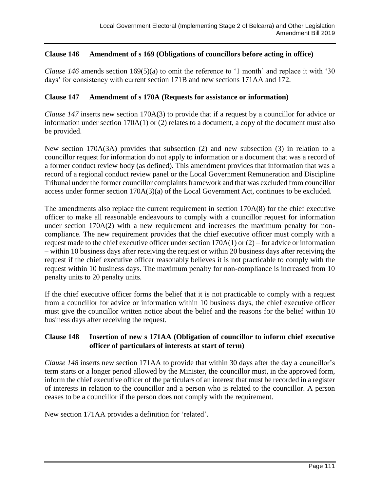# **Clause 146 Amendment of s 169 (Obligations of councillors before acting in office)**

*Clause 146* amends section 169(5)(a) to omit the reference to '1 month' and replace it with '30 days' for consistency with current section 171B and new sections 171AA and 172.

## **Clause 147 Amendment of s 170A (Requests for assistance or information)**

*Clause 147* inserts new section 170A(3) to provide that if a request by a councillor for advice or information under section 170A(1) or (2) relates to a document, a copy of the document must also be provided.

New section 170A(3A) provides that subsection (2) and new subsection (3) in relation to a councillor request for information do not apply to information or a document that was a record of a former conduct review body (as defined). This amendment provides that information that was a record of a regional conduct review panel or the Local Government Remuneration and Discipline Tribunal under the former councillor complaints framework and that was excluded from councillor access under former section 170A(3)(a) of the Local Government Act, continues to be excluded.

The amendments also replace the current requirement in section 170A(8) for the chief executive officer to make all reasonable endeavours to comply with a councillor request for information under section 170A(2) with a new requirement and increases the maximum penalty for noncompliance. The new requirement provides that the chief executive officer must comply with a request made to the chief executive officer under section 170A(1) or (2) – for advice or information – within 10 business days after receiving the request or within 20 business days after receiving the request if the chief executive officer reasonably believes it is not practicable to comply with the request within 10 business days. The maximum penalty for non-compliance is increased from 10 penalty units to 20 penalty units.

If the chief executive officer forms the belief that it is not practicable to comply with a request from a councillor for advice or information within 10 business days, the chief executive officer must give the councillor written notice about the belief and the reasons for the belief within 10 business days after receiving the request.

## **Clause 148 Insertion of new s 171AA (Obligation of councillor to inform chief executive officer of particulars of interests at start of term)**

*Clause 148* inserts new section 171AA to provide that within 30 days after the day a councillor's term starts or a longer period allowed by the Minister, the councillor must, in the approved form, inform the chief executive officer of the particulars of an interest that must be recorded in a register of interests in relation to the councillor and a person who is related to the councillor. A person ceases to be a councillor if the person does not comply with the requirement.

New section 171AA provides a definition for 'related'.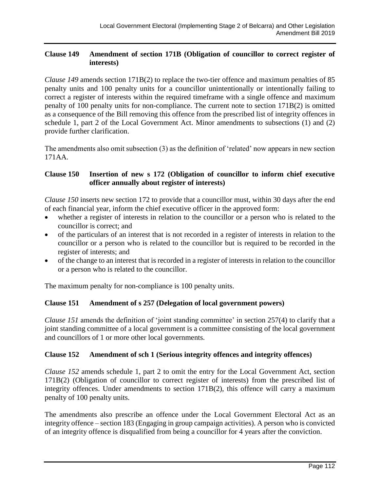# **Clause 149 Amendment of section 171B (Obligation of councillor to correct register of interests)**

*Clause 149* amends section 171B(2) to replace the two-tier offence and maximum penalties of 85 penalty units and 100 penalty units for a councillor unintentionally or intentionally failing to correct a register of interests within the required timeframe with a single offence and maximum penalty of 100 penalty units for non-compliance. The current note to section 171B(2) is omitted as a consequence of the Bill removing this offence from the prescribed list of integrity offences in schedule 1, part 2 of the Local Government Act. Minor amendments to subsections (1) and (2) provide further clarification.

The amendments also omit subsection (3) as the definition of 'related' now appears in new section 171AA.

# **Clause 150 Insertion of new s 172 (Obligation of councillor to inform chief executive officer annually about register of interests)**

*Clause 150* inserts new section 172 to provide that a councillor must, within 30 days after the end of each financial year, inform the chief executive officer in the approved form:

- whether a register of interests in relation to the councillor or a person who is related to the councillor is correct; and
- of the particulars of an interest that is not recorded in a register of interests in relation to the councillor or a person who is related to the councillor but is required to be recorded in the register of interests; and
- of the change to an interest that is recorded in a register of interests in relation to the councillor or a person who is related to the councillor.

The maximum penalty for non-compliance is 100 penalty units.

# **Clause 151 Amendment of s 257 (Delegation of local government powers)**

*Clause 151* amends the definition of 'joint standing committee' in section 257(4) to clarify that a joint standing committee of a local government is a committee consisting of the local government and councillors of 1 or more other local governments.

## **Clause 152 Amendment of sch 1 (Serious integrity offences and integrity offences)**

*Clause 152* amends schedule 1, part 2 to omit the entry for the Local Government Act, section 171B(2) (Obligation of councillor to correct register of interests) from the prescribed list of integrity offences. Under amendments to section 171B(2), this offence will carry a maximum penalty of 100 penalty units.

The amendments also prescribe an offence under the Local Government Electoral Act as an integrity offence – section 183 (Engaging in group campaign activities). A person who is convicted of an integrity offence is disqualified from being a councillor for 4 years after the conviction.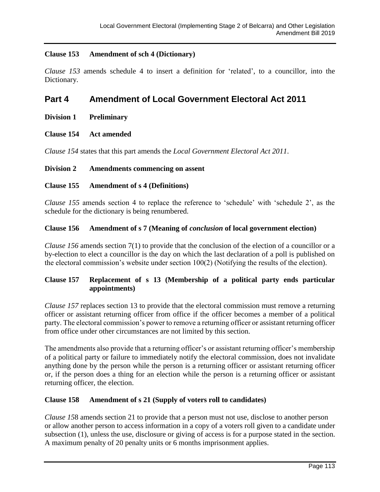# **Clause 153 Amendment of sch 4 (Dictionary)**

*Clause 153* amends schedule 4 to insert a definition for 'related', to a councillor, into the Dictionary.

# **Part 4 Amendment of Local Government Electoral Act 2011**

- **Division 1 Preliminary**
- **Clause 154 Act amended**

*Clause 154* states that this part amends the *Local Government Electoral Act 2011*.

## **Division 2 Amendments commencing on assent**

## **Clause 155 Amendment of s 4 (Definitions)**

*Clause 155* amends section 4 to replace the reference to 'schedule' with 'schedule 2', as the schedule for the dictionary is being renumbered.

## **Clause 156 Amendment of s 7 (Meaning of** *conclusion* **of local government election)**

*Clause 156* amends section 7(1) to provide that the conclusion of the election of a councillor or a by-election to elect a councillor is the day on which the last declaration of a poll is published on the electoral commission's website under section 100(2) (Notifying the results of the election).

# **Clause 157 Replacement of s 13 (Membership of a political party ends particular appointments)**

*Clause 157* replaces section 13 to provide that the electoral commission must remove a returning officer or assistant returning officer from office if the officer becomes a member of a political party. The electoral commission's power to remove a returning officer or assistant returning officer from office under other circumstances are not limited by this section.

The amendments also provide that a returning officer's or assistant returning officer's membership of a political party or failure to immediately notify the electoral commission, does not invalidate anything done by the person while the person is a returning officer or assistant returning officer or, if the person does a thing for an election while the person is a returning officer or assistant returning officer, the election.

## **Clause 158 Amendment of s 21 (Supply of voters roll to candidates)**

*Clause 15*8 amends section 21 to provide that a person must not use, disclose to another person or allow another person to access information in a copy of a voters roll given to a candidate under subsection (1), unless the use, disclosure or giving of access is for a purpose stated in the section. A maximum penalty of 20 penalty units or 6 months imprisonment applies.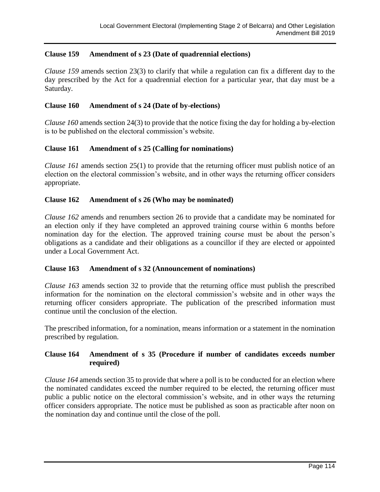# **Clause 159 Amendment of s 23 (Date of quadrennial elections)**

*Clause 159* amends section 23(3) to clarify that while a regulation can fix a different day to the day prescribed by the Act for a quadrennial election for a particular year, that day must be a Saturday.

#### **Clause 160 Amendment of s 24 (Date of by-elections)**

*Clause 160* amends section 24(3) to provide that the notice fixing the day for holding a by-election is to be published on the electoral commission's website.

## **Clause 161 Amendment of s 25 (Calling for nominations)**

*Clause 161* amends section 25(1) to provide that the returning officer must publish notice of an election on the electoral commission's website, and in other ways the returning officer considers appropriate.

## **Clause 162 Amendment of s 26 (Who may be nominated)**

*Clause 162* amends and renumbers section 26 to provide that a candidate may be nominated for an election only if they have completed an approved training course within 6 months before nomination day for the election. The approved training course must be about the person's obligations as a candidate and their obligations as a councillor if they are elected or appointed under a Local Government Act.

## **Clause 163 Amendment of s 32 (Announcement of nominations)**

*Clause 163* amends section 32 to provide that the returning office must publish the prescribed information for the nomination on the electoral commission's website and in other ways the returning officer considers appropriate. The publication of the prescribed information must continue until the conclusion of the election.

The prescribed information, for a nomination, means information or a statement in the nomination prescribed by regulation.

# **Clause 164 Amendment of s 35 (Procedure if number of candidates exceeds number required)**

*Clause 164* amends section 35 to provide that where a poll is to be conducted for an election where the nominated candidates exceed the number required to be elected, the returning officer must public a public notice on the electoral commission's website, and in other ways the returning officer considers appropriate. The notice must be published as soon as practicable after noon on the nomination day and continue until the close of the poll.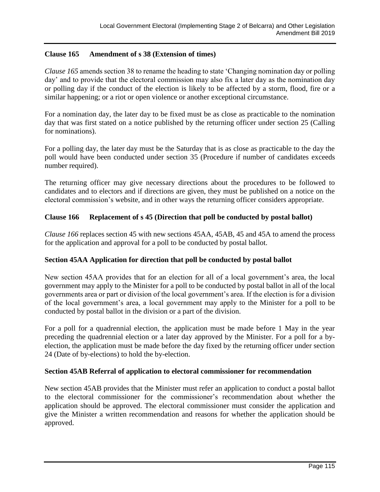# **Clause 165 Amendment of s 38 (Extension of times)**

*Clause 165* amends section 38 to rename the heading to state 'Changing nomination day or polling day' and to provide that the electoral commission may also fix a later day as the nomination day or polling day if the conduct of the election is likely to be affected by a storm, flood, fire or a similar happening; or a riot or open violence or another exceptional circumstance.

For a nomination day, the later day to be fixed must be as close as practicable to the nomination day that was first stated on a notice published by the returning officer under section 25 (Calling for nominations).

For a polling day, the later day must be the Saturday that is as close as practicable to the day the poll would have been conducted under section 35 (Procedure if number of candidates exceeds number required).

The returning officer may give necessary directions about the procedures to be followed to candidates and to electors and if directions are given, they must be published on a notice on the electoral commission's website, and in other ways the returning officer considers appropriate.

# **Clause 166 Replacement of s 45 (Direction that poll be conducted by postal ballot)**

*Clause 166* replaces section 45 with new sections 45AA, 45AB, 45 and 45A to amend the process for the application and approval for a poll to be conducted by postal ballot.

# **Section 45AA Application for direction that poll be conducted by postal ballot**

New section 45AA provides that for an election for all of a local government's area, the local government may apply to the Minister for a poll to be conducted by postal ballot in all of the local governments area or part or division of the local government's area. If the election is for a division of the local government's area, a local government may apply to the Minister for a poll to be conducted by postal ballot in the division or a part of the division.

For a poll for a quadrennial election, the application must be made before 1 May in the year preceding the quadrennial election or a later day approved by the Minister. For a poll for a byelection, the application must be made before the day fixed by the returning officer under section 24 (Date of by-elections) to hold the by-election.

## **Section 45AB Referral of application to electoral commissioner for recommendation**

New section 45AB provides that the Minister must refer an application to conduct a postal ballot to the electoral commissioner for the commissioner's recommendation about whether the application should be approved. The electoral commissioner must consider the application and give the Minister a written recommendation and reasons for whether the application should be approved.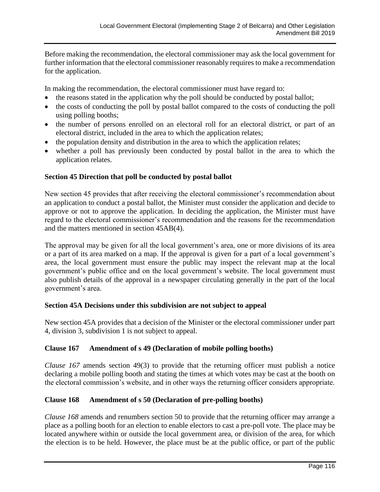Before making the recommendation, the electoral commissioner may ask the local government for further information that the electoral commissioner reasonably requires to make a recommendation for the application.

In making the recommendation, the electoral commissioner must have regard to:

- the reasons stated in the application why the poll should be conducted by postal ballot;
- the costs of conducting the poll by postal ballot compared to the costs of conducting the poll using polling booths;
- the number of persons enrolled on an electoral roll for an electoral district, or part of an electoral district, included in the area to which the application relates;
- the population density and distribution in the area to which the application relates;
- whether a poll has previously been conducted by postal ballot in the area to which the application relates.

## **Section 45 Direction that poll be conducted by postal ballot**

New section 45 provides that after receiving the electoral commissioner's recommendation about an application to conduct a postal ballot, the Minister must consider the application and decide to approve or not to approve the application. In deciding the application, the Minister must have regard to the electoral commissioner's recommendation and the reasons for the recommendation and the matters mentioned in section 45AB(4).

The approval may be given for all the local government's area, one or more divisions of its area or a part of its area marked on a map. If the approval is given for a part of a local government's area, the local government must ensure the public may inspect the relevant map at the local government's public office and on the local government's website. The local government must also publish details of the approval in a newspaper circulating generally in the part of the local government's area.

## **Section 45A Decisions under this subdivision are not subject to appeal**

New section 45A provides that a decision of the Minister or the electoral commissioner under part 4, division 3, subdivision 1 is not subject to appeal.

## **Clause 167 Amendment of s 49 (Declaration of mobile polling booths)**

*Clause 167* amends section 49(3) to provide that the returning officer must publish a notice declaring a mobile polling booth and stating the times at which votes may be cast at the booth on the electoral commission's website, and in other ways the returning officer considers appropriate.

# **Clause 168 Amendment of s 50 (Declaration of pre-polling booths)**

*Clause 168* amends and renumbers section 50 to provide that the returning officer may arrange a place as a polling booth for an election to enable electors to cast a pre-poll vote. The place may be located anywhere within or outside the local government area, or division of the area, for which the election is to be held. However, the place must be at the public office, or part of the public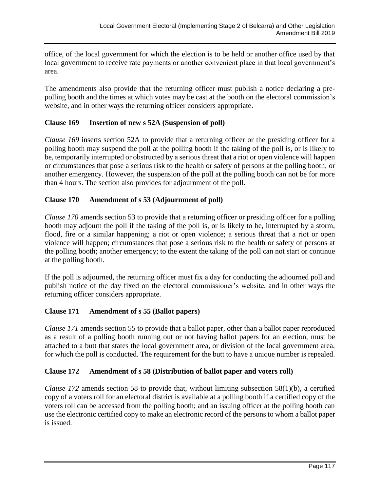office, of the local government for which the election is to be held or another office used by that local government to receive rate payments or another convenient place in that local government's area.

The amendments also provide that the returning officer must publish a notice declaring a prepolling booth and the times at which votes may be cast at the booth on the electoral commission's website, and in other ways the returning officer considers appropriate.

# **Clause 169 Insertion of new s 52A (Suspension of poll)**

*Clause 169* inserts section 52A to provide that a returning officer or the presiding officer for a polling booth may suspend the poll at the polling booth if the taking of the poll is, or is likely to be, temporarily interrupted or obstructed by a serious threat that a riot or open violence will happen or circumstances that pose a serious risk to the health or safety of persons at the polling booth, or another emergency. However, the suspension of the poll at the polling booth can not be for more than 4 hours. The section also provides for adjournment of the poll.

# **Clause 170 Amendment of s 53 (Adjournment of poll)**

*Clause 170* amends section 53 to provide that a returning officer or presiding officer for a polling booth may adjourn the poll if the taking of the poll is, or is likely to be, interrupted by a storm, flood, fire or a similar happening; a riot or open violence; a serious threat that a riot or open violence will happen; circumstances that pose a serious risk to the health or safety of persons at the polling booth; another emergency; to the extent the taking of the poll can not start or continue at the polling booth.

If the poll is adjourned, the returning officer must fix a day for conducting the adjourned poll and publish notice of the day fixed on the electoral commissioner's website, and in other ways the returning officer considers appropriate.

# **Clause 171 Amendment of s 55 (Ballot papers)**

*Clause 171* amends section 55 to provide that a ballot paper, other than a ballot paper reproduced as a result of a polling booth running out or not having ballot papers for an election, must be attached to a butt that states the local government area, or division of the local government area, for which the poll is conducted. The requirement for the butt to have a unique number is repealed.

# **Clause 172 Amendment of s 58 (Distribution of ballot paper and voters roll)**

*Clause 172* amends section 58 to provide that, without limiting subsection 58(1)(b), a certified copy of a voters roll for an electoral district is available at a polling booth if a certified copy of the voters roll can be accessed from the polling booth; and an issuing officer at the polling booth can use the electronic certified copy to make an electronic record of the persons to whom a ballot paper is issued.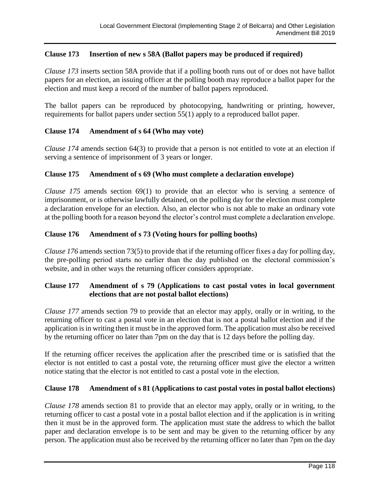# **Clause 173 Insertion of new s 58A (Ballot papers may be produced if required)**

*Clause 173* inserts section 58A provide that if a polling booth runs out of or does not have ballot papers for an election, an issuing officer at the polling booth may reproduce a ballot paper for the election and must keep a record of the number of ballot papers reproduced.

The ballot papers can be reproduced by photocopying, handwriting or printing, however, requirements for ballot papers under section 55(1) apply to a reproduced ballot paper.

## **Clause 174 Amendment of s 64 (Who may vote)**

*Clause 174* amends section 64(3) to provide that a person is not entitled to vote at an election if serving a sentence of imprisonment of 3 years or longer.

## **Clause 175 Amendment of s 69 (Who must complete a declaration envelope)**

*Clause 175* amends section 69(1) to provide that an elector who is serving a sentence of imprisonment, or is otherwise lawfully detained, on the polling day for the election must complete a declaration envelope for an election. Also, an elector who is not able to make an ordinary vote at the polling booth for a reason beyond the elector's control must complete a declaration envelope.

## **Clause 176 Amendment of s 73 (Voting hours for polling booths)**

*Clause 176* amends section 73(5) to provide that if the returning officer fixes a day for polling day, the pre-polling period starts no earlier than the day published on the electoral commission's website, and in other ways the returning officer considers appropriate.

# **Clause 177 Amendment of s 79 (Applications to cast postal votes in local government elections that are not postal ballot elections)**

*Clause 177* amends section 79 to provide that an elector may apply, orally or in writing, to the returning officer to cast a postal vote in an election that is not a postal ballot election and if the application is in writing then it must be in the approved form. The application must also be received by the returning officer no later than 7pm on the day that is 12 days before the polling day.

If the returning officer receives the application after the prescribed time or is satisfied that the elector is not entitled to cast a postal vote, the returning officer must give the elector a written notice stating that the elector is not entitled to cast a postal vote in the election.

## **Clause 178 Amendment of s 81 (Applications to cast postal votes in postal ballot elections)**

*Clause 178* amends section 81 to provide that an elector may apply, orally or in writing, to the returning officer to cast a postal vote in a postal ballot election and if the application is in writing then it must be in the approved form. The application must state the address to which the ballot paper and declaration envelope is to be sent and may be given to the returning officer by any person. The application must also be received by the returning officer no later than 7pm on the day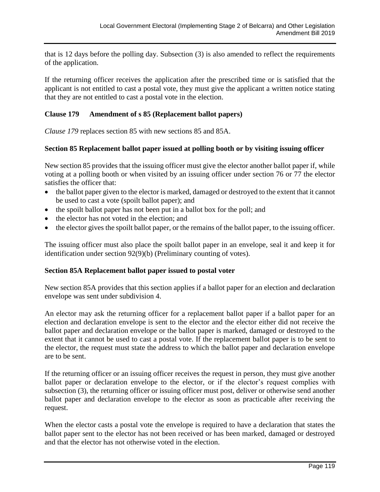that is 12 days before the polling day. Subsection (3) is also amended to reflect the requirements of the application.

If the returning officer receives the application after the prescribed time or is satisfied that the applicant is not entitled to cast a postal vote, they must give the applicant a written notice stating that they are not entitled to cast a postal vote in the election.

# **Clause 179 Amendment of s 85 (Replacement ballot papers)**

*Clause 179* replaces section 85 with new sections 85 and 85A.

## **Section 85 Replacement ballot paper issued at polling booth or by visiting issuing officer**

New section 85 provides that the issuing officer must give the elector another ballot paper if, while voting at a polling booth or when visited by an issuing officer under section 76 or 77 the elector satisfies the officer that:

- the ballot paper given to the elector is marked, damaged or destroyed to the extent that it cannot be used to cast a vote (spoilt ballot paper); and
- the spoilt ballot paper has not been put in a ballot box for the poll; and
- the elector has not voted in the election; and
- the elector gives the spoilt ballot paper, or the remains of the ballot paper, to the issuing officer.

The issuing officer must also place the spoilt ballot paper in an envelope, seal it and keep it for identification under section 92(9)(b) (Preliminary counting of votes).

## **Section 85A Replacement ballot paper issued to postal voter**

New section 85A provides that this section applies if a ballot paper for an election and declaration envelope was sent under subdivision 4.

An elector may ask the returning officer for a replacement ballot paper if a ballot paper for an election and declaration envelope is sent to the elector and the elector either did not receive the ballot paper and declaration envelope or the ballot paper is marked, damaged or destroyed to the extent that it cannot be used to cast a postal vote. If the replacement ballot paper is to be sent to the elector, the request must state the address to which the ballot paper and declaration envelope are to be sent.

If the returning officer or an issuing officer receives the request in person, they must give another ballot paper or declaration envelope to the elector, or if the elector's request complies with subsection (3), the returning officer or issuing officer must post, deliver or otherwise send another ballot paper and declaration envelope to the elector as soon as practicable after receiving the request.

When the elector casts a postal vote the envelope is required to have a declaration that states the ballot paper sent to the elector has not been received or has been marked, damaged or destroyed and that the elector has not otherwise voted in the election.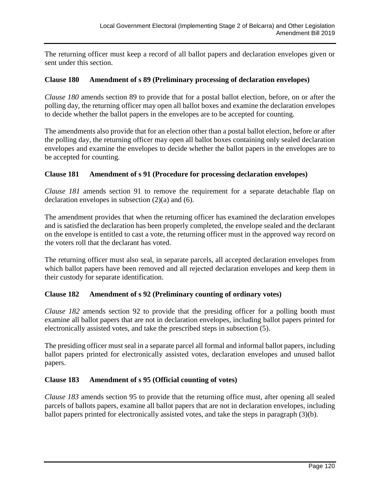The returning officer must keep a record of all ballot papers and declaration envelopes given or sent under this section.

# **Clause 180 Amendment of s 89 (Preliminary processing of declaration envelopes)**

*Clause 180* amends section 89 to provide that for a postal ballot election, before, on or after the polling day, the returning officer may open all ballot boxes and examine the declaration envelopes to decide whether the ballot papers in the envelopes are to be accepted for counting.

The amendments also provide that for an election other than a postal ballot election, before or after the polling day, the returning officer may open all ballot boxes containing only sealed declaration envelopes and examine the envelopes to decide whether the ballot papers in the envelopes are to be accepted for counting.

## **Clause 181 Amendment of s 91 (Procedure for processing declaration envelopes)**

*Clause 181* amends section 91 to remove the requirement for a separate detachable flap on declaration envelopes in subsection (2)(a) and (6).

The amendment provides that when the returning officer has examined the declaration envelopes and is satisfied the declaration has been properly completed, the envelope sealed and the declarant on the envelope is entitled to cast a vote, the returning officer must in the approved way record on the voters roll that the declarant has voted.

The returning officer must also seal, in separate parcels, all accepted declaration envelopes from which ballot papers have been removed and all rejected declaration envelopes and keep them in their custody for separate identification.

# **Clause 182 Amendment of s 92 (Preliminary counting of ordinary votes)**

*Clause 182* amends section 92 to provide that the presiding officer for a polling booth must examine all ballot papers that are not in declaration envelopes, including ballot papers printed for electronically assisted votes, and take the prescribed steps in subsection (5).

The presiding officer must seal in a separate parcel all formal and informal ballot papers, including ballot papers printed for electronically assisted votes, declaration envelopes and unused ballot papers.

## **Clause 183 Amendment of s 95 (Official counting of votes)**

*Clause 183* amends section 95 to provide that the returning office must, after opening all sealed parcels of ballots papers, examine all ballot papers that are not in declaration envelopes, including ballot papers printed for electronically assisted votes, and take the steps in paragraph (3)(b).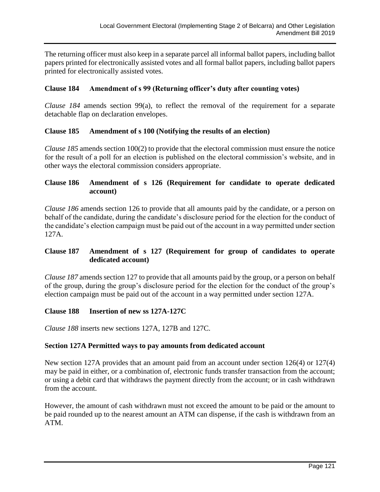The returning officer must also keep in a separate parcel all informal ballot papers, including ballot papers printed for electronically assisted votes and all formal ballot papers, including ballot papers printed for electronically assisted votes.

# **Clause 184 Amendment of s 99 (Returning officer's duty after counting votes)**

*Clause 184* amends section 99(a), to reflect the removal of the requirement for a separate detachable flap on declaration envelopes.

## **Clause 185 Amendment of s 100 (Notifying the results of an election)**

*Clause 185* amends section 100(2) to provide that the electoral commission must ensure the notice for the result of a poll for an election is published on the electoral commission's website, and in other ways the electoral commission considers appropriate.

## **Clause 186 Amendment of s 126 (Requirement for candidate to operate dedicated account)**

*Clause 186* amends section 126 to provide that all amounts paid by the candidate, or a person on behalf of the candidate, during the candidate's disclosure period for the election for the conduct of the candidate's election campaign must be paid out of the account in a way permitted under section 127A.

# **Clause 187 Amendment of s 127 (Requirement for group of candidates to operate dedicated account)**

*Clause 187* amends section 127 to provide that all amounts paid by the group, or a person on behalf of the group, during the group's disclosure period for the election for the conduct of the group's election campaign must be paid out of the account in a way permitted under section 127A.

## **Clause 188 Insertion of new ss 127A-127C**

*Clause 188* inserts new sections 127A, 127B and 127C.

## **Section 127A Permitted ways to pay amounts from dedicated account**

New section 127A provides that an amount paid from an account under section 126(4) or 127(4) may be paid in either, or a combination of, electronic funds transfer transaction from the account; or using a debit card that withdraws the payment directly from the account; or in cash withdrawn from the account.

However, the amount of cash withdrawn must not exceed the amount to be paid or the amount to be paid rounded up to the nearest amount an ATM can dispense, if the cash is withdrawn from an ATM.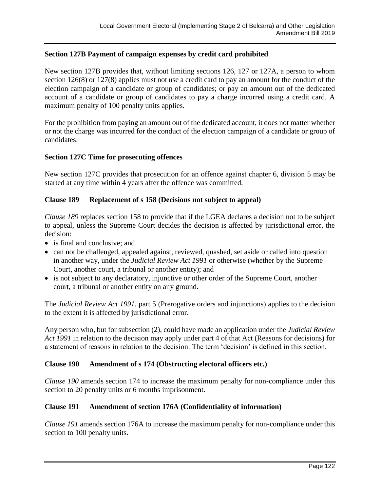# **Section 127B Payment of campaign expenses by credit card prohibited**

New section 127B provides that, without limiting sections 126, 127 or 127A, a person to whom section 126(8) or 127(8) applies must not use a credit card to pay an amount for the conduct of the election campaign of a candidate or group of candidates; or pay an amount out of the dedicated account of a candidate or group of candidates to pay a charge incurred using a credit card. A maximum penalty of 100 penalty units applies.

For the prohibition from paying an amount out of the dedicated account, it does not matter whether or not the charge was incurred for the conduct of the election campaign of a candidate or group of candidates.

#### **Section 127C Time for prosecuting offences**

New section 127C provides that prosecution for an offence against chapter 6, division 5 may be started at any time within 4 years after the offence was committed.

## **Clause 189 Replacement of s 158 (Decisions not subject to appeal)**

*Clause 189* replaces section 158 to provide that if the LGEA declares a decision not to be subject to appeal, unless the Supreme Court decides the decision is affected by jurisdictional error, the decision:

- is final and conclusive; and
- can not be challenged, appealed against, reviewed, quashed, set aside or called into question in another way, under the *Judicial Review Act 1991* or otherwise (whether by the Supreme Court, another court, a tribunal or another entity); and
- is not subject to any declaratory, injunctive or other order of the Supreme Court, another court, a tribunal or another entity on any ground.

The *Judicial Review Act 1991*, part 5 (Prerogative orders and injunctions) applies to the decision to the extent it is affected by jurisdictional error.

Any person who, but for subsection (2), could have made an application under the *Judicial Review Act 1991* in relation to the decision may apply under part 4 of that Act (Reasons for decisions) for a statement of reasons in relation to the decision. The term 'decision' is defined in this section.

## **Clause 190 Amendment of s 174 (Obstructing electoral officers etc.)**

*Clause 190* amends section 174 to increase the maximum penalty for non-compliance under this section to 20 penalty units or 6 months imprisonment.

# **Clause 191 Amendment of section 176A (Confidentiality of information)**

*Clause 191* amends section 176A to increase the maximum penalty for non-compliance under this section to 100 penalty units.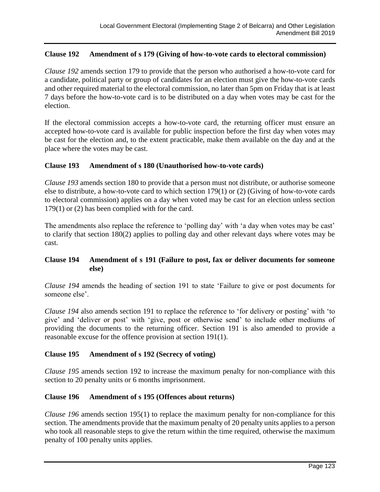# **Clause 192 Amendment of s 179 (Giving of how-to-vote cards to electoral commission)**

*Clause 192* amends section 179 to provide that the person who authorised a how-to-vote card for a candidate, political party or group of candidates for an election must give the how-to-vote cards and other required material to the electoral commission, no later than 5pm on Friday that is at least 7 days before the how-to-vote card is to be distributed on a day when votes may be cast for the election.

If the electoral commission accepts a how-to-vote card, the returning officer must ensure an accepted how-to-vote card is available for public inspection before the first day when votes may be cast for the election and, to the extent practicable, make them available on the day and at the place where the votes may be cast.

## **Clause 193 Amendment of s 180 (Unauthorised how-to-vote cards)**

*Clause 193* amends section 180 to provide that a person must not distribute, or authorise someone else to distribute, a how-to-vote card to which section 179(1) or (2) (Giving of how-to-vote cards to electoral commission) applies on a day when voted may be cast for an election unless section 179(1) or (2) has been complied with for the card.

The amendments also replace the reference to 'polling day' with 'a day when votes may be cast' to clarify that section 180(2) applies to polling day and other relevant days where votes may be cast.

## **Clause 194 Amendment of s 191 (Failure to post, fax or deliver documents for someone else)**

*Clause 194* amends the heading of section 191 to state 'Failure to give or post documents for someone else'.

*Clause 194* also amends section 191 to replace the reference to 'for delivery or posting' with 'to give' and 'deliver or post' with 'give, post or otherwise send' to include other mediums of providing the documents to the returning officer. Section 191 is also amended to provide a reasonable excuse for the offence provision at section 191(1).

## **Clause 195 Amendment of s 192 (Secrecy of voting)**

*Clause 195* amends section 192 to increase the maximum penalty for non-compliance with this section to 20 penalty units or 6 months imprisonment.

## **Clause 196 Amendment of s 195 (Offences about returns)**

*Clause 196* amends section 195(1) to replace the maximum penalty for non-compliance for this section. The amendments provide that the maximum penalty of 20 penalty units applies to a person who took all reasonable steps to give the return within the time required, otherwise the maximum penalty of 100 penalty units applies.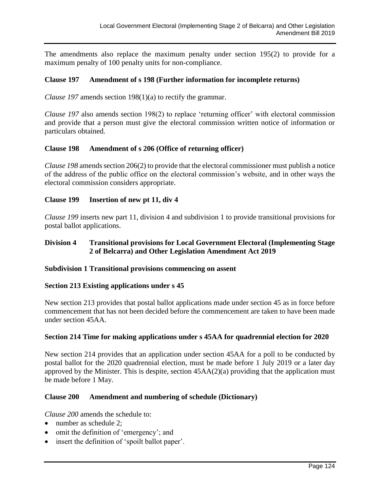The amendments also replace the maximum penalty under section 195(2) to provide for a maximum penalty of 100 penalty units for non-compliance.

## **Clause 197 Amendment of s 198 (Further information for incomplete returns)**

*Clause 197* amends section 198(1)(a) to rectify the grammar.

*Clause 197* also amends section 198(2) to replace 'returning officer' with electoral commission and provide that a person must give the electoral commission written notice of information or particulars obtained.

## **Clause 198 Amendment of s 206 (Office of returning officer)**

*Clause 198* amends section 206(2) to provide that the electoral commissioner must publish a notice of the address of the public office on the electoral commission's website, and in other ways the electoral commission considers appropriate.

## **Clause 199 Insertion of new pt 11, div 4**

*Clause 199* inserts new part 11, division 4 and subdivision 1 to provide transitional provisions for postal ballot applications.

# **Division 4 Transitional provisions for Local Government Electoral (Implementing Stage 2 of Belcarra) and Other Legislation Amendment Act 2019**

## **Subdivision 1 Transitional provisions commencing on assent**

## **Section 213 Existing applications under s 45**

New section 213 provides that postal ballot applications made under section 45 as in force before commencement that has not been decided before the commencement are taken to have been made under section 45AA.

## **Section 214 Time for making applications under s 45AA for quadrennial election for 2020**

New section 214 provides that an application under section 45AA for a poll to be conducted by postal ballot for the 2020 quadrennial election, must be made before 1 July 2019 or a later day approved by the Minister. This is despite, section 45AA(2)(a) providing that the application must be made before 1 May.

## **Clause 200 Amendment and numbering of schedule (Dictionary)**

*Clause 200* amends the schedule to:

- number as schedule 2;
- omit the definition of 'emergency'; and
- insert the definition of 'spoilt ballot paper'.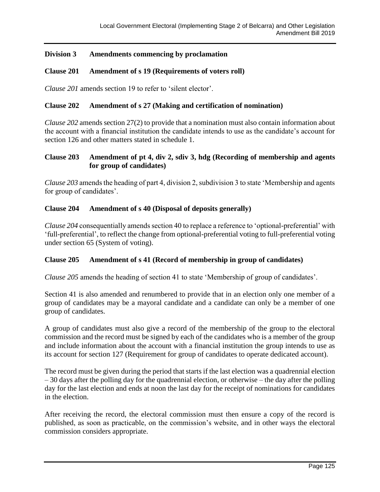# **Division 3 Amendments commencing by proclamation**

## **Clause 201 Amendment of s 19 (Requirements of voters roll)**

*Clause 201* amends section 19 to refer to 'silent elector'.

## **Clause 202 Amendment of s 27 (Making and certification of nomination)**

*Clause 202* amends section 27(2) to provide that a nomination must also contain information about the account with a financial institution the candidate intends to use as the candidate's account for section 126 and other matters stated in schedule 1.

## **Clause 203 Amendment of pt 4, div 2, sdiv 3, hdg (Recording of membership and agents for group of candidates)**

*Clause 203* amends the heading of part 4, division 2, subdivision 3 to state 'Membership and agents for group of candidates'.

## **Clause 204 Amendment of s 40 (Disposal of deposits generally)**

*Clause 204* consequentially amends section 40 to replace a reference to 'optional-preferential' with 'full-preferential', to reflect the change from optional-preferential voting to full-preferential voting under section 65 (System of voting).

## **Clause 205 Amendment of s 41 (Record of membership in group of candidates)**

*Clause 205* amends the heading of section 41 to state 'Membership of group of candidates'.

Section 41 is also amended and renumbered to provide that in an election only one member of a group of candidates may be a mayoral candidate and a candidate can only be a member of one group of candidates.

A group of candidates must also give a record of the membership of the group to the electoral commission and the record must be signed by each of the candidates who is a member of the group and include information about the account with a financial institution the group intends to use as its account for section 127 (Requirement for group of candidates to operate dedicated account).

The record must be given during the period that starts if the last election was a quadrennial election – 30 days after the polling day for the quadrennial election, or otherwise – the day after the polling day for the last election and ends at noon the last day for the receipt of nominations for candidates in the election.

After receiving the record, the electoral commission must then ensure a copy of the record is published, as soon as practicable, on the commission's website, and in other ways the electoral commission considers appropriate.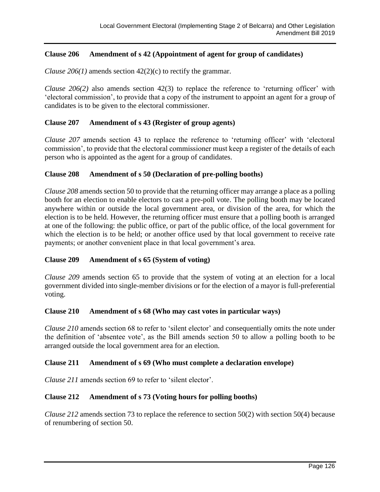# **Clause 206 Amendment of s 42 (Appointment of agent for group of candidates)**

*Clause 206(1)* amends section 42(2)(c) to rectify the grammar.

*Clause 206(2)* also amends section 42(3) to replace the reference to 'returning officer' with 'electoral commission', to provide that a copy of the instrument to appoint an agent for a group of candidates is to be given to the electoral commissioner.

## **Clause 207 Amendment of s 43 (Register of group agents)**

*Clause 207* amends section 43 to replace the reference to 'returning officer' with 'electoral commission', to provide that the electoral commissioner must keep a register of the details of each person who is appointed as the agent for a group of candidates.

## **Clause 208 Amendment of s 50 (Declaration of pre-polling booths)**

*Clause 208* amends section 50 to provide that the returning officer may arrange a place as a polling booth for an election to enable electors to cast a pre-poll vote. The polling booth may be located anywhere within or outside the local government area, or division of the area, for which the election is to be held. However, the returning officer must ensure that a polling booth is arranged at one of the following: the public office, or part of the public office, of the local government for which the election is to be held; or another office used by that local government to receive rate payments; or another convenient place in that local government's area.

# **Clause 209 Amendment of s 65 (System of voting)**

*Clause 209* amends section 65 to provide that the system of voting at an election for a local government divided into single-member divisions or for the election of a mayor is full-preferential voting.

## **Clause 210 Amendment of s 68 (Who may cast votes in particular ways)**

*Clause 210* amends section 68 to refer to 'silent elector' and consequentially omits the note under the definition of 'absentee vote', as the Bill amends section 50 to allow a polling booth to be arranged outside the local government area for an election.

## **Clause 211 Amendment of s 69 (Who must complete a declaration envelope)**

*Clause 211* amends section 69 to refer to 'silent elector'.

## **Clause 212 Amendment of s 73 (Voting hours for polling booths)**

*Clause 212* amends section 73 to replace the reference to section 50(2) with section 50(4) because of renumbering of section 50.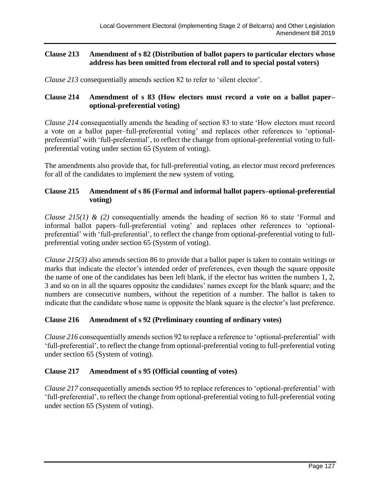# **Clause 213 Amendment of s 82 (Distribution of ballot papers to particular electors whose address has been omitted from electoral roll and to special postal voters)**

*Clause 213* consequentially amends section 82 to refer to 'silent elector'.

# **Clause 214 Amendment of s 83 (How electors must record a vote on a ballot paper– optional-preferential voting)**

*Clause 214* consequentially amends the heading of section 83 to state 'How electors must record a vote on a ballot paper–full-preferential voting' and replaces other references to 'optionalpreferential' with 'full-preferential', to reflect the change from optional-preferential voting to fullpreferential voting under section 65 (System of voting).

The amendments also provide that, for full-preferential voting, an elector must record preferences for all of the candidates to implement the new system of voting.

# **Clause 215 Amendment of s 86 (Formal and informal ballot papers–optional-preferential voting)**

*Clause 215(1) & (2)* consequentially amends the heading of section 86 to state 'Formal and informal ballot papers–full-preferential voting' and replaces other references to 'optionalpreferential' with 'full-preferential', to reflect the change from optional-preferential voting to fullpreferential voting under section 65 (System of voting).

*Clause 215(3)* also amends section 86 to provide that a ballot paper is taken to contain writings or marks that indicate the elector's intended order of preferences, even though the square opposite the name of one of the candidates has been left blank, if the elector has written the numbers 1, 2, 3 and so on in all the squares opposite the candidates' names except for the blank square; and the numbers are consecutive numbers, without the repetition of a number. The ballot is taken to indicate that the candidate whose name is opposite the blank square is the elector's last preference.

# **Clause 216 Amendment of s 92 (Preliminary counting of ordinary votes)**

*Clause 216* consequentially amends section 92 to replace a reference to 'optional-preferential' with 'full-preferential', to reflect the change from optional-preferential voting to full-preferential voting under section 65 (System of voting).

# **Clause 217 Amendment of s 95 (Official counting of votes)**

*Clause 217* consequentially amends section 95 to replace references to 'optional-preferential' with 'full-preferential', to reflect the change from optional-preferential voting to full-preferential voting under section 65 (System of voting).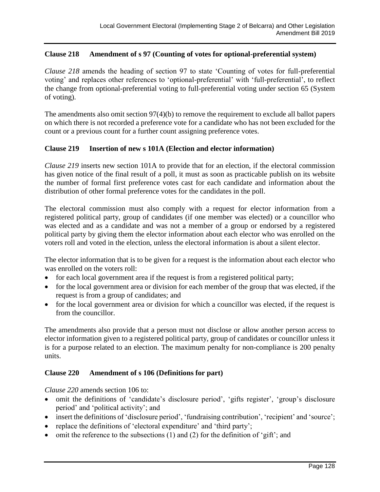# **Clause 218 Amendment of s 97 (Counting of votes for optional-preferential system)**

*Clause 218* amends the heading of section 97 to state 'Counting of votes for full-preferential voting' and replaces other references to 'optional-preferential' with 'full-preferential', to reflect the change from optional-preferential voting to full-preferential voting under section 65 (System of voting).

The amendments also omit section 97(4)(b) to remove the requirement to exclude all ballot papers on which there is not recorded a preference vote for a candidate who has not been excluded for the count or a previous count for a further count assigning preference votes.

## **Clause 219 Insertion of new s 101A (Election and elector information)**

*Clause 219* inserts new section 101A to provide that for an election, if the electoral commission has given notice of the final result of a poll, it must as soon as practicable publish on its website the number of formal first preference votes cast for each candidate and information about the distribution of other formal preference votes for the candidates in the poll.

The electoral commission must also comply with a request for elector information from a registered political party, group of candidates (if one member was elected) or a councillor who was elected and as a candidate and was not a member of a group or endorsed by a registered political party by giving them the elector information about each elector who was enrolled on the voters roll and voted in the election, unless the electoral information is about a silent elector.

The elector information that is to be given for a request is the information about each elector who was enrolled on the voters roll:

- for each local government area if the request is from a registered political party;
- for the local government area or division for each member of the group that was elected, if the request is from a group of candidates; and
- for the local government area or division for which a councillor was elected, if the request is from the councillor.

The amendments also provide that a person must not disclose or allow another person access to elector information given to a registered political party, group of candidates or councillor unless it is for a purpose related to an election. The maximum penalty for non-compliance is 200 penalty units.

## **Clause 220 Amendment of s 106 (Definitions for part)**

*Clause 220* amends section 106 to:

- omit the definitions of 'candidate's disclosure period', 'gifts register', 'group's disclosure period' and 'political activity'; and
- insert the definitions of 'disclosure period', 'fundraising contribution', 'recipient' and 'source';
- replace the definitions of 'electoral expenditure' and 'third party';
- omit the reference to the subsections  $(1)$  and  $(2)$  for the definition of 'gift'; and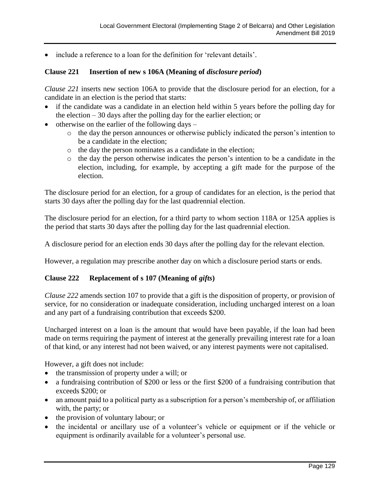• include a reference to a loan for the definition for 'relevant details'.

# **Clause 221 Insertion of new s 106A (Meaning of** *disclosure period***)**

*Clause 221* inserts new section 106A to provide that the disclosure period for an election, for a candidate in an election is the period that starts:

- if the candidate was a candidate in an election held within 5 years before the polling day for the election – 30 days after the polling day for the earlier election; or
- otherwise on the earlier of the following days  $$ 
	- o the day the person announces or otherwise publicly indicated the person's intention to be a candidate in the election;
	- o the day the person nominates as a candidate in the election;
	- o the day the person otherwise indicates the person's intention to be a candidate in the election, including, for example, by accepting a gift made for the purpose of the election.

The disclosure period for an election, for a group of candidates for an election, is the period that starts 30 days after the polling day for the last quadrennial election.

The disclosure period for an election, for a third party to whom section 118A or 125A applies is the period that starts 30 days after the polling day for the last quadrennial election.

A disclosure period for an election ends 30 days after the polling day for the relevant election.

However, a regulation may prescribe another day on which a disclosure period starts or ends.

# **Clause 222 Replacement of s 107 (Meaning of** *gifts***)**

*Clause 222* amends section 107 to provide that a gift is the disposition of property, or provision of service, for no consideration or inadequate consideration, including uncharged interest on a loan and any part of a fundraising contribution that exceeds \$200.

Uncharged interest on a loan is the amount that would have been payable, if the loan had been made on terms requiring the payment of interest at the generally prevailing interest rate for a loan of that kind, or any interest had not been waived, or any interest payments were not capitalised.

However, a gift does not include:

- the transmission of property under a will; or
- a fundraising contribution of \$200 or less or the first \$200 of a fundraising contribution that exceeds \$200; or
- an amount paid to a political party as a subscription for a person's membership of, or affiliation with, the party; or
- the provision of voluntary labour; or
- the incidental or ancillary use of a volunteer's vehicle or equipment or if the vehicle or equipment is ordinarily available for a volunteer's personal use.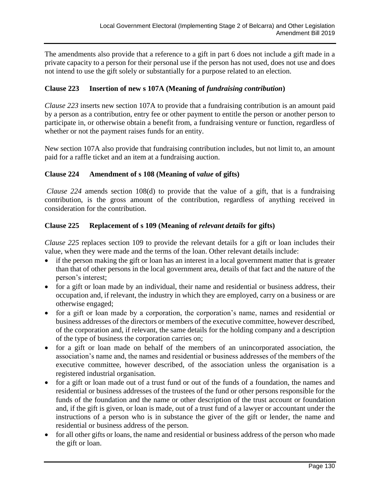The amendments also provide that a reference to a gift in part 6 does not include a gift made in a private capacity to a person for their personal use if the person has not used, does not use and does not intend to use the gift solely or substantially for a purpose related to an election.

# **Clause 223 Insertion of new s 107A (Meaning of** *fundraising contribution***)**

*Clause 223* inserts new section 107A to provide that a fundraising contribution is an amount paid by a person as a contribution, entry fee or other payment to entitle the person or another person to participate in, or otherwise obtain a benefit from, a fundraising venture or function, regardless of whether or not the payment raises funds for an entity.

New section 107A also provide that fundraising contribution includes, but not limit to, an amount paid for a raffle ticket and an item at a fundraising auction.

# **Clause 224 Amendment of s 108 (Meaning of** *value* **of gifts)**

*Clause 224* amends section 108(d) to provide that the value of a gift, that is a fundraising contribution, is the gross amount of the contribution, regardless of anything received in consideration for the contribution.

# **Clause 225 Replacement of s 109 (Meaning of** *relevant details* **for gifts)**

*Clause 225* replaces section 109 to provide the relevant details for a gift or loan includes their value, when they were made and the terms of the loan. Other relevant details include:

- if the person making the gift or loan has an interest in a local government matter that is greater than that of other persons in the local government area, details of that fact and the nature of the person's interest;
- for a gift or loan made by an individual, their name and residential or business address, their occupation and, if relevant, the industry in which they are employed, carry on a business or are otherwise engaged;
- for a gift or loan made by a corporation, the corporation's name, names and residential or business addresses of the directors or members of the executive committee, however described, of the corporation and, if relevant, the same details for the holding company and a description of the type of business the corporation carries on;
- for a gift or loan made on behalf of the members of an unincorporated association, the association's name and, the names and residential or business addresses of the members of the executive committee, however described, of the association unless the organisation is a registered industrial organisation.
- for a gift or loan made out of a trust fund or out of the funds of a foundation, the names and residential or business addresses of the trustees of the fund or other persons responsible for the funds of the foundation and the name or other description of the trust account or foundation and, if the gift is given, or loan is made, out of a trust fund of a lawyer or accountant under the instructions of a person who is in substance the giver of the gift or lender, the name and residential or business address of the person.
- for all other gifts or loans, the name and residential or business address of the person who made the gift or loan.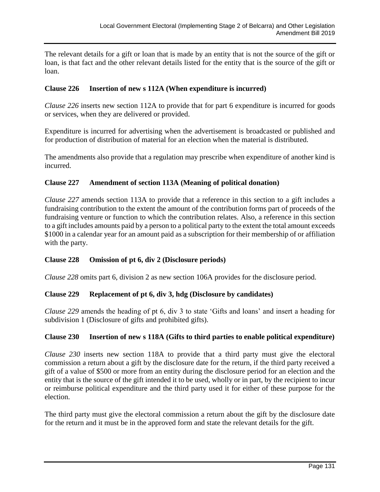The relevant details for a gift or loan that is made by an entity that is not the source of the gift or loan, is that fact and the other relevant details listed for the entity that is the source of the gift or loan.

## **Clause 226 Insertion of new s 112A (When expenditure is incurred)**

*Clause 226* inserts new section 112A to provide that for part 6 expenditure is incurred for goods or services, when they are delivered or provided.

Expenditure is incurred for advertising when the advertisement is broadcasted or published and for production of distribution of material for an election when the material is distributed.

The amendments also provide that a regulation may prescribe when expenditure of another kind is incurred.

## **Clause 227 Amendment of section 113A (Meaning of political donation)**

*Clause 227* amends section 113A to provide that a reference in this section to a gift includes a fundraising contribution to the extent the amount of the contribution forms part of proceeds of the fundraising venture or function to which the contribution relates. Also, a reference in this section to a gift includes amounts paid by a person to a political party to the extent the total amount exceeds \$1000 in a calendar year for an amount paid as a subscription for their membership of or affiliation with the party.

## **Clause 228 Omission of pt 6, div 2 (Disclosure periods)**

*Clause 228* omits part 6, division 2 as new section 106A provides for the disclosure period.

## **Clause 229 Replacement of pt 6, div 3, hdg (Disclosure by candidates)**

*Clause 229* amends the heading of pt 6, div 3 to state 'Gifts and loans' and insert a heading for subdivision 1 (Disclosure of gifts and prohibited gifts).

## **Clause 230 Insertion of new s 118A (Gifts to third parties to enable political expenditure)**

*Clause 230* inserts new section 118A to provide that a third party must give the electoral commission a return about a gift by the disclosure date for the return, if the third party received a gift of a value of \$500 or more from an entity during the disclosure period for an election and the entity that is the source of the gift intended it to be used, wholly or in part, by the recipient to incur or reimburse political expenditure and the third party used it for either of these purpose for the election.

The third party must give the electoral commission a return about the gift by the disclosure date for the return and it must be in the approved form and state the relevant details for the gift.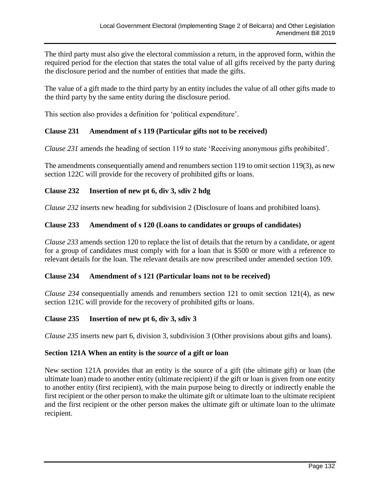The third party must also give the electoral commission a return, in the approved form, within the required period for the election that states the total value of all gifts received by the party during the disclosure period and the number of entities that made the gifts.

The value of a gift made to the third party by an entity includes the value of all other gifts made to the third party by the same entity during the disclosure period.

This section also provides a definition for 'political expenditure'.

## **Clause 231 Amendment of s 119 (Particular gifts not to be received)**

*Clause 231* amends the heading of section 119 to state 'Receiving anonymous gifts prohibited'.

The amendments consequentially amend and renumbers section 119 to omit section 119(3), as new section 122C will provide for the recovery of prohibited gifts or loans.

## **Clause 232 Insertion of new pt 6, div 3, sdiv 2 hdg**

*Clause 232* inserts new heading for subdivision 2 (Disclosure of loans and prohibited loans).

## **Clause 233 Amendment of s 120 (Loans to candidates or groups of candidates)**

*Clause 233* amends section 120 to replace the list of details that the return by a candidate, or agent for a group of candidates must comply with for a loan that is \$500 or more with a reference to relevant details for the loan. The relevant details are now prescribed under amended section 109.

## **Clause 234 Amendment of s 121 (Particular loans not to be received)**

*Clause 234* consequentially amends and renumbers section 121 to omit section 121(4), as new section 121C will provide for the recovery of prohibited gifts or loans.

## **Clause 235 Insertion of new pt 6, div 3, sdiv 3**

*Clause 235* inserts new part 6, division 3, subdivision 3 (Other provisions about gifts and loans).

## **Section 121A When an entity is the** *source* **of a gift or loan**

New section 121A provides that an entity is the source of a gift (the ultimate gift) or loan (the ultimate loan) made to another entity (ultimate recipient) if the gift or loan is given from one entity to another entity (first recipient), with the main purpose being to directly or indirectly enable the first recipient or the other person to make the ultimate gift or ultimate loan to the ultimate recipient and the first recipient or the other person makes the ultimate gift or ultimate loan to the ultimate recipient.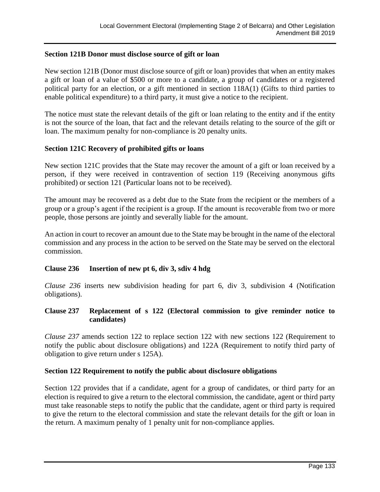## **Section 121B Donor must disclose source of gift or loan**

New section 121B (Donor must disclose source of gift or loan) provides that when an entity makes a gift or loan of a value of \$500 or more to a candidate, a group of candidates or a registered political party for an election, or a gift mentioned in section 118A(1) (Gifts to third parties to enable political expenditure) to a third party, it must give a notice to the recipient.

The notice must state the relevant details of the gift or loan relating to the entity and if the entity is not the source of the loan, that fact and the relevant details relating to the source of the gift or loan. The maximum penalty for non-compliance is 20 penalty units.

## **Section 121C Recovery of prohibited gifts or loans**

New section 121C provides that the State may recover the amount of a gift or loan received by a person, if they were received in contravention of section 119 (Receiving anonymous gifts prohibited) or section 121 (Particular loans not to be received).

The amount may be recovered as a debt due to the State from the recipient or the members of a group or a group's agent if the recipient is a group. If the amount is recoverable from two or more people, those persons are jointly and severally liable for the amount.

An action in court to recover an amount due to the State may be brought in the name of the electoral commission and any process in the action to be served on the State may be served on the electoral commission.

## **Clause 236 Insertion of new pt 6, div 3, sdiv 4 hdg**

*Clause 236* inserts new subdivision heading for part 6, div 3, subdivision 4 (Notification obligations).

## **Clause 237 Replacement of s 122 (Electoral commission to give reminder notice to candidates)**

*Clause 237* amends section 122 to replace section 122 with new sections 122 (Requirement to notify the public about disclosure obligations) and 122A (Requirement to notify third party of obligation to give return under s 125A).

## **Section 122 Requirement to notify the public about disclosure obligations**

Section 122 provides that if a candidate, agent for a group of candidates, or third party for an election is required to give a return to the electoral commission, the candidate, agent or third party must take reasonable steps to notify the public that the candidate, agent or third party is required to give the return to the electoral commission and state the relevant details for the gift or loan in the return. A maximum penalty of 1 penalty unit for non-compliance applies.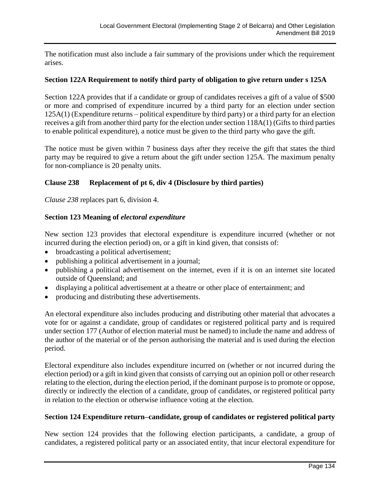The notification must also include a fair summary of the provisions under which the requirement arises.

## **Section 122A Requirement to notify third party of obligation to give return under s 125A**

Section 122A provides that if a candidate or group of candidates receives a gift of a value of \$500 or more and comprised of expenditure incurred by a third party for an election under section 125A(1) (Expenditure returns – political expenditure by third party) or a third party for an election receives a gift from another third party for the election under section 118A(1) (Gifts to third parties to enable political expenditure), a notice must be given to the third party who gave the gift.

The notice must be given within 7 business days after they receive the gift that states the third party may be required to give a return about the gift under section 125A. The maximum penalty for non-compliance is 20 penalty units.

# **Clause 238 Replacement of pt 6, div 4 (Disclosure by third parties)**

*Clause 238* replaces part 6, division 4.

## **Section 123 Meaning of** *electoral expenditure*

New section 123 provides that electoral expenditure is expenditure incurred (whether or not incurred during the election period) on, or a gift in kind given, that consists of:

- broadcasting a political advertisement;
- publishing a political advertisement in a journal;
- publishing a political advertisement on the internet, even if it is on an internet site located outside of Queensland; and
- displaying a political advertisement at a theatre or other place of entertainment; and
- producing and distributing these advertisements.

An electoral expenditure also includes producing and distributing other material that advocates a vote for or against a candidate, group of candidates or registered political party and is required under section 177 (Author of election material must be named) to include the name and address of the author of the material or of the person authorising the material and is used during the election period.

Electoral expenditure also includes expenditure incurred on (whether or not incurred during the election period) or a gift in kind given that consists of carrying out an opinion poll or other research relating to the election, during the election period, if the dominant purpose is to promote or oppose, directly or indirectly the election of a candidate, group of candidates, or registered political party in relation to the election or otherwise influence voting at the election.

## **Section 124 Expenditure return–candidate, group of candidates or registered political party**

New section 124 provides that the following election participants, a candidate, a group of candidates, a registered political party or an associated entity, that incur electoral expenditure for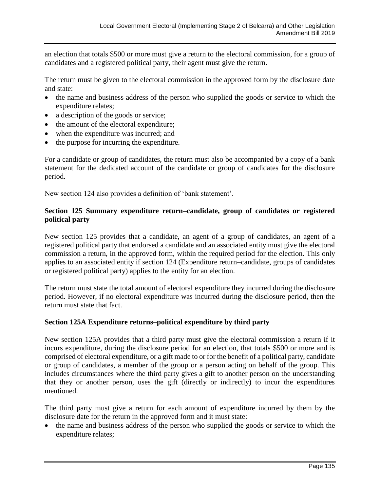an election that totals \$500 or more must give a return to the electoral commission, for a group of candidates and a registered political party, their agent must give the return.

The return must be given to the electoral commission in the approved form by the disclosure date and state:

- the name and business address of the person who supplied the goods or service to which the expenditure relates;
- a description of the goods or service;
- the amount of the electoral expenditure;
- when the expenditure was incurred; and
- the purpose for incurring the expenditure.

For a candidate or group of candidates, the return must also be accompanied by a copy of a bank statement for the dedicated account of the candidate or group of candidates for the disclosure period.

New section 124 also provides a definition of 'bank statement'.

## **Section 125 Summary expenditure return–candidate, group of candidates or registered political party**

New section 125 provides that a candidate, an agent of a group of candidates, an agent of a registered political party that endorsed a candidate and an associated entity must give the electoral commission a return, in the approved form, within the required period for the election. This only applies to an associated entity if section 124 (Expenditure return–candidate, groups of candidates or registered political party) applies to the entity for an election.

The return must state the total amount of electoral expenditure they incurred during the disclosure period. However, if no electoral expenditure was incurred during the disclosure period, then the return must state that fact.

## **Section 125A Expenditure returns–political expenditure by third party**

New section 125A provides that a third party must give the electoral commission a return if it incurs expenditure, during the disclosure period for an election, that totals \$500 or more and is comprised of electoral expenditure, or a gift made to or for the benefit of a political party, candidate or group of candidates, a member of the group or a person acting on behalf of the group. This includes circumstances where the third party gives a gift to another person on the understanding that they or another person, uses the gift (directly or indirectly) to incur the expenditures mentioned.

The third party must give a return for each amount of expenditure incurred by them by the disclosure date for the return in the approved form and it must state:

• the name and business address of the person who supplied the goods or service to which the expenditure relates;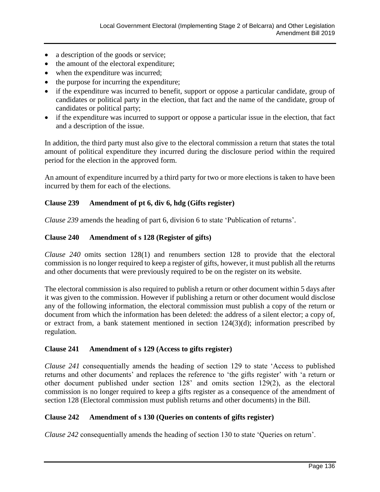- a description of the goods or service;
- the amount of the electoral expenditure;
- when the expenditure was incurred;
- the purpose for incurring the expenditure;
- if the expenditure was incurred to benefit, support or oppose a particular candidate, group of candidates or political party in the election, that fact and the name of the candidate, group of candidates or political party;
- if the expenditure was incurred to support or oppose a particular issue in the election, that fact and a description of the issue.

In addition, the third party must also give to the electoral commission a return that states the total amount of political expenditure they incurred during the disclosure period within the required period for the election in the approved form.

An amount of expenditure incurred by a third party for two or more elections is taken to have been incurred by them for each of the elections.

# **Clause 239 Amendment of pt 6, div 6, hdg (Gifts register)**

*Clause 239* amends the heading of part 6, division 6 to state 'Publication of returns'.

# **Clause 240 Amendment of s 128 (Register of gifts)**

*Clause 240* omits section 128(1) and renumbers section 128 to provide that the electoral commission is no longer required to keep a register of gifts, however, it must publish all the returns and other documents that were previously required to be on the register on its website.

The electoral commission is also required to publish a return or other document within 5 days after it was given to the commission. However if publishing a return or other document would disclose any of the following information, the electoral commission must publish a copy of the return or document from which the information has been deleted: the address of a silent elector; a copy of, or extract from, a bank statement mentioned in section 124(3)(d); information prescribed by regulation.

# **Clause 241 Amendment of s 129 (Access to gifts register)**

*Clause 241* consequentially amends the heading of section 129 to state 'Access to published returns and other documents' and replaces the reference to 'the gifts register' with 'a return or other document published under section 128' and omits section 129(2), as the electoral commission is no longer required to keep a gifts register as a consequence of the amendment of section 128 (Electoral commission must publish returns and other documents) in the Bill.

# **Clause 242 Amendment of s 130 (Queries on contents of gifts register)**

*Clause 242* consequentially amends the heading of section 130 to state 'Queries on return'.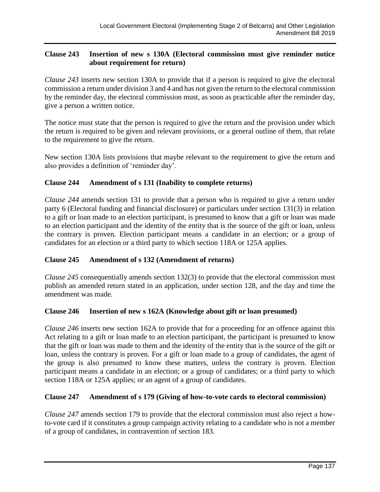# **Clause 243 Insertion of new s 130A (Electoral commission must give reminder notice about requirement for return)**

*Clause 243* inserts new section 130A to provide that if a person is required to give the electoral commission a return under division 3 and 4 and has not given the return to the electoral commission by the reminder day, the electoral commission must, as soon as practicable after the reminder day, give a person a written notice.

The notice must state that the person is required to give the return and the provision under which the return is required to be given and relevant provisions, or a general outline of them, that relate to the requirement to give the return.

New section 130A lists provisions that maybe relevant to the requirement to give the return and also provides a definition of 'reminder day'.

# **Clause 244 Amendment of s 131 (Inability to complete returns)**

*Clause 244* amends section 131 to provide that a person who is required to give a return under party 6 (Electoral funding and financial disclosure) or particulars under section 131(3) in relation to a gift or loan made to an election participant, is presumed to know that a gift or loan was made to an election participant and the identity of the entity that is the source of the gift or loan, unless the contrary is proven. Election participant means a candidate in an election; or a group of candidates for an election or a third party to which section 118A or 125A applies.

# **Clause 245 Amendment of s 132 (Amendment of returns)**

*Clause 245* consequentially amends section 132(3) to provide that the electoral commission must publish an amended return stated in an application, under section 128, and the day and time the amendment was made.

## **Clause 246 Insertion of new s 162A (Knowledge about gift or loan presumed)**

*Clause 246* inserts new section 162A to provide that for a proceeding for an offence against this Act relating to a gift or loan made to an election participant, the participant is presumed to know that the gift or loan was made to them and the identity of the entity that is the source of the gift or loan, unless the contrary is proven. For a gift or loan made to a group of candidates, the agent of the group is also presumed to know these matters, unless the contrary is proven. Election participant means a candidate in an election; or a group of candidates; or a third party to which section 118A or 125A applies; or an agent of a group of candidates.

# **Clause 247 Amendment of s 179 (Giving of how-to-vote cards to electoral commission)**

*Clause 247* amends section 179 to provide that the electoral commission must also reject a howto-vote card if it constitutes a group campaign activity relating to a candidate who is not a member of a group of candidates, in contravention of section 183.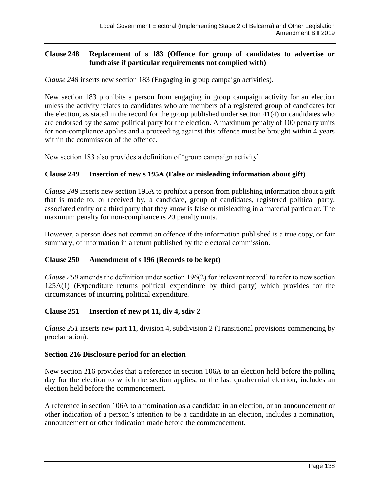# **Clause 248 Replacement of s 183 (Offence for group of candidates to advertise or fundraise if particular requirements not complied with)**

*Clause 248* inserts new section 183 (Engaging in group campaign activities).

New section 183 prohibits a person from engaging in group campaign activity for an election unless the activity relates to candidates who are members of a registered group of candidates for the election, as stated in the record for the group published under section 41(4) or candidates who are endorsed by the same political party for the election. A maximum penalty of 100 penalty units for non-compliance applies and a proceeding against this offence must be brought within 4 years within the commission of the offence.

New section 183 also provides a definition of 'group campaign activity'.

# **Clause 249 Insertion of new s 195A (False or misleading information about gift)**

*Clause 249* inserts new section 195A to prohibit a person from publishing information about a gift that is made to, or received by, a candidate, group of candidates, registered political party, associated entity or a third party that they know is false or misleading in a material particular. The maximum penalty for non-compliance is 20 penalty units.

However, a person does not commit an offence if the information published is a true copy, or fair summary, of information in a return published by the electoral commission.

# **Clause 250 Amendment of s 196 (Records to be kept)**

*Clause 250* amends the definition under section 196(2) for 'relevant record' to refer to new section 125A(1) (Expenditure returns–political expenditure by third party) which provides for the circumstances of incurring political expenditure.

# **Clause 251 Insertion of new pt 11, div 4, sdiv 2**

*Clause 251* inserts new part 11, division 4, subdivision 2 (Transitional provisions commencing by proclamation).

## **Section 216 Disclosure period for an election**

New section 216 provides that a reference in section 106A to an election held before the polling day for the election to which the section applies, or the last quadrennial election, includes an election held before the commencement.

A reference in section 106A to a nomination as a candidate in an election, or an announcement or other indication of a person's intention to be a candidate in an election, includes a nomination, announcement or other indication made before the commencement.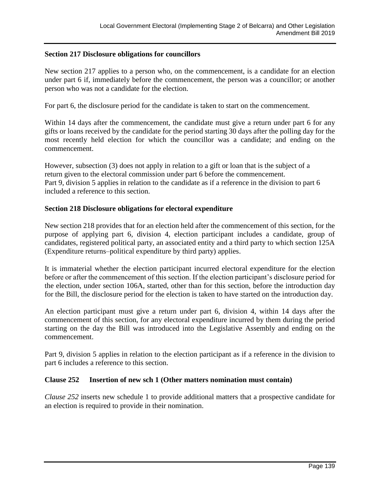## **Section 217 Disclosure obligations for councillors**

New section 217 applies to a person who, on the commencement, is a candidate for an election under part 6 if, immediately before the commencement, the person was a councillor; or another person who was not a candidate for the election.

For part 6, the disclosure period for the candidate is taken to start on the commencement.

Within 14 days after the commencement, the candidate must give a return under part 6 for any gifts or loans received by the candidate for the period starting 30 days after the polling day for the most recently held election for which the councillor was a candidate; and ending on the commencement.

However, subsection (3) does not apply in relation to a gift or loan that is the subject of a return given to the electoral commission under part 6 before the commencement. Part 9, division 5 applies in relation to the candidate as if a reference in the division to part 6 included a reference to this section.

## **Section 218 Disclosure obligations for electoral expenditure**

New section 218 provides that for an election held after the commencement of this section, for the purpose of applying part 6, division 4, election participant includes a candidate, group of candidates, registered political party, an associated entity and a third party to which section 125A (Expenditure returns–political expenditure by third party) applies.

It is immaterial whether the election participant incurred electoral expenditure for the election before or after the commencement of this section. If the election participant's disclosure period for the election, under section 106A, started, other than for this section, before the introduction day for the Bill, the disclosure period for the election is taken to have started on the introduction day.

An election participant must give a return under part 6, division 4, within 14 days after the commencement of this section, for any electoral expenditure incurred by them during the period starting on the day the Bill was introduced into the Legislative Assembly and ending on the commencement.

Part 9, division 5 applies in relation to the election participant as if a reference in the division to part 6 includes a reference to this section.

## **Clause 252 Insertion of new sch 1 (Other matters nomination must contain)**

*Clause 252* inserts new schedule 1 to provide additional matters that a prospective candidate for an election is required to provide in their nomination.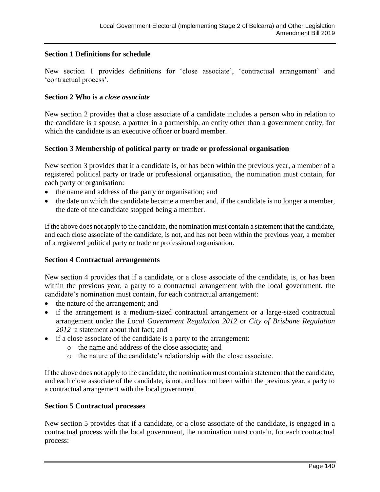# **Section 1 Definitions for schedule**

New section 1 provides definitions for 'close associate', 'contractual arrangement' and 'contractual process'.

## **Section 2 Who is a** *close associate*

New section 2 provides that a close associate of a candidate includes a person who in relation to the candidate is a spouse, a partner in a partnership, an entity other than a government entity, for which the candidate is an executive officer or board member.

## **Section 3 Membership of political party or trade or professional organisation**

New section 3 provides that if a candidate is, or has been within the previous year, a member of a registered political party or trade or professional organisation, the nomination must contain, for each party or organisation:

- the name and address of the party or organisation; and
- the date on which the candidate became a member and, if the candidate is no longer a member, the date of the candidate stopped being a member.

If the above does not apply to the candidate, the nomination must contain a statement that the candidate, and each close associate of the candidate, is not, and has not been within the previous year, a member of a registered political party or trade or professional organisation.

## **Section 4 Contractual arrangements**

New section 4 provides that if a candidate, or a close associate of the candidate, is, or has been within the previous year, a party to a contractual arrangement with the local government, the candidate's nomination must contain, for each contractual arrangement:

- the nature of the arrangement; and
- if the arrangement is a medium-sized contractual arrangement or a large-sized contractual arrangement under the *Local Government Regulation 2012* or *City of Brisbane Regulation 2012*–a statement about that fact; and
- if a close associate of the candidate is a party to the arrangement:
	- o the name and address of the close associate; and
	- o the nature of the candidate's relationship with the close associate.

If the above does not apply to the candidate, the nomination must contain a statement that the candidate, and each close associate of the candidate, is not, and has not been within the previous year, a party to a contractual arrangement with the local government.

#### **Section 5 Contractual processes**

New section 5 provides that if a candidate, or a close associate of the candidate, is engaged in a contractual process with the local government, the nomination must contain, for each contractual process: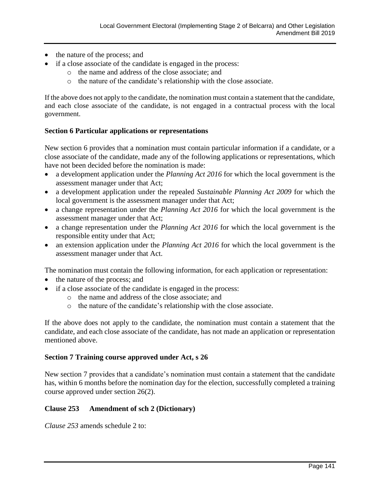- the nature of the process; and
- if a close associate of the candidate is engaged in the process:
	- o the name and address of the close associate; and
	- o the nature of the candidate's relationship with the close associate.

If the above does not apply to the candidate, the nomination must contain a statement that the candidate, and each close associate of the candidate, is not engaged in a contractual process with the local government.

## **Section 6 Particular applications or representations**

New section 6 provides that a nomination must contain particular information if a candidate, or a close associate of the candidate, made any of the following applications or representations, which have not been decided before the nomination is made:

- a development application under the *Planning Act 2016* for which the local government is the assessment manager under that Act;
- a development application under the repealed *Sustainable Planning Act 2009* for which the local government is the assessment manager under that Act;
- a change representation under the *Planning Act 2016* for which the local government is the assessment manager under that Act;
- a change representation under the *Planning Act 2016* for which the local government is the responsible entity under that Act;
- an extension application under the *Planning Act 2016* for which the local government is the assessment manager under that Act.

The nomination must contain the following information, for each application or representation:

- the nature of the process; and
- if a close associate of the candidate is engaged in the process:
	- o the name and address of the close associate; and
	- o the nature of the candidate's relationship with the close associate.

If the above does not apply to the candidate, the nomination must contain a statement that the candidate, and each close associate of the candidate, has not made an application or representation mentioned above.

## **Section 7 Training course approved under Act, s 26**

New section 7 provides that a candidate's nomination must contain a statement that the candidate has, within 6 months before the nomination day for the election, successfully completed a training course approved under section 26(2).

# **Clause 253 Amendment of sch 2 (Dictionary)**

*Clause 253* amends schedule 2 to: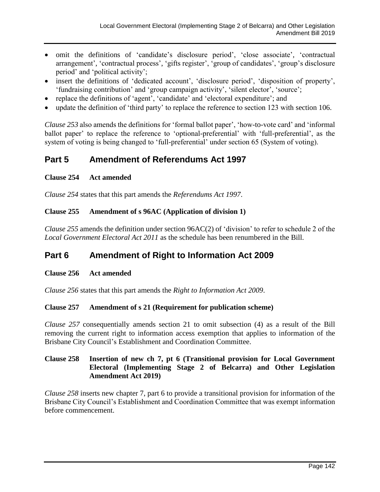- omit the definitions of 'candidate's disclosure period', 'close associate', 'contractual arrangement', 'contractual process', 'gifts register', 'group of candidates', 'group's disclosure period' and 'political activity';
- insert the definitions of 'dedicated account', 'disclosure period', 'disposition of property', 'fundraising contribution' and 'group campaign activity', 'silent elector', 'source';
- replace the definitions of 'agent', 'candidate' and 'electoral expenditure'; and
- update the definition of 'third party' to replace the reference to section 123 with section 106.

*Clause 253* also amends the definitions for 'formal ballot paper', 'how-to-vote card' and 'informal ballot paper' to replace the reference to 'optional-preferential' with 'full-preferential', as the system of voting is being changed to 'full-preferential' under section 65 (System of voting).

# **Part 5 Amendment of Referendums Act 1997**

## **Clause 254 Act amended**

*Clause 254* states that this part amends the *Referendums Act 1997*.

## **Clause 255 Amendment of s 96AC (Application of division 1)**

*Clause 255* amends the definition under section 96AC(2) of 'division' to refer to schedule 2 of the *Local Government Electoral Act 2011* as the schedule has been renumbered in the Bill.

# **Part 6 Amendment of Right to Information Act 2009**

## **Clause 256 Act amended**

*Clause 256* states that this part amends the *Right to Information Act 2009*.

# **Clause 257 Amendment of s 21 (Requirement for publication scheme)**

*Clause 257* consequentially amends section 21 to omit subsection (4) as a result of the Bill removing the current right to information access exemption that applies to information of the Brisbane City Council's Establishment and Coordination Committee.

## **Clause 258 Insertion of new ch 7, pt 6 (Transitional provision for Local Government Electoral (Implementing Stage 2 of Belcarra) and Other Legislation Amendment Act 2019)**

*Clause 258* inserts new chapter 7, part 6 to provide a transitional provision for information of the Brisbane City Council's Establishment and Coordination Committee that was exempt information before commencement.